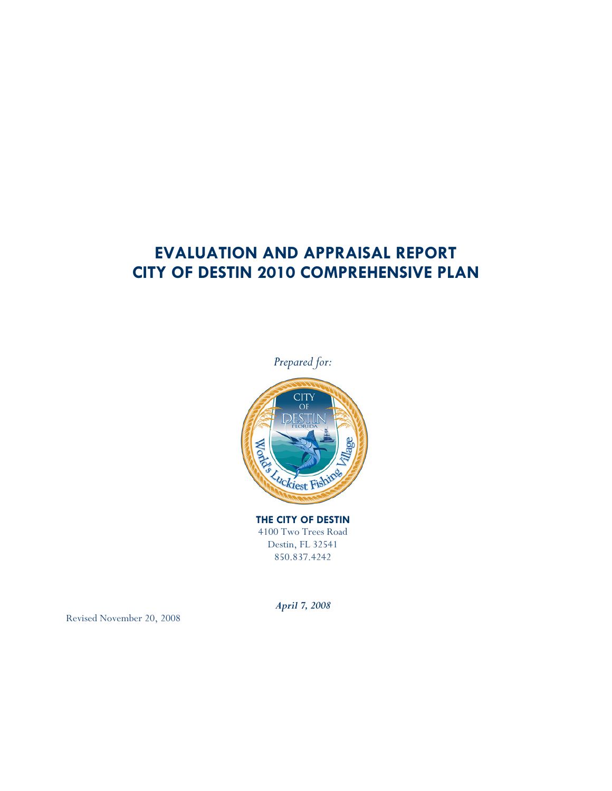# EVALUATION AND APPRAISAL REPORT CITY OF DESTIN 2010 COMPREHENSIVE PLAN



THE CITY OF DESTIN 4100 Two Trees Road Destin, FL 32541 850.837.4242

April 7, 2008

Revised November 20, 2008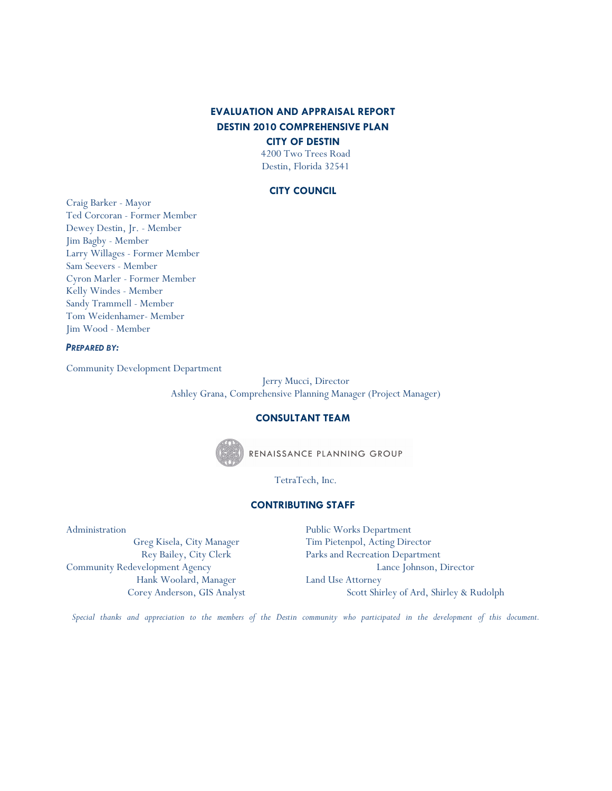# EVALUATION AND APPRAISAL REPORT DESTIN 2010 COMPREHENSIVE PLAN

CITY OF DESTIN

4200 Two Trees Road Destin, Florida 32541

#### CITY COUNCIL

Craig Barker - Mayor Ted Corcoran - Former Member Dewey Destin, Jr. - Member Jim Bagby - Member Larry Willages - Former Member Sam Seevers - Member Cyron Marler - Former Member Kelly Windes - Member Sandy Trammell - Member Tom Weidenhamer- Member Jim Wood - Member

#### PREPARED BY:

Community Development Department

Jerry Mucci, Director Ashley Grana, Comprehensive Planning Manager (Project Manager)

### CONSULTANT TEAM



RENAISSANCE PLANNING GROUP

TetraTech, Inc.

### CONTRIBUTING STAFF

Administration

Greg Kisela, City Manager Rey Bailey, City Clerk Community Redevelopment Agency Hank Woolard, Manager Corey Anderson, GIS Analyst Public Works Department Tim Pietenpol, Acting Director Parks and Recreation Department Lance Johnson, Director Land Use Attorney Scott Shirley of Ard, Shirley & Rudolph

Special thanks and appreciation to the members of the Destin community who participated in the development of this document.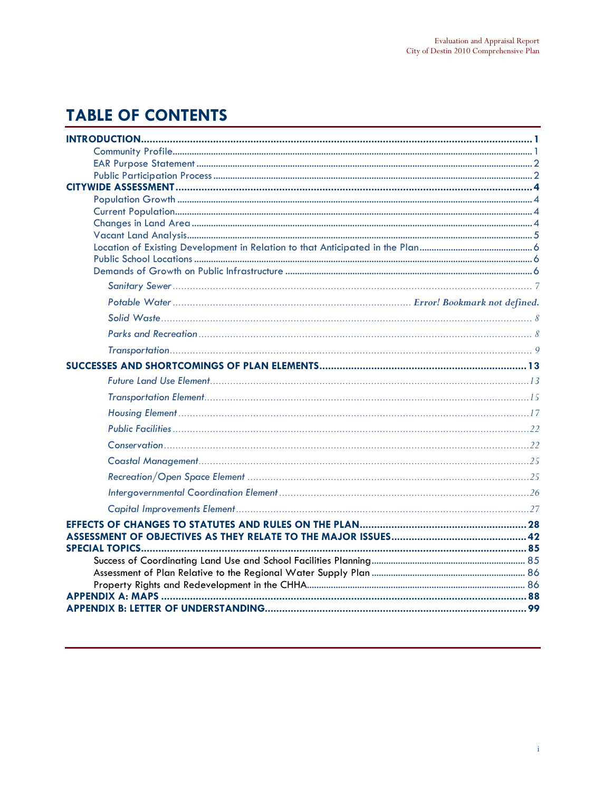# **TABLE OF CONTENTS**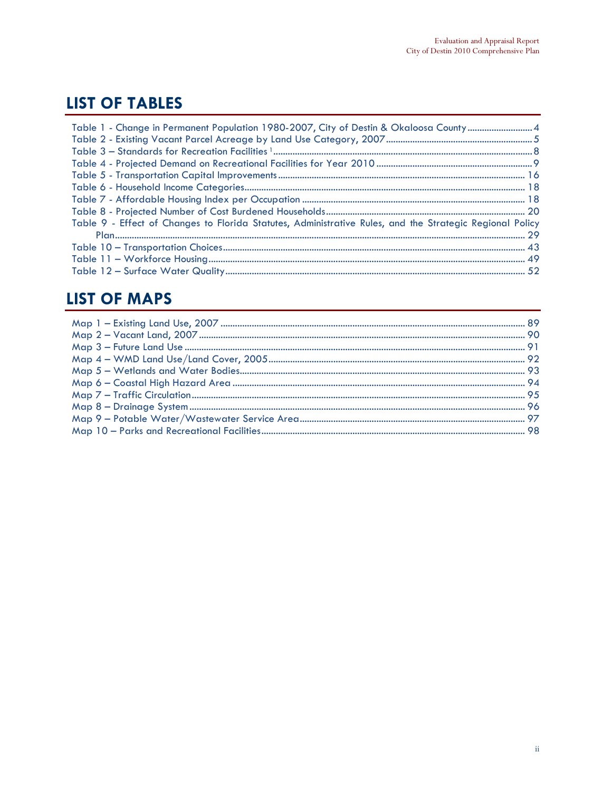# **LIST OF TABLES**

| Table 1 - Change in Permanent Population 1980-2007, City of Destin & Okaloosa County4                    |  |
|----------------------------------------------------------------------------------------------------------|--|
|                                                                                                          |  |
|                                                                                                          |  |
|                                                                                                          |  |
|                                                                                                          |  |
|                                                                                                          |  |
|                                                                                                          |  |
|                                                                                                          |  |
| Table 9 - Effect of Changes to Florida Statutes, Administrative Rules, and the Strategic Regional Policy |  |
|                                                                                                          |  |
|                                                                                                          |  |
|                                                                                                          |  |
|                                                                                                          |  |

# **LIST OF MAPS**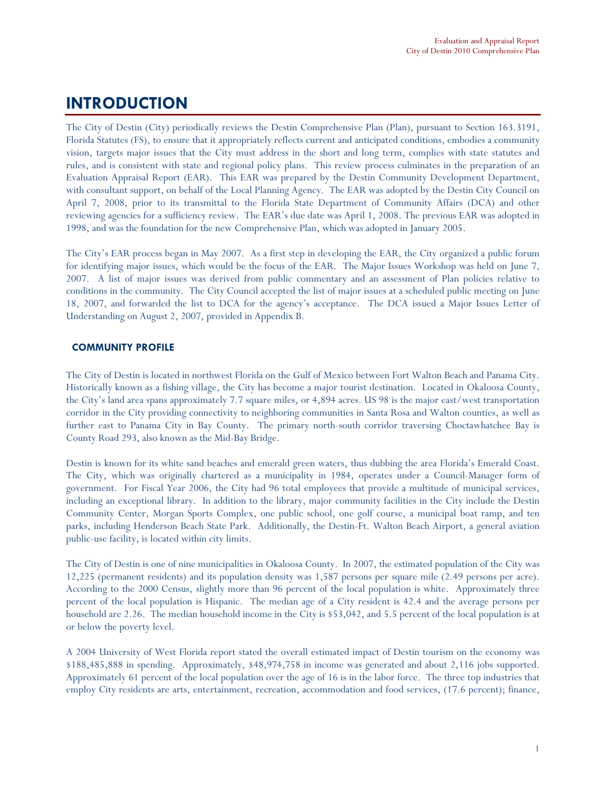# INTRODUCTION

The City of Destin (City) periodically reviews the Destin Comprehensive Plan (Plan), pursuant to Section 163.3191, Florida Statutes (FS), to ensure that it appropriately reflects current and anticipated conditions, embodies a community vision, targets major issues that the City must address in the short and long term, complies with state statutes and rules, and is consistent with state and regional policy plans. This review process culminates in the preparation of an Evaluation Appraisal Report (EAR). This EAR was prepared by the Destin Community Development Department, with consultant support, on behalf of the Local Planning Agency. The EAR was adopted by the Destin City Council on April 7, 2008, prior to its transmittal to the Florida State Department of Community Affairs (DCA) and other reviewing agencies for a sufficiency review. The EAR's due date was April 1, 2008. The previous EAR was adopted in 1998, and was the foundation for the new Comprehensive Plan, which was adopted in January 2005.

The City's EAR process began in May 2007. As a first step in developing the EAR, the City organized a public forum for identifying major issues, which would be the focus of the EAR. The Major Issues Workshop was held on June 7, 2007. A list of major issues was derived from public commentary and an assessment of Plan policies relative to conditions in the community. The City Council accepted the list of major issues at a scheduled public meeting on June 18, 2007, and forwarded the list to DCA for the agency's acceptance. The DCA issued a Major Issues Letter of Understanding on August 2, 2007, provided in Appendix B.

# COMMUNITY PROFILE

The City of Destin is located in northwest Florida on the Gulf of Mexico between Fort Walton Beach and Panama City. Historically known as a fishing village, the City has become a major tourist destination. Located in Okaloosa County, the City's land area spans approximately 7.7 square miles, or 4,894 acres. US 98 is the major east/west transportation corridor in the City providing connectivity to neighboring communities in Santa Rosa and Walton counties, as well as further east to Panama City in Bay County. The primary north-south corridor traversing Choctawhatchee Bay is County Road 293, also known as the Mid-Bay Bridge.

Destin is known for its white sand beaches and emerald green waters, thus dubbing the area Florida's Emerald Coast. The City, which was originally chartered as a municipality in 1984, operates under a Council-Manager form of government. For Fiscal Year 2006, the City had 96 total employees that provide a multitude of municipal services, including an exceptional library. In addition to the library, major community facilities in the City include the Destin Community Center, Morgan Sports Complex, one public school, one golf course, a municipal boat ramp, and ten parks, including Henderson Beach State Park. Additionally, the Destin-Ft. Walton Beach Airport, a general aviation public-use facility, is located within city limits.

The City of Destin is one of nine municipalities in Okaloosa County. In 2007, the estimated population of the City was 12,225 (permanent residents) and its population density was 1,587 persons per square mile (2.49 persons per acre). According to the 2000 Census, slightly more than 96 percent of the local population is white. Approximately three percent of the local population is Hispanic. The median age of a City resident is 42.4 and the average persons per household are 2.26. The median household income in the City is \$53,042, and 5.5 percent of the local population is at or below the poverty level.

A 2004 University of West Florida report stated the overall estimated impact of Destin tourism on the economy was \$188,485,888 in spending. Approximately, \$48,974,758 in income was generated and about 2,116 jobs supported. Approximately 61 percent of the local population over the age of 16 is in the labor force. The three top industries that employ City residents are arts, entertainment, recreation, accommodation and food services, (17.6 percent); finance,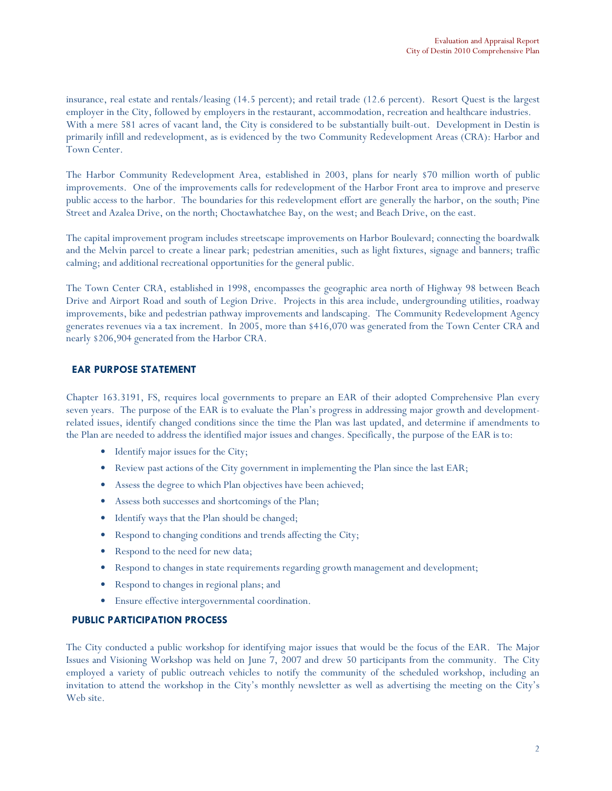insurance, real estate and rentals/leasing (14.5 percent); and retail trade (12.6 percent). Resort Quest is the largest employer in the City, followed by employers in the restaurant, accommodation, recreation and healthcare industries. With a mere 581 acres of vacant land, the City is considered to be substantially built-out. Development in Destin is primarily infill and redevelopment, as is evidenced by the two Community Redevelopment Areas (CRA): Harbor and Town Center.

The Harbor Community Redevelopment Area, established in 2003, plans for nearly \$70 million worth of public improvements. One of the improvements calls for redevelopment of the Harbor Front area to improve and preserve public access to the harbor. The boundaries for this redevelopment effort are generally the harbor, on the south; Pine Street and Azalea Drive, on the north; Choctawhatchee Bay, on the west; and Beach Drive, on the east.

The capital improvement program includes streetscape improvements on Harbor Boulevard; connecting the boardwalk and the Melvin parcel to create a linear park; pedestrian amenities, such as light fixtures, signage and banners; traffic calming; and additional recreational opportunities for the general public.

The Town Center CRA, established in 1998, encompasses the geographic area north of Highway 98 between Beach Drive and Airport Road and south of Legion Drive. Projects in this area include, undergrounding utilities, roadway improvements, bike and pedestrian pathway improvements and landscaping. The Community Redevelopment Agency generates revenues via a tax increment. In 2005, more than \$416,070 was generated from the Town Center CRA and nearly \$206,904 generated from the Harbor CRA.

### EAR PURPOSE STATEMENT

Chapter 163.3191, FS, requires local governments to prepare an EAR of their adopted Comprehensive Plan every seven years. The purpose of the EAR is to evaluate the Plan's progress in addressing major growth and developmentrelated issues, identify changed conditions since the time the Plan was last updated, and determine if amendments to the Plan are needed to address the identified major issues and changes. Specifically, the purpose of the EAR is to:

- Identify major issues for the City;
- Review past actions of the City government in implementing the Plan since the last EAR;
- Assess the degree to which Plan objectives have been achieved;
- Assess both successes and shortcomings of the Plan;
- Identify ways that the Plan should be changed;
- Respond to changing conditions and trends affecting the City;
- Respond to the need for new data;
- Respond to changes in state requirements regarding growth management and development;
- Respond to changes in regional plans; and
- Ensure effective intergovernmental coordination.

# PUBLIC PARTICIPATION PROCESS

The City conducted a public workshop for identifying major issues that would be the focus of the EAR. The Major Issues and Visioning Workshop was held on June 7, 2007 and drew 50 participants from the community. The City employed a variety of public outreach vehicles to notify the community of the scheduled workshop, including an invitation to attend the workshop in the City's monthly newsletter as well as advertising the meeting on the City's Web site.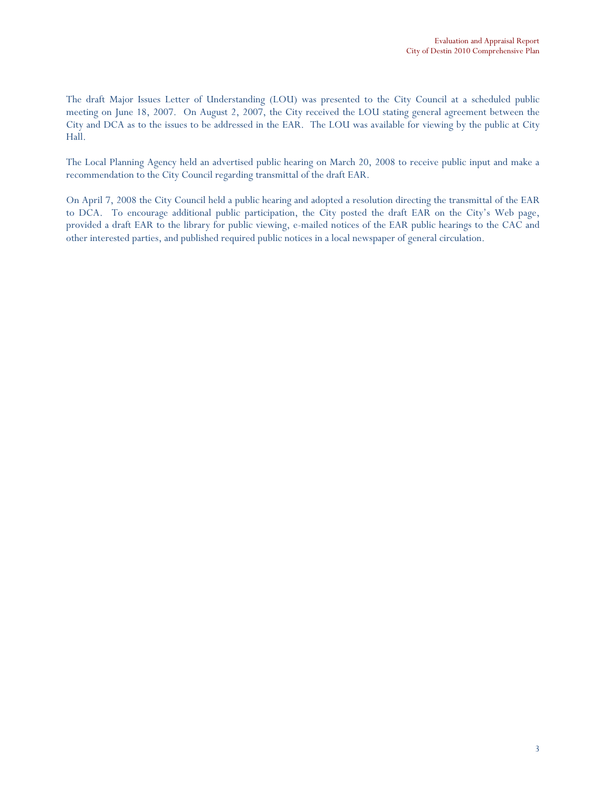The draft Major Issues Letter of Understanding (LOU) was presented to the City Council at a scheduled public meeting on June 18, 2007. On August 2, 2007, the City received the LOU stating general agreement between the City and DCA as to the issues to be addressed in the EAR. The LOU was available for viewing by the public at City Hall.

The Local Planning Agency held an advertised public hearing on March 20, 2008 to receive public input and make a recommendation to the City Council regarding transmittal of the draft EAR.

On April 7, 2008 the City Council held a public hearing and adopted a resolution directing the transmittal of the EAR to DCA. To encourage additional public participation, the City posted the draft EAR on the City's Web page, provided a draft EAR to the library for public viewing, e-mailed notices of the EAR public hearings to the CAC and other interested parties, and published required public notices in a local newspaper of general circulation.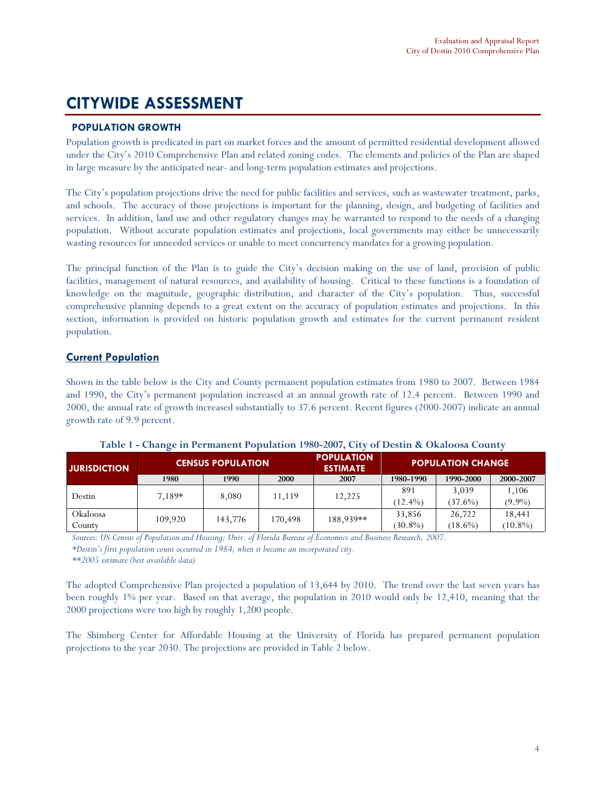# CITYWIDE ASSESSMENT

# POPULATION GROWTH

Population growth is predicated in part on market forces and the amount of permitted residential development allowed under the City's 2010 Comprehensive Plan and related zoning codes. The elements and policies of the Plan are shaped in large measure by the anticipated near- and long-term population estimates and projections.

The City's population projections drive the need for public facilities and services, such as wastewater treatment, parks, and schools. The accuracy of those projections is important for the planning, design, and budgeting of facilities and services. In addition, land use and other regulatory changes may be warranted to respond to the needs of a changing population. Without accurate population estimates and projections, local governments may either be unnecessarily wasting resources for unneeded services or unable to meet concurrency mandates for a growing population.

The principal function of the Plan is to guide the City's decision making on the use of land, provision of public facilities, management of natural resources, and availability of housing. Critical to these functions is a foundation of knowledge on the magnitude, geographic distribution, and character of the City's population. Thus, successful comprehensive planning depends to a great extent on the accuracy of population estimates and projections. In this section, information is provided on historic population growth and estimates for the current permanent resident population.

# **Current Population**

Shown in the table below is the City and County permanent population estimates from 1980 to 2007. Between 1984 and 1990, the City's permanent population increased at an annual growth rate of 12.4 percent. Between 1990 and 2000, the annual rate of growth increased substantially to 37.6 percent. Recent figures (2000-2007) indicate an annual growth rate of 9.9 percent.

| <b>CENSUS POPULATION</b><br><b>JURISDICTION</b> |         | <b>POPULATION</b><br><b>ESTIMATE</b> |         | <b>POPULATION CHANGE</b> |            |            |            |            |            |
|-------------------------------------------------|---------|--------------------------------------|---------|--------------------------|------------|------------|------------|------------|------------|
|                                                 | 1980    | 1990                                 | 2000    | 2007                     | 1980-1990  | 1990-2000  | 2000-2007  |            |            |
| Destin                                          | 7.189*  |                                      |         | 12,225                   | 891        | 3.039      | 1.106      |            |            |
|                                                 |         | 8,080                                | 11.119  |                          | $(12.4\%)$ | $(37.6\%)$ | $(9.9\%)$  |            |            |
| Okaloosa                                        | 109.920 | 143,776                              | 170.498 | 188.939**                | 33,856     | 26.722     | 18,441     |            |            |
| County                                          |         |                                      |         |                          |            |            | $(30.8\%)$ | $(18.6\%)$ | $(10.8\%)$ |

Table 1 - Change in Permanent Population 1980-2007, City of Destin & Okaloosa County

Sources: US Census of Population and Housing; Univ. of Florida Bureau of Economics and Business Research, 2007.

\*Destin's first population count occurred in 1984, when it became an incorporated city.

\*\*2005 estimate (best available data)

The adopted Comprehensive Plan projected a population of 13,644 by 2010. The trend over the last seven years has been roughly 1% per year. Based on that average, the population in 2010 would only be 12,410, meaning that the 2000 projections were too high by roughly 1,200 people.

The Shimberg Center for Affordable Housing at the University of Florida has prepared permanent population projections to the year 2030. The projections are provided in Table 2 below.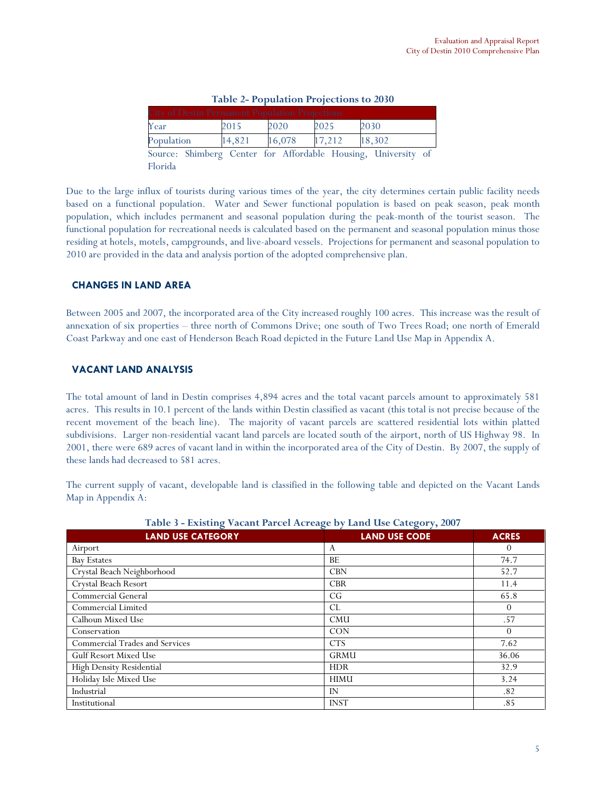| <b>City of Destin Permanent Population Projections</b> |        |        |        |                                                               |  |
|--------------------------------------------------------|--------|--------|--------|---------------------------------------------------------------|--|
| Year                                                   | 2015   | 2020   | 2025   | 2030                                                          |  |
| Population                                             | 14,821 | 16,078 | 17,212 | 18,302                                                        |  |
|                                                        |        |        |        | Source: Shimberg Center for Affordable Housing, University of |  |

Due to the large influx of tourists during various times of the year, the city determines certain public facility needs based on a functional population. Water and Sewer functional population is based on peak season, peak month population, which includes permanent and seasonal population during the peak-month of the tourist season. The functional population for recreational needs is calculated based on the permanent and seasonal population minus those residing at hotels, motels, campgrounds, and live-aboard vessels. Projections for permanent and seasonal population to 2010 are provided in the data and analysis portion of the adopted comprehensive plan.

### CHANGES IN LAND AREA

Florida

Between 2005 and 2007, the incorporated area of the City increased roughly 100 acres. This increase was the result of annexation of six properties – three north of Commons Drive; one south of Two Trees Road; one north of Emerald Coast Parkway and one east of Henderson Beach Road depicted in the Future Land Use Map in Appendix A.

### VACANT LAND ANALYSIS

The total amount of land in Destin comprises 4,894 acres and the total vacant parcels amount to approximately 581 acres. This results in 10.1 percent of the lands within Destin classified as vacant (this total is not precise because of the recent movement of the beach line). The majority of vacant parcels are scattered residential lots within platted subdivisions. Larger non-residential vacant land parcels are located south of the airport, north of US Highway 98. In 2001, there were 689 acres of vacant land in within the incorporated area of the City of Destin. By 2007, the supply of these lands had decreased to 581 acres.

The current supply of vacant, developable land is classified in the following table and depicted on the Vacant Lands Map in Appendix A:

| <b>LAND USE CATEGORY</b><br><b>LAND USE CODE</b><br><b>ACRES</b> |             |          |  |  |  |
|------------------------------------------------------------------|-------------|----------|--|--|--|
| Airport                                                          | A           | $\theta$ |  |  |  |
| <b>Bay Estates</b>                                               | BE          | 74.7     |  |  |  |
| Crystal Beach Neighborhood                                       | <b>CBN</b>  | 52.7     |  |  |  |
| Crystal Beach Resort                                             | <b>CBR</b>  | 11.4     |  |  |  |
| Commercial General                                               | CG          | 65.8     |  |  |  |
| Commercial Limited                                               | CL.         | $\theta$ |  |  |  |
| Calhoun Mixed Use                                                | <b>CMU</b>  | .57      |  |  |  |
| Conservation                                                     | <b>CON</b>  | $\theta$ |  |  |  |
| Commercial Trades and Services                                   | <b>CTS</b>  | 7.62     |  |  |  |
| <b>Gulf Resort Mixed Use</b>                                     | <b>GRMU</b> | 36.06    |  |  |  |
| High Density Residential                                         | <b>HDR</b>  | 32.9     |  |  |  |
| Holiday Isle Mixed Use                                           | <b>HIMU</b> | 3.24     |  |  |  |
| Industrial                                                       | IN          | .82      |  |  |  |
| Institutional                                                    | <b>INST</b> | .85      |  |  |  |

Table 3 - Existing Vacant Parcel Acreage by Land Use Category, 2007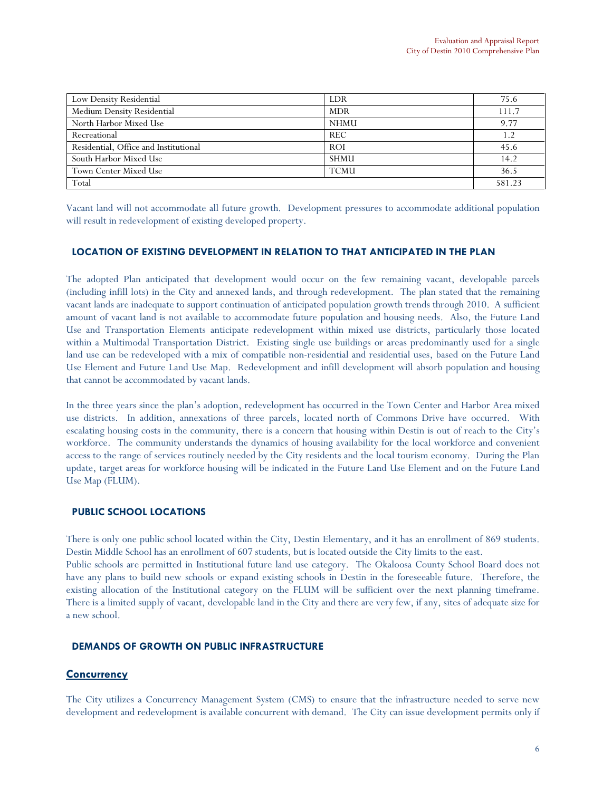| Low Density Residential               | LDR         | 75.6   |
|---------------------------------------|-------------|--------|
| Medium Density Residential            | <b>MDR</b>  | 111.7  |
| North Harbor Mixed Use                | <b>NHMU</b> | 9.77   |
| Recreational                          | <b>REC</b>  |        |
| Residential, Office and Institutional | <b>ROI</b>  | 45.6   |
| South Harbor Mixed Use                | <b>SHMU</b> | 14.2   |
| Town Center Mixed Use                 | <b>TCMU</b> | 36.5   |
| Total                                 |             | 581.23 |

Vacant land will not accommodate all future growth. Development pressures to accommodate additional population will result in redevelopment of existing developed property.

### LOCATION OF EXISTING DEVELOPMENT IN RELATION TO THAT ANTICIPATED IN THE PLAN

The adopted Plan anticipated that development would occur on the few remaining vacant, developable parcels (including infill lots) in the City and annexed lands, and through redevelopment. The plan stated that the remaining vacant lands are inadequate to support continuation of anticipated population growth trends through 2010. A sufficient amount of vacant land is not available to accommodate future population and housing needs. Also, the Future Land Use and Transportation Elements anticipate redevelopment within mixed use districts, particularly those located within a Multimodal Transportation District. Existing single use buildings or areas predominantly used for a single land use can be redeveloped with a mix of compatible non-residential and residential uses, based on the Future Land Use Element and Future Land Use Map. Redevelopment and infill development will absorb population and housing that cannot be accommodated by vacant lands.

In the three years since the plan's adoption, redevelopment has occurred in the Town Center and Harbor Area mixed use districts. In addition, annexations of three parcels, located north of Commons Drive have occurred. With escalating housing costs in the community, there is a concern that housing within Destin is out of reach to the City's workforce. The community understands the dynamics of housing availability for the local workforce and convenient access to the range of services routinely needed by the City residents and the local tourism economy. During the Plan update, target areas for workforce housing will be indicated in the Future Land Use Element and on the Future Land Use Map (FLUM).

#### PUBLIC SCHOOL LOCATIONS

There is only one public school located within the City, Destin Elementary, and it has an enrollment of 869 students. Destin Middle School has an enrollment of 607 students, but is located outside the City limits to the east.

Public schools are permitted in Institutional future land use category. The Okaloosa County School Board does not have any plans to build new schools or expand existing schools in Destin in the foreseeable future. Therefore, the existing allocation of the Institutional category on the FLUM will be sufficient over the next planning timeframe. There is a limited supply of vacant, developable land in the City and there are very few, if any, sites of adequate size for a new school.

#### DEMANDS OF GROWTH ON PUBLIC INFRASTRUCTURE

# **Concurrency**

The City utilizes a Concurrency Management System (CMS) to ensure that the infrastructure needed to serve new development and redevelopment is available concurrent with demand. The City can issue development permits only if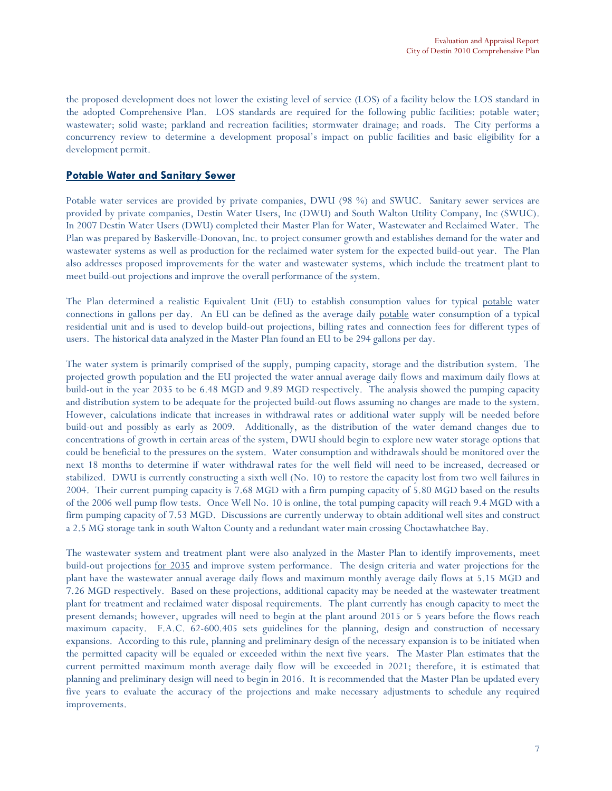the proposed development does not lower the existing level of service (LOS) of a facility below the LOS standard in the adopted Comprehensive Plan. LOS standards are required for the following public facilities: potable water; wastewater; solid waste; parkland and recreation facilities; stormwater drainage; and roads. The City performs a concurrency review to determine a development proposal's impact on public facilities and basic eligibility for a development permit.

# Potable Water and Sanitary Sewer

Potable water services are provided by private companies, DWU (98 %) and SWUC. Sanitary sewer services are provided by private companies, Destin Water Users, Inc (DWU) and South Walton Utility Company, Inc (SWUC). In 2007 Destin Water Users (DWU) completed their Master Plan for Water, Wastewater and Reclaimed Water. The Plan was prepared by Baskerville-Donovan, Inc. to project consumer growth and establishes demand for the water and wastewater systems as well as production for the reclaimed water system for the expected build-out year. The Plan also addresses proposed improvements for the water and wastewater systems, which include the treatment plant to meet build-out projections and improve the overall performance of the system.

The Plan determined a realistic Equivalent Unit (EU) to establish consumption values for typical potable water connections in gallons per day. An EU can be defined as the average daily potable water consumption of a typical residential unit and is used to develop build-out projections, billing rates and connection fees for different types of users. The historical data analyzed in the Master Plan found an EU to be 294 gallons per day.

The water system is primarily comprised of the supply, pumping capacity, storage and the distribution system. The projected growth population and the EU projected the water annual average daily flows and maximum daily flows at build-out in the year 2035 to be 6.48 MGD and 9.89 MGD respectively. The analysis showed the pumping capacity and distribution system to be adequate for the projected build-out flows assuming no changes are made to the system. However, calculations indicate that increases in withdrawal rates or additional water supply will be needed before build-out and possibly as early as 2009. Additionally, as the distribution of the water demand changes due to concentrations of growth in certain areas of the system, DWU should begin to explore new water storage options that could be beneficial to the pressures on the system. Water consumption and withdrawals should be monitored over the next 18 months to determine if water withdrawal rates for the well field will need to be increased, decreased or stabilized. DWU is currently constructing a sixth well (No. 10) to restore the capacity lost from two well failures in 2004. Their current pumping capacity is 7.68 MGD with a firm pumping capacity of 5.80 MGD based on the results of the 2006 well pump flow tests. Once Well No. 10 is online, the total pumping capacity will reach 9.4 MGD with a firm pumping capacity of 7.53 MGD. Discussions are currently underway to obtain additional well sites and construct a 2.5 MG storage tank in south Walton County and a redundant water main crossing Choctawhatchee Bay.

The wastewater system and treatment plant were also analyzed in the Master Plan to identify improvements, meet build-out projections for 2035 and improve system performance. The design criteria and water projections for the plant have the wastewater annual average daily flows and maximum monthly average daily flows at 5.15 MGD and 7.26 MGD respectively. Based on these projections, additional capacity may be needed at the wastewater treatment plant for treatment and reclaimed water disposal requirements. The plant currently has enough capacity to meet the present demands; however, upgrades will need to begin at the plant around 2015 or 5 years before the flows reach maximum capacity. F.A.C. 62-600.405 sets guidelines for the planning, design and construction of necessary expansions. According to this rule, planning and preliminary design of the necessary expansion is to be initiated when the permitted capacity will be equaled or exceeded within the next five years. The Master Plan estimates that the current permitted maximum month average daily flow will be exceeded in 2021; therefore, it is estimated that planning and preliminary design will need to begin in 2016. It is recommended that the Master Plan be updated every five years to evaluate the accuracy of the projections and make necessary adjustments to schedule any required improvements.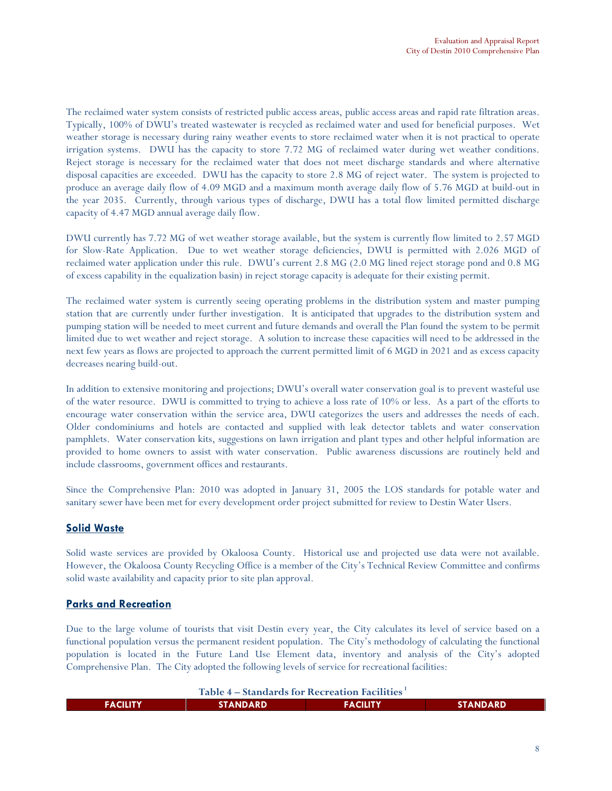The reclaimed water system consists of restricted public access areas, public access areas and rapid rate filtration areas. Typically, 100% of DWU's treated wastewater is recycled as reclaimed water and used for beneficial purposes. Wet weather storage is necessary during rainy weather events to store reclaimed water when it is not practical to operate irrigation systems. DWU has the capacity to store 7.72 MG of reclaimed water during wet weather conditions. Reject storage is necessary for the reclaimed water that does not meet discharge standards and where alternative disposal capacities are exceeded. DWU has the capacity to store 2.8 MG of reject water. The system is projected to produce an average daily flow of 4.09 MGD and a maximum month average daily flow of 5.76 MGD at build-out in the year 2035. Currently, through various types of discharge, DWU has a total flow limited permitted discharge capacity of 4.47 MGD annual average daily flow.

DWU currently has 7.72 MG of wet weather storage available, but the system is currently flow limited to 2.57 MGD for Slow-Rate Application. Due to wet weather storage deficiencies, DWU is permitted with 2.026 MGD of reclaimed water application under this rule. DWU's current 2.8 MG (2.0 MG lined reject storage pond and 0.8 MG of excess capability in the equalization basin) in reject storage capacity is adequate for their existing permit.

The reclaimed water system is currently seeing operating problems in the distribution system and master pumping station that are currently under further investigation. It is anticipated that upgrades to the distribution system and pumping station will be needed to meet current and future demands and overall the Plan found the system to be permit limited due to wet weather and reject storage. A solution to increase these capacities will need to be addressed in the next few years as flows are projected to approach the current permitted limit of 6 MGD in 2021 and as excess capacity decreases nearing build-out.

In addition to extensive monitoring and projections; DWU's overall water conservation goal is to prevent wasteful use of the water resource. DWU is committed to trying to achieve a loss rate of 10% or less. As a part of the efforts to encourage water conservation within the service area, DWU categorizes the users and addresses the needs of each. Older condominiums and hotels are contacted and supplied with leak detector tablets and water conservation pamphlets. Water conservation kits, suggestions on lawn irrigation and plant types and other helpful information are provided to home owners to assist with water conservation. Public awareness discussions are routinely held and include classrooms, government offices and restaurants.

Since the Comprehensive Plan: 2010 was adopted in January 31, 2005 the LOS standards for potable water and sanitary sewer have been met for every development order project submitted for review to Destin Water Users.

# Solid Waste

L

Solid waste services are provided by Okaloosa County. Historical use and projected use data were not available. However, the Okaloosa County Recycling Office is a member of the City's Technical Review Committee and confirms solid waste availability and capacity prior to site plan approval.

# Parks and Recreation

Due to the large volume of tourists that visit Destin every year, the City calculates its level of service based on a functional population versus the permanent resident population. The City's methodology of calculating the functional population is located in the Future Land Use Element data, inventory and analysis of the City's adopted Comprehensive Plan. The City adopted the following levels of service for recreational facilities:

Table  $4$  – Standards for Recreation Facilities<sup>1</sup>

| _________ |                  |                 |                 |  |
|-----------|------------------|-----------------|-----------------|--|
| FACILITY  | <b>STANDARD'</b> | <b>FACILITY</b> | <b>STANDARD</b> |  |
|           |                  |                 |                 |  |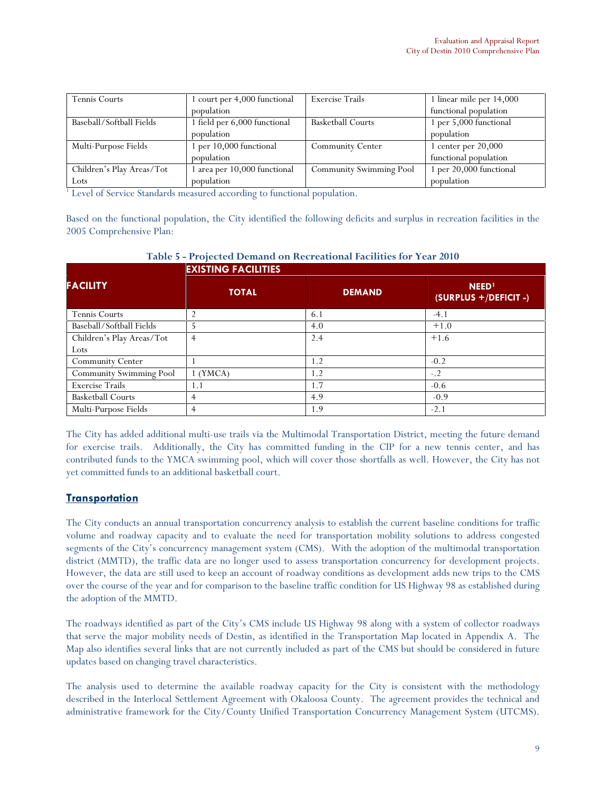| <b>Tennis Courts</b>      | 1 court per 4,000 functional | <b>Exercise Trails</b>   | 1 linear mile per 14,000 |
|---------------------------|------------------------------|--------------------------|--------------------------|
|                           | population                   |                          | functional population    |
| Baseball/Softball Fields  | 1 field per 6,000 functional | <b>Basketball Courts</b> | 1 per 5,000 functional   |
|                           | population                   |                          | population               |
| Multi-Purpose Fields      | 1 per 10,000 functional      | <b>Community Center</b>  | 1 center per $20,000$    |
|                           | population                   |                          | functional population    |
| Children's Play Areas/Tot | 1 area per 10,000 functional | Community Swimming Pool  | 1 per 20,000 functional  |
| Lots                      | population                   |                          | population               |

<sup>1</sup> Level of Service Standards measured according to functional population.

Based on the functional population, the City identified the following deficits and surplus in recreation facilities in the 2005 Comprehensive Plan:

|                           | <b>EXISTING FACILITIES</b> |               |                                                   |  |  |
|---------------------------|----------------------------|---------------|---------------------------------------------------|--|--|
| <b>FACILITY</b>           | <b>TOTAL</b>               | <b>DEMAND</b> | <b>NEED</b> <sup>1</sup><br>(SURPLUS +/DEFICIT -) |  |  |
| <b>Tennis Courts</b>      |                            | 6.1           | $-4.1$                                            |  |  |
| Baseball/Softball Fields  |                            | 4.0           | $+1.0$                                            |  |  |
| Children's Play Areas/Tot | 4                          | 2.4           | $+1.6$                                            |  |  |
| Lots                      |                            |               |                                                   |  |  |
| <b>Community Center</b>   |                            | 1.2           | $-0.2$                                            |  |  |
| Community Swimming Pool   | $1$ (YMCA)                 | 1.2           | $-.2$                                             |  |  |
| <b>Exercise Trails</b>    | 1.1                        | 1.7           | $-0.6$                                            |  |  |
| <b>Basketball Courts</b>  | 4                          | 4.9           | $-0.9$                                            |  |  |
| Multi-Purpose Fields      |                            | 1.9           | $-2.1$                                            |  |  |

Table 5 - Projected Demand on Recreational Facilities for Year 2010

The City has added additional multi-use trails via the Multimodal Transportation District, meeting the future demand for exercise trails. Additionally, the City has committed funding in the CIP for a new tennis center, and has contributed funds to the YMCA swimming pool, which will cover those shortfalls as well. However, the City has not yet committed funds to an additional basketball court.

# **Transportation**

The City conducts an annual transportation concurrency analysis to establish the current baseline conditions for traffic volume and roadway capacity and to evaluate the need for transportation mobility solutions to address congested segments of the City's concurrency management system (CMS). With the adoption of the multimodal transportation district (MMTD), the traffic data are no longer used to assess transportation concurrency for development projects. However, the data are still used to keep an account of roadway conditions as development adds new trips to the CMS over the course of the year and for comparison to the baseline traffic condition for US Highway 98 as established during the adoption of the MMTD.

The roadways identified as part of the City's CMS include US Highway 98 along with a system of collector roadways that serve the major mobility needs of Destin, as identified in the Transportation Map located in Appendix A. The Map also identifies several links that are not currently included as part of the CMS but should be considered in future updates based on changing travel characteristics.

The analysis used to determine the available roadway capacity for the City is consistent with the methodology described in the Interlocal Settlement Agreement with Okaloosa County. The agreement provides the technical and administrative framework for the City/County Unified Transportation Concurrency Management System (UTCMS).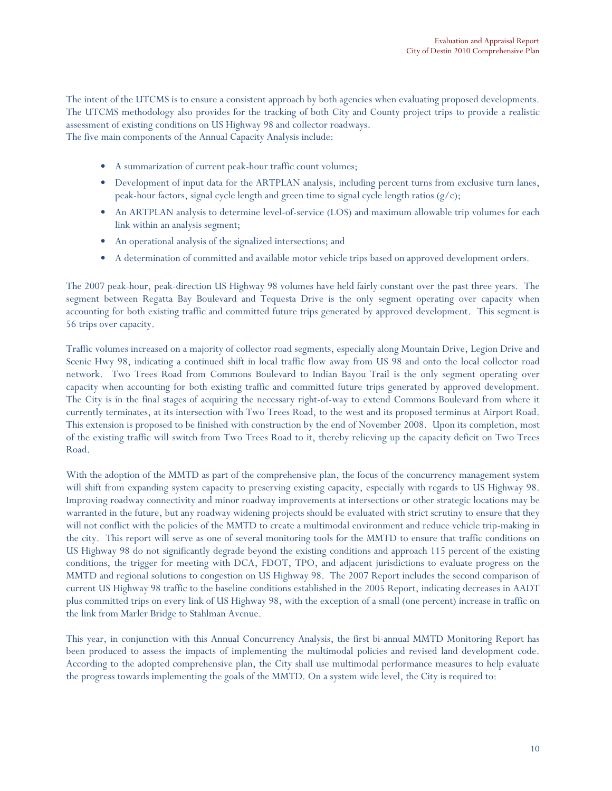The intent of the UTCMS is to ensure a consistent approach by both agencies when evaluating proposed developments. The UTCMS methodology also provides for the tracking of both City and County project trips to provide a realistic assessment of existing conditions on US Highway 98 and collector roadways.

The five main components of the Annual Capacity Analysis include:

- A summarization of current peak-hour traffic count volumes;
- Development of input data for the ARTPLAN analysis, including percent turns from exclusive turn lanes, peak-hour factors, signal cycle length and green time to signal cycle length ratios  $(g/c)$ ;
- An ARTPLAN analysis to determine level-of-service (LOS) and maximum allowable trip volumes for each link within an analysis segment;
- An operational analysis of the signalized intersections; and
- A determination of committed and available motor vehicle trips based on approved development orders.

The 2007 peak-hour, peak-direction US Highway 98 volumes have held fairly constant over the past three years. The segment between Regatta Bay Boulevard and Tequesta Drive is the only segment operating over capacity when accounting for both existing traffic and committed future trips generated by approved development. This segment is 56 trips over capacity.

Traffic volumes increased on a majority of collector road segments, especially along Mountain Drive, Legion Drive and Scenic Hwy 98, indicating a continued shift in local traffic flow away from US 98 and onto the local collector road network. Two Trees Road from Commons Boulevard to Indian Bayou Trail is the only segment operating over capacity when accounting for both existing traffic and committed future trips generated by approved development. The City is in the final stages of acquiring the necessary right-of-way to extend Commons Boulevard from where it currently terminates, at its intersection with Two Trees Road, to the west and its proposed terminus at Airport Road. This extension is proposed to be finished with construction by the end of November 2008. Upon its completion, most of the existing traffic will switch from Two Trees Road to it, thereby relieving up the capacity deficit on Two Trees Road.

With the adoption of the MMTD as part of the comprehensive plan, the focus of the concurrency management system will shift from expanding system capacity to preserving existing capacity, especially with regards to US Highway 98. Improving roadway connectivity and minor roadway improvements at intersections or other strategic locations may be warranted in the future, but any roadway widening projects should be evaluated with strict scrutiny to ensure that they will not conflict with the policies of the MMTD to create a multimodal environment and reduce vehicle trip-making in the city. This report will serve as one of several monitoring tools for the MMTD to ensure that traffic conditions on US Highway 98 do not significantly degrade beyond the existing conditions and approach 115 percent of the existing conditions, the trigger for meeting with DCA, FDOT, TPO, and adjacent jurisdictions to evaluate progress on the MMTD and regional solutions to congestion on US Highway 98. The 2007 Report includes the second comparison of current US Highway 98 traffic to the baseline conditions established in the 2005 Report, indicating decreases in AADT plus committed trips on every link of US Highway 98, with the exception of a small (one percent) increase in traffic on the link from Marler Bridge to Stahlman Avenue.

This year, in conjunction with this Annual Concurrency Analysis, the first bi-annual MMTD Monitoring Report has been produced to assess the impacts of implementing the multimodal policies and revised land development code. According to the adopted comprehensive plan, the City shall use multimodal performance measures to help evaluate the progress towards implementing the goals of the MMTD. On a system wide level, the City is required to: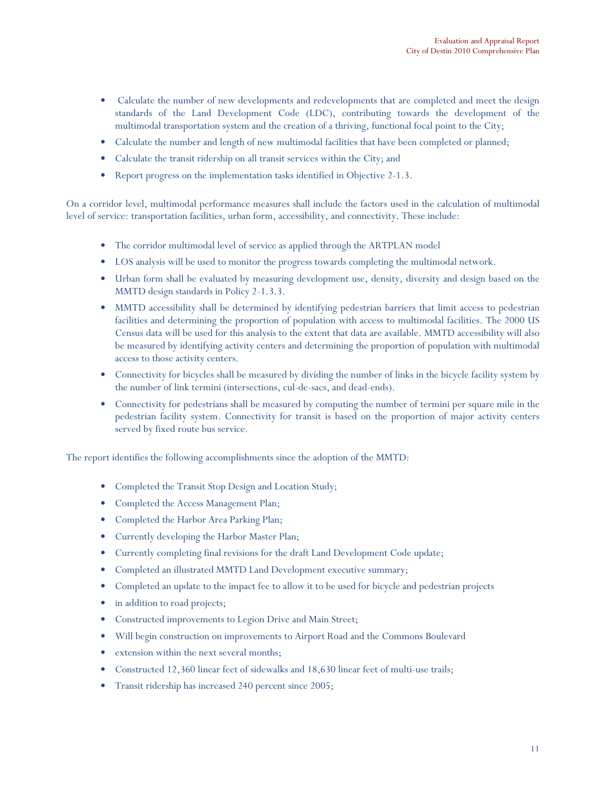- Calculate the number of new developments and redevelopments that are completed and meet the design standards of the Land Development Code (LDC), contributing towards the development of the multimodal transportation system and the creation of a thriving, functional focal point to the City;
- Calculate the number and length of new multimodal facilities that have been completed or planned;
- Calculate the transit ridership on all transit services within the City; and
- Report progress on the implementation tasks identified in Objective 2-1.3.

On a corridor level, multimodal performance measures shall include the factors used in the calculation of multimodal level of service: transportation facilities, urban form, accessibility, and connectivity. These include:

- The corridor multimodal level of service as applied through the ARTPLAN model
- LOS analysis will be used to monitor the progress towards completing the multimodal network.
- Urban form shall be evaluated by measuring development use, density, diversity and design based on the MMTD design standards in Policy 2-1.3.3.
- MMTD accessibility shall be determined by identifying pedestrian barriers that limit access to pedestrian facilities and determining the proportion of population with access to multimodal facilities. The 2000 US Census data will be used for this analysis to the extent that data are available. MMTD accessibility will also be measured by identifying activity centers and determining the proportion of population with multimodal access to those activity centers.
- Connectivity for bicycles shall be measured by dividing the number of links in the bicycle facility system by the number of link termini (intersections, cul-de-sacs, and dead-ends).
- Connectivity for pedestrians shall be measured by computing the number of termini per square mile in the pedestrian facility system. Connectivity for transit is based on the proportion of major activity centers served by fixed route bus service.

The report identifies the following accomplishments since the adoption of the MMTD:

- Completed the Transit Stop Design and Location Study;
- Completed the Access Management Plan;
- Completed the Harbor Area Parking Plan;
- Currently developing the Harbor Master Plan;
- Currently completing final revisions for the draft Land Development Code update;
- Completed an illustrated MMTD Land Development executive summary;
- Completed an update to the impact fee to allow it to be used for bicycle and pedestrian projects
- in addition to road projects;
- Constructed improvements to Legion Drive and Main Street;
- Will begin construction on improvements to Airport Road and the Commons Boulevard
- extension within the next several months;
- Constructed 12,360 linear feet of sidewalks and 18,630 linear feet of multi-use trails;
- Transit ridership has increased 240 percent since 2005;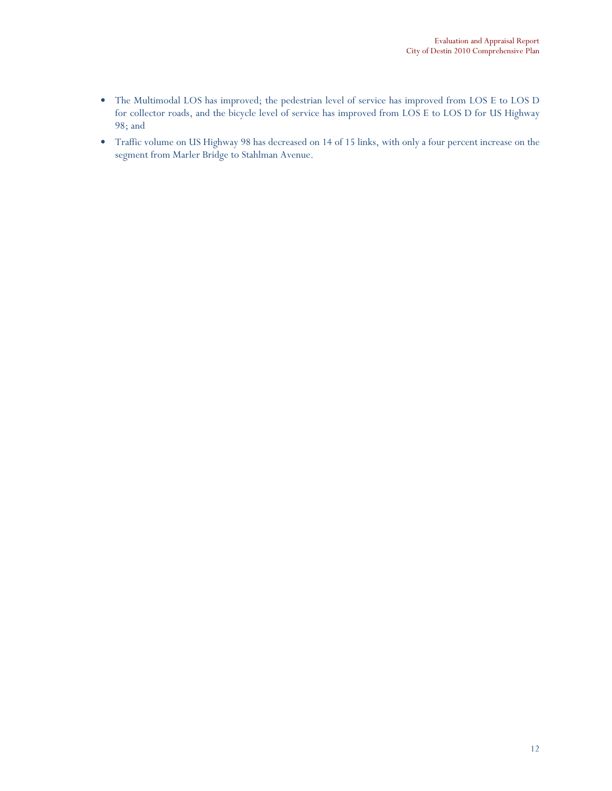- The Multimodal LOS has improved; the pedestrian level of service has improved from LOS E to LOS D for collector roads, and the bicycle level of service has improved from LOS E to LOS D for US Highway 98; and
- Traffic volume on US Highway 98 has decreased on 14 of 15 links, with only a four percent increase on the segment from Marler Bridge to Stahlman Avenue.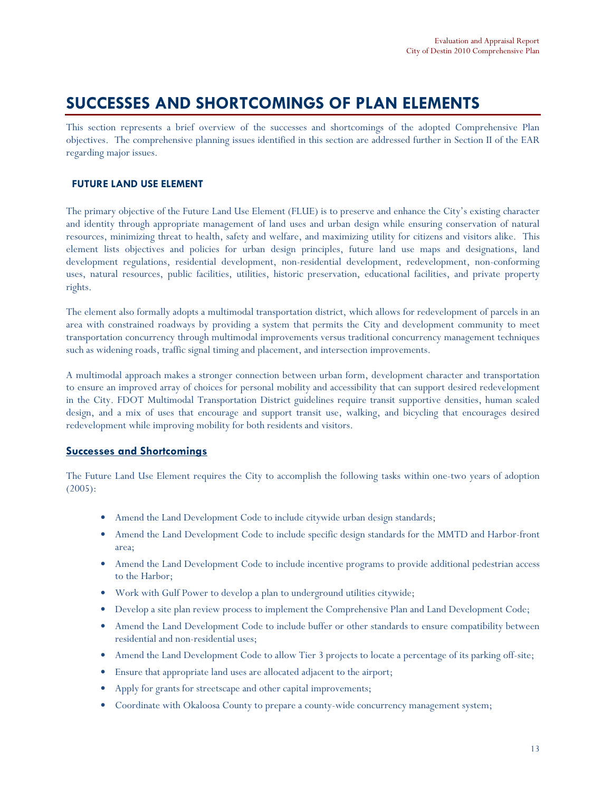# SUCCESSES AND SHORTCOMINGS OF PLAN ELEMENTS

This section represents a brief overview of the successes and shortcomings of the adopted Comprehensive Plan objectives. The comprehensive planning issues identified in this section are addressed further in Section II of the EAR regarding major issues.

# FUTURE LAND USE ELEMENT

The primary objective of the Future Land Use Element (FLUE) is to preserve and enhance the City's existing character and identity through appropriate management of land uses and urban design while ensuring conservation of natural resources, minimizing threat to health, safety and welfare, and maximizing utility for citizens and visitors alike. This element lists objectives and policies for urban design principles, future land use maps and designations, land development regulations, residential development, non-residential development, redevelopment, non-conforming uses, natural resources, public facilities, utilities, historic preservation, educational facilities, and private property rights.

The element also formally adopts a multimodal transportation district, which allows for redevelopment of parcels in an area with constrained roadways by providing a system that permits the City and development community to meet transportation concurrency through multimodal improvements versus traditional concurrency management techniques such as widening roads, traffic signal timing and placement, and intersection improvements.

A multimodal approach makes a stronger connection between urban form, development character and transportation to ensure an improved array of choices for personal mobility and accessibility that can support desired redevelopment in the City. FDOT Multimodal Transportation District guidelines require transit supportive densities, human scaled design, and a mix of uses that encourage and support transit use, walking, and bicycling that encourages desired redevelopment while improving mobility for both residents and visitors.

# Successes and Shortcomings

The Future Land Use Element requires the City to accomplish the following tasks within one-two years of adoption (2005):

- Amend the Land Development Code to include citywide urban design standards;
- Amend the Land Development Code to include specific design standards for the MMTD and Harbor-front area;
- Amend the Land Development Code to include incentive programs to provide additional pedestrian access to the Harbor;
- Work with Gulf Power to develop a plan to underground utilities citywide;
- Develop a site plan review process to implement the Comprehensive Plan and Land Development Code;
- Amend the Land Development Code to include buffer or other standards to ensure compatibility between residential and non-residential uses;
- Amend the Land Development Code to allow Tier 3 projects to locate a percentage of its parking off-site;
- Ensure that appropriate land uses are allocated adjacent to the airport;
- Apply for grants for streetscape and other capital improvements;
- Coordinate with Okaloosa County to prepare a county-wide concurrency management system;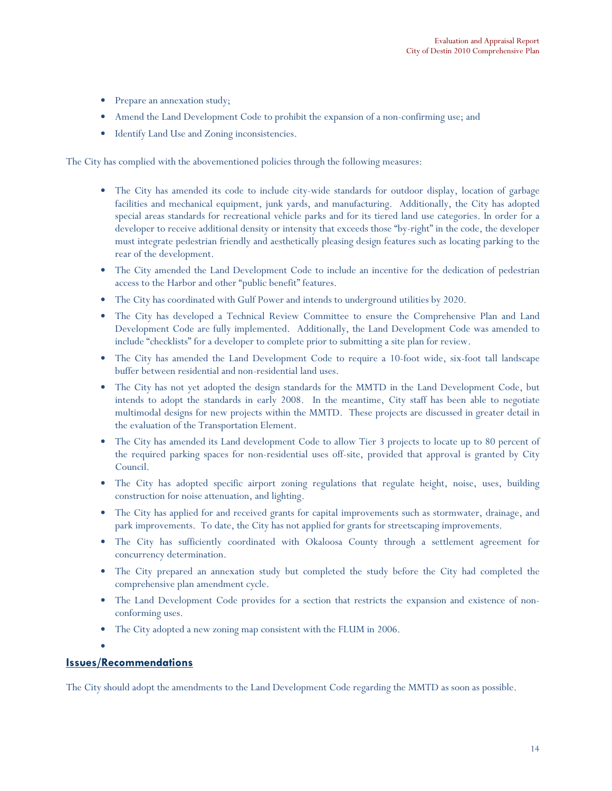- Prepare an annexation study;
- Amend the Land Development Code to prohibit the expansion of a non-confirming use; and
- Identify Land Use and Zoning inconsistencies.

The City has complied with the abovementioned policies through the following measures:

- The City has amended its code to include city-wide standards for outdoor display, location of garbage facilities and mechanical equipment, junk yards, and manufacturing. Additionally, the City has adopted special areas standards for recreational vehicle parks and for its tiered land use categories. In order for a developer to receive additional density or intensity that exceeds those "by-right" in the code, the developer must integrate pedestrian friendly and aesthetically pleasing design features such as locating parking to the rear of the development.
- The City amended the Land Development Code to include an incentive for the dedication of pedestrian access to the Harbor and other "public benefit" features.
- The City has coordinated with Gulf Power and intends to underground utilities by 2020.
- The City has developed a Technical Review Committee to ensure the Comprehensive Plan and Land Development Code are fully implemented. Additionally, the Land Development Code was amended to include "checklists" for a developer to complete prior to submitting a site plan for review.
- The City has amended the Land Development Code to require a 10-foot wide, six-foot tall landscape buffer between residential and non-residential land uses.
- The City has not yet adopted the design standards for the MMTD in the Land Development Code, but intends to adopt the standards in early 2008. In the meantime, City staff has been able to negotiate multimodal designs for new projects within the MMTD. These projects are discussed in greater detail in the evaluation of the Transportation Element.
- The City has amended its Land development Code to allow Tier 3 projects to locate up to 80 percent of the required parking spaces for non-residential uses off-site, provided that approval is granted by City Council.
- The City has adopted specific airport zoning regulations that regulate height, noise, uses, building construction for noise attenuation, and lighting.
- The City has applied for and received grants for capital improvements such as stormwater, drainage, and park improvements. To date, the City has not applied for grants for streetscaping improvements.
- The City has sufficiently coordinated with Okaloosa County through a settlement agreement for concurrency determination.
- The City prepared an annexation study but completed the study before the City had completed the comprehensive plan amendment cycle.
- The Land Development Code provides for a section that restricts the expansion and existence of nonconforming uses.
- The City adopted a new zoning map consistent with the FLUM in 2006.

•

# Issues/Recommendations

The City should adopt the amendments to the Land Development Code regarding the MMTD as soon as possible.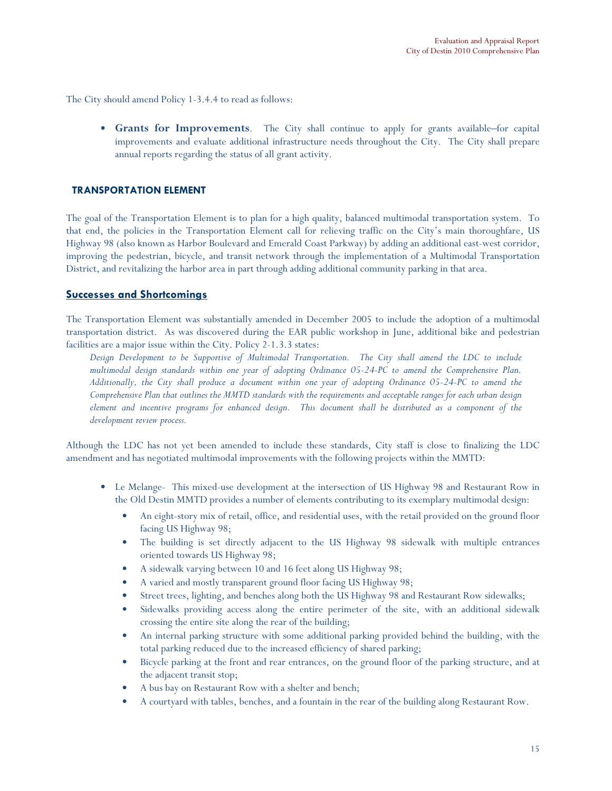The City should amend Policy 1-3.4.4 to read as follows:

• Grants for Improvements. The City shall continue to apply for grants available–for capital improvements and evaluate additional infrastructure needs throughout the City. The City shall prepare annual reports regarding the status of all grant activity.

#### TRANSPORTATION ELEMENT

The goal of the Transportation Element is to plan for a high quality, balanced multimodal transportation system. To that end, the policies in the Transportation Element call for relieving traffic on the City's main thoroughfare, US Highway 98 (also known as Harbor Boulevard and Emerald Coast Parkway) by adding an additional east-west corridor, improving the pedestrian, bicycle, and transit network through the implementation of a Multimodal Transportation District, and revitalizing the harbor area in part through adding additional community parking in that area.

### Successes and Shortcomings

The Transportation Element was substantially amended in December 2005 to include the adoption of a multimodal transportation district. As was discovered during the EAR public workshop in June, additional bike and pedestrian facilities are a major issue within the City. Policy 2-1.3.3 states:

Design Development to be Supportive of Multimodal Transportation. The City shall amend the LDC to include multimodal design standards within one year of adopting Ordinance 05-24-PC to amend the Comprehensive Plan. Additionally, the City shall produce a document within one year of adopting Ordinance 05-24-PC to amend the Comprehensive Plan that outlines the MMTD standards with the requirements and acceptable ranges for each urban design element and incentive programs for enhanced design. This document shall be distributed as a component of the development review process.

Although the LDC has not yet been amended to include these standards, City staff is close to finalizing the LDC amendment and has negotiated multimodal improvements with the following projects within the MMTD:

- Le Melange- This mixed-use development at the intersection of US Highway 98 and Restaurant Row in the Old Destin MMTD provides a number of elements contributing to its exemplary multimodal design:
	- An eight-story mix of retail, office, and residential uses, with the retail provided on the ground floor facing US Highway 98;
	- The building is set directly adjacent to the US Highway 98 sidewalk with multiple entrances oriented towards US Highway 98;
	- A sidewalk varying between 10 and 16 feet along US Highway 98;
	- A varied and mostly transparent ground floor facing US Highway 98;
	- Street trees, lighting, and benches along both the US Highway 98 and Restaurant Row sidewalks;
	- Sidewalks providing access along the entire perimeter of the site, with an additional sidewalk crossing the entire site along the rear of the building;
	- An internal parking structure with some additional parking provided behind the building, with the total parking reduced due to the increased efficiency of shared parking;
	- Bicycle parking at the front and rear entrances, on the ground floor of the parking structure, and at the adjacent transit stop;
	- A bus bay on Restaurant Row with a shelter and bench;
	- A courtyard with tables, benches, and a fountain in the rear of the building along Restaurant Row.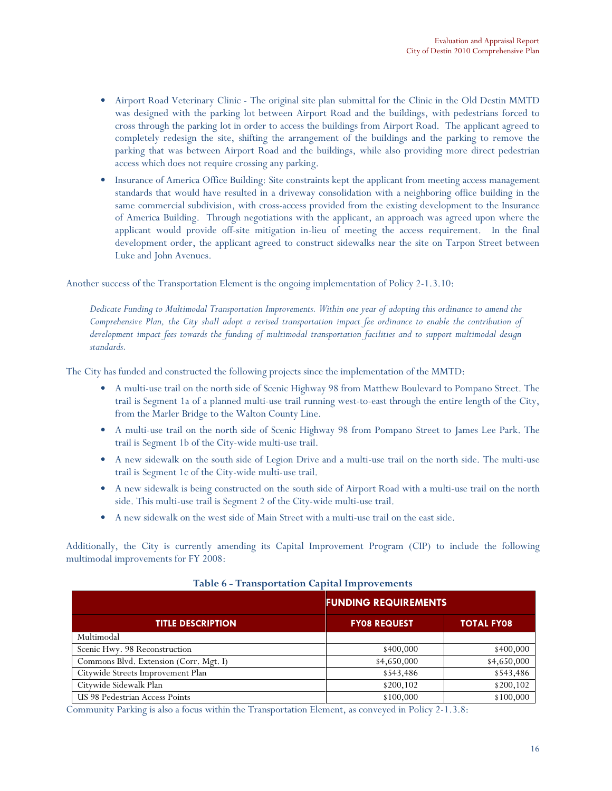- Airport Road Veterinary Clinic The original site plan submittal for the Clinic in the Old Destin MMTD was designed with the parking lot between Airport Road and the buildings, with pedestrians forced to cross through the parking lot in order to access the buildings from Airport Road. The applicant agreed to completely redesign the site, shifting the arrangement of the buildings and the parking to remove the parking that was between Airport Road and the buildings, while also providing more direct pedestrian access which does not require crossing any parking.
- Insurance of America Office Building: Site constraints kept the applicant from meeting access management standards that would have resulted in a driveway consolidation with a neighboring office building in the same commercial subdivision, with cross-access provided from the existing development to the Insurance of America Building. Through negotiations with the applicant, an approach was agreed upon where the applicant would provide off-site mitigation in-lieu of meeting the access requirement. In the final development order, the applicant agreed to construct sidewalks near the site on Tarpon Street between Luke and John Avenues.

Another success of the Transportation Element is the ongoing implementation of Policy 2-1.3.10:

Dedicate Funding to Multimodal Transportation Improvements. Within one year of adopting this ordinance to amend the Comprehensive Plan, the City shall adopt a revised transportation impact fee ordinance to enable the contribution of development impact fees towards the funding of multimodal transportation facilities and to support multimodal design standards.

The City has funded and constructed the following projects since the implementation of the MMTD:

- A multi-use trail on the north side of Scenic Highway 98 from Matthew Boulevard to Pompano Street. The trail is Segment 1a of a planned multi-use trail running west-to-east through the entire length of the City, from the Marler Bridge to the Walton County Line.
- A multi-use trail on the north side of Scenic Highway 98 from Pompano Street to James Lee Park. The trail is Segment 1b of the City-wide multi-use trail.
- A new sidewalk on the south side of Legion Drive and a multi-use trail on the north side. The multi-use trail is Segment 1c of the City-wide multi-use trail.
- A new sidewalk is being constructed on the south side of Airport Road with a multi-use trail on the north side. This multi-use trail is Segment 2 of the City-wide multi-use trail.
- A new sidewalk on the west side of Main Street with a multi-use trail on the east side.

Additionally, the City is currently amending its Capital Improvement Program (CIP) to include the following multimodal improvements for FY 2008:

|                                        | <b>FUNDING REQUIREMENTS</b> |                   |  |  |
|----------------------------------------|-----------------------------|-------------------|--|--|
| <b>TITLE DESCRIPTION</b>               | <b>FYO8 REQUEST</b>         | <b>TOTAL FY08</b> |  |  |
| Multimodal                             |                             |                   |  |  |
| Scenic Hwy. 98 Reconstruction          | \$400,000                   | \$400,000         |  |  |
| Commons Blvd. Extension (Corr. Mgt. I) | \$4,650,000                 | \$4,650,000       |  |  |
| Citywide Streets Improvement Plan      | \$543,486                   | \$543,486         |  |  |
| Citywide Sidewalk Plan                 | \$200,102                   | \$200,102         |  |  |
| US 98 Pedestrian Access Points         | \$100,000                   | \$100,000         |  |  |

Table 6 - Transportation Capital Improvements

Community Parking is also a focus within the Transportation Element, as conveyed in Policy 2-1.3.8: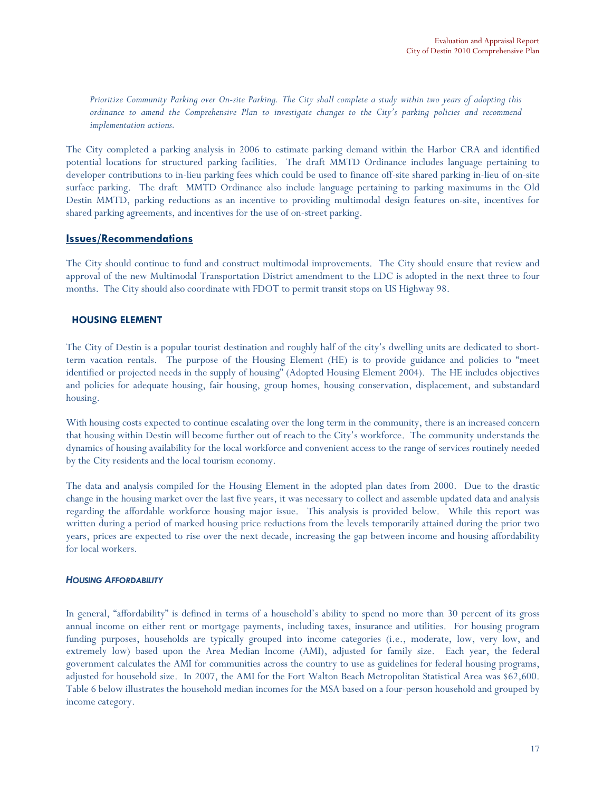Prioritize Community Parking over On-site Parking. The City shall complete a study within two years of adopting this ordinance to amend the Comprehensive Plan to investigate changes to the City's parking policies and recommend implementation actions.

The City completed a parking analysis in 2006 to estimate parking demand within the Harbor CRA and identified potential locations for structured parking facilities. The draft MMTD Ordinance includes language pertaining to developer contributions to in-lieu parking fees which could be used to finance off-site shared parking in-lieu of on-site surface parking. The draft MMTD Ordinance also include language pertaining to parking maximums in the Old Destin MMTD, parking reductions as an incentive to providing multimodal design features on-site, incentives for shared parking agreements, and incentives for the use of on-street parking.

### Issues/Recommendations

The City should continue to fund and construct multimodal improvements. The City should ensure that review and approval of the new Multimodal Transportation District amendment to the LDC is adopted in the next three to four months. The City should also coordinate with FDOT to permit transit stops on US Highway 98.

### HOUSING ELEMENT

The City of Destin is a popular tourist destination and roughly half of the city's dwelling units are dedicated to shortterm vacation rentals. The purpose of the Housing Element (HE) is to provide guidance and policies to "meet identified or projected needs in the supply of housing" (Adopted Housing Element 2004). The HE includes objectives and policies for adequate housing, fair housing, group homes, housing conservation, displacement, and substandard housing.

With housing costs expected to continue escalating over the long term in the community, there is an increased concern that housing within Destin will become further out of reach to the City's workforce. The community understands the dynamics of housing availability for the local workforce and convenient access to the range of services routinely needed by the City residents and the local tourism economy.

The data and analysis compiled for the Housing Element in the adopted plan dates from 2000. Due to the drastic change in the housing market over the last five years, it was necessary to collect and assemble updated data and analysis regarding the affordable workforce housing major issue. This analysis is provided below. While this report was written during a period of marked housing price reductions from the levels temporarily attained during the prior two years, prices are expected to rise over the next decade, increasing the gap between income and housing affordability for local workers.

#### HOUSING AFFORDABILITY

In general, "affordability" is defined in terms of a household's ability to spend no more than 30 percent of its gross annual income on either rent or mortgage payments, including taxes, insurance and utilities. For housing program funding purposes, households are typically grouped into income categories (i.e., moderate, low, very low, and extremely low) based upon the Area Median Income (AMI), adjusted for family size. Each year, the federal government calculates the AMI for communities across the country to use as guidelines for federal housing programs, adjusted for household size. In 2007, the AMI for the Fort Walton Beach Metropolitan Statistical Area was \$62,600. Table 6 below illustrates the household median incomes for the MSA based on a four-person household and grouped by income category.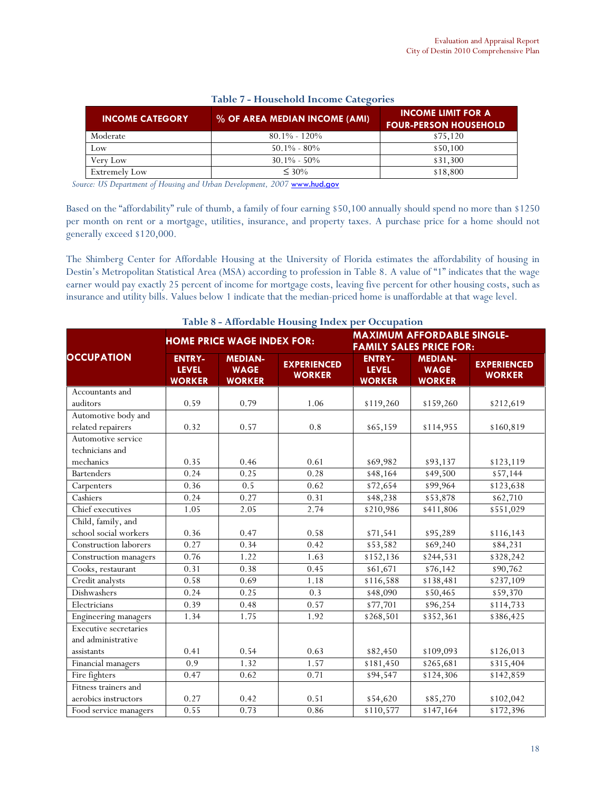| <b>INCOME CATEGORY</b> | % OF AREA MEDIAN INCOME (AMI) | <b>INCOME LIMIT FOR A</b><br><b>FOUR-PERSON HOUSEHOLD</b> |
|------------------------|-------------------------------|-----------------------------------------------------------|
| Moderate               | $80.1\% - 120\%$              | \$75,120                                                  |
| Low                    | $50.1\% - 80\%$               | \$50,100                                                  |
| Verv Low               | $30.1\% - 50\%$               | \$31,300                                                  |
| <b>Extremely Low</b>   | $\leq 30\%$                   | \$18,800                                                  |

# Table 7 - Household Income Categories

Source: US Department of Housing and Urban Development, 2007 www.hud.gov

Based on the "affordability" rule of thumb, a family of four earning \$50,100 annually should spend no more than \$1250 per month on rent or a mortgage, utilities, insurance, and property taxes. A purchase price for a home should not generally exceed \$120,000.

The Shimberg Center for Affordable Housing at the University of Florida estimates the affordability of housing in Destin's Metropolitan Statistical Area (MSA) according to profession in Table 8. A value of "1" indicates that the wage earner would pay exactly 25 percent of income for mortgage costs, leaving five percent for other housing costs, such as insurance and utility bills. Values below 1 indicate that the median-priced home is unaffordable at that wage level.

|                                       |                                                |                                                | Table 8 - Affordable Housing Index per Occupation |                                                                     |                                                |                                     |  |  |
|---------------------------------------|------------------------------------------------|------------------------------------------------|---------------------------------------------------|---------------------------------------------------------------------|------------------------------------------------|-------------------------------------|--|--|
|                                       |                                                | <b>HOME PRICE WAGE INDEX FOR:</b>              |                                                   | <b>MAXIMUM AFFORDABLE SINGLE-</b><br><b>FAMILY SALES PRICE FOR:</b> |                                                |                                     |  |  |
| <b>OCCUPATION</b>                     | <b>ENTRY-</b><br><b>LEVEL</b><br><b>WORKER</b> | <b>MEDIAN-</b><br><b>WAGE</b><br><b>WORKER</b> | <b>EXPERIENCED</b><br><b>WORKER</b>               | <b>ENTRY-</b><br><b>LEVEL</b><br><b>WORKER</b>                      | <b>MEDIAN-</b><br><b>WAGE</b><br><b>WORKER</b> | <b>EXPERIENCED</b><br><b>WORKER</b> |  |  |
| Accountants and                       |                                                |                                                |                                                   |                                                                     |                                                |                                     |  |  |
| auditors                              | 0.59                                           | 0.79                                           | 1.06                                              | \$119,260                                                           | \$159,260                                      | \$212,619                           |  |  |
| Automotive body and                   |                                                |                                                |                                                   |                                                                     |                                                |                                     |  |  |
| related repairers                     | 0.32                                           | 0.57                                           | 0.8                                               | \$65,159                                                            | \$114,955                                      | \$160,819                           |  |  |
| Automotive service<br>technicians and |                                                |                                                |                                                   |                                                                     |                                                |                                     |  |  |
| mechanics                             | 0.35                                           | 0.46                                           | 0.61                                              | \$69,982                                                            | \$93,137                                       | \$123,119                           |  |  |
| <b>Bartenders</b>                     | 0.24                                           | 0.25                                           | 0.28                                              | \$48,164                                                            | \$49,500                                       | \$57,144                            |  |  |
| Carpenters                            | 0.36                                           | 0.5                                            | 0.62                                              | \$72,654                                                            | \$99,964                                       | \$123,638                           |  |  |
| Cashiers                              | 0.24                                           | 0.27                                           | 0.31                                              | \$48,238                                                            | \$53,878                                       | \$62,710                            |  |  |
| Chief executives                      | 1.05                                           | 2.05                                           | 2.74                                              | \$210,986                                                           | \$411,806                                      | \$551,029                           |  |  |
| Child, family, and                    |                                                |                                                |                                                   |                                                                     |                                                |                                     |  |  |
| school social workers                 | 0.36                                           | 0.47                                           | 0.58                                              | \$71,541                                                            | \$95,289                                       | \$116,143                           |  |  |
| Construction laborers                 | 0.27                                           | 0.34                                           | 0.42                                              | \$53,582                                                            | \$69,240                                       | \$84,231                            |  |  |
| Construction managers                 | 0.76                                           | 1.22                                           | 1.63                                              | \$152,136                                                           | \$244,531                                      | $\overline{$328,242}$               |  |  |
| Cooks, restaurant                     | 0.31                                           | 0.38                                           | 0.45                                              | \$61,671                                                            | \$76,142                                       | \$90,762                            |  |  |
| Credit analysts                       | 0.58                                           | 0.69                                           | 1.18                                              | \$116,588                                                           | \$138,481                                      | \$237,109                           |  |  |
| Dishwashers                           | 0.24                                           | 0.25                                           | 0.3                                               | \$48,090                                                            | \$50,465                                       | \$59,370                            |  |  |
| Electricians                          | 0.39                                           | 0.48                                           | 0.57                                              | \$77,701                                                            | \$96,254                                       | \$114,733                           |  |  |
| Engineering managers                  | 1.34                                           | 1.75                                           | 1.92                                              | \$268,501                                                           | \$352,361                                      | \$386,425                           |  |  |
| <b>Executive secretaries</b>          |                                                |                                                |                                                   |                                                                     |                                                |                                     |  |  |
| and administrative                    |                                                |                                                |                                                   |                                                                     |                                                |                                     |  |  |
| assistants                            | 0.41                                           | 0.54                                           | 0.63                                              | \$82,450                                                            | \$109,093                                      | \$126,013                           |  |  |
| Financial managers                    | $\overline{0.9}$                               | 1.32                                           | 1.57                                              | \$181,450                                                           | \$265,681                                      | \$315,404                           |  |  |
| Fire fighters                         | 0.47                                           | 0.62                                           | 0.71                                              | \$94,547                                                            | \$124,306                                      | \$142,859                           |  |  |
| Fitness trainers and                  |                                                |                                                |                                                   |                                                                     |                                                |                                     |  |  |
| aerobics instructors                  | 0.27                                           | 0.42                                           | 0.51                                              | \$54,620                                                            | \$85,270                                       | \$102,042                           |  |  |
| Food service managers                 | 0.55                                           | 0.73                                           | 0.86                                              | \$110,577                                                           | \$147,164                                      | \$172,396                           |  |  |

Table 8 - Affordable Housing Index per Occupation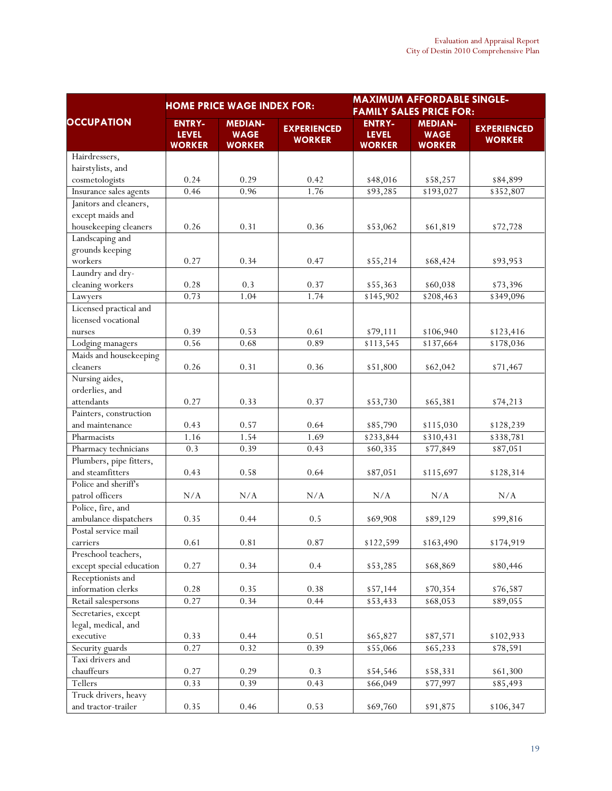|                                               |                                                | <b>HOME PRICE WAGE INDEX FOR:</b>              |                                     | <b>MAXIMUM AFFORDABLE SINGLE-</b><br><b>FAMILY SALES PRICE FOR:</b> |                                                |                                     |  |  |
|-----------------------------------------------|------------------------------------------------|------------------------------------------------|-------------------------------------|---------------------------------------------------------------------|------------------------------------------------|-------------------------------------|--|--|
| <b>OCCUPATION</b>                             | <b>ENTRY-</b><br><b>LEVEL</b><br><b>WORKER</b> | <b>MEDIAN-</b><br><b>WAGE</b><br><b>WORKER</b> | <b>EXPERIENCED</b><br><b>WORKER</b> | <b>ENTRY-</b><br><b>LEVEL</b><br><b>WORKER</b>                      | <b>MEDIAN-</b><br><b>WAGE</b><br><b>WORKER</b> | <b>EXPERIENCED</b><br><b>WORKER</b> |  |  |
| Hairdressers,                                 |                                                |                                                |                                     |                                                                     |                                                |                                     |  |  |
| hairstylists, and                             |                                                |                                                |                                     |                                                                     |                                                |                                     |  |  |
| cosmetologists                                | 0.24                                           | 0.29                                           | 0.42                                | \$48,016                                                            | \$58,257                                       | \$84,899                            |  |  |
| Insurance sales agents                        | 0.46                                           | 0.96                                           | 1.76                                | \$93,285                                                            | \$193,027                                      | \$352,807                           |  |  |
| Janitors and cleaners,                        |                                                |                                                |                                     |                                                                     |                                                |                                     |  |  |
| except maids and                              |                                                |                                                |                                     |                                                                     |                                                |                                     |  |  |
| housekeeping cleaners                         | 0.26                                           | 0.31                                           | 0.36                                | \$53,062                                                            | \$61,819                                       | \$72,728                            |  |  |
| Landscaping and                               |                                                |                                                |                                     |                                                                     |                                                |                                     |  |  |
| grounds keeping                               |                                                |                                                |                                     |                                                                     |                                                |                                     |  |  |
| workers                                       | 0.27                                           | 0.34                                           | 0.47                                | \$55,214                                                            | \$68,424                                       | \$93,953                            |  |  |
| Laundry and dry-                              |                                                |                                                |                                     |                                                                     |                                                |                                     |  |  |
| cleaning workers                              | 0.28                                           | 0.3                                            | 0.37                                | \$55,363                                                            | \$60,038                                       | \$73,396                            |  |  |
| Lawyers                                       | 0.73                                           | 1.04                                           | 1.74                                | \$145,902                                                           | \$208,463                                      | \$349,096                           |  |  |
| Licensed practical and<br>licensed vocational |                                                |                                                |                                     |                                                                     |                                                |                                     |  |  |
| nurses                                        | 0.39                                           | 0.53                                           | 0.61                                | \$79,111                                                            | \$106,940                                      | \$123,416                           |  |  |
| Lodging managers                              | 0.56                                           | 0.68                                           | 0.89                                | \$113,545                                                           | \$137,664                                      | \$178,036                           |  |  |
| Maids and housekeeping                        |                                                |                                                |                                     |                                                                     |                                                |                                     |  |  |
| cleaners                                      | 0.26                                           | 0.31                                           | 0.36                                | \$51,800                                                            | \$62,042                                       | \$71,467                            |  |  |
| Nursing aides,                                |                                                |                                                |                                     |                                                                     |                                                |                                     |  |  |
| orderlies, and                                |                                                |                                                |                                     |                                                                     |                                                |                                     |  |  |
| attendants                                    | 0.27                                           | 0.33                                           | 0.37                                | \$53,730                                                            | \$65,381                                       | \$74,213                            |  |  |
| Painters, construction                        |                                                |                                                |                                     |                                                                     |                                                |                                     |  |  |
| and maintenance                               | 0.43                                           | 0.57                                           | 0.64                                | \$85,790                                                            | \$115,030                                      | \$128,239                           |  |  |
| Pharmacists                                   | 1.16                                           | 1.54                                           | 1.69                                | \$233,844                                                           | \$310,431                                      | \$338,781                           |  |  |
| Pharmacy technicians                          | 0.3                                            | 0.39                                           | 0.43                                | \$60,335                                                            | \$77,849                                       | $\overline{$87,051}$                |  |  |
| Plumbers, pipe fitters,                       |                                                |                                                |                                     |                                                                     |                                                |                                     |  |  |
| and steamfitters                              | 0.43                                           | 0.58                                           | 0.64                                | \$87,051                                                            | \$115,697                                      | \$128,314                           |  |  |
| Police and sheriff's                          |                                                |                                                |                                     |                                                                     |                                                |                                     |  |  |
| patrol officers                               | N/A                                            | N/A                                            | N/A                                 | N/A                                                                 | N/A                                            | N/A                                 |  |  |
| Police, fire, and                             |                                                |                                                |                                     |                                                                     |                                                |                                     |  |  |
| ambulance dispatchers                         | 0.35                                           | 0.44                                           | 0.5                                 | \$69,908                                                            | \$89,129                                       | \$99,816                            |  |  |
| Postal service mail                           |                                                |                                                |                                     |                                                                     |                                                |                                     |  |  |
| carriers                                      | 0.61                                           | 0.81                                           | $0.87\,$                            | \$122,599                                                           | \$163,490                                      | \$174,919                           |  |  |
| Preschool teachers,                           |                                                |                                                |                                     |                                                                     |                                                |                                     |  |  |
| except special education                      | 0.27                                           | 0.34                                           | 0.4                                 | \$53,285                                                            | \$68,869                                       | \$80,446                            |  |  |
| Receptionists and                             |                                                |                                                |                                     |                                                                     |                                                |                                     |  |  |
| information clerks                            | 0.28                                           | 0.35                                           | 0.38                                | \$57,144                                                            | \$70,354                                       | \$76,587                            |  |  |
| Retail salespersons                           | 0.27                                           | 0.34                                           | 0.44                                | \$53,433                                                            | \$68,053                                       | \$89,055                            |  |  |
| Secretaries, except                           |                                                |                                                |                                     |                                                                     |                                                |                                     |  |  |
| legal, medical, and                           |                                                |                                                |                                     |                                                                     |                                                |                                     |  |  |
| executive                                     | 0.33                                           | 0.44                                           | 0.51                                | \$65,827                                                            | \$87,571                                       | \$102,933                           |  |  |
| Security guards                               | 0.27                                           | 0.32                                           | 0.39                                | \$55,066                                                            | \$65,233                                       | \$78,591                            |  |  |
| Taxi drivers and                              |                                                |                                                |                                     |                                                                     |                                                |                                     |  |  |
| chauffeurs                                    | 0.27                                           | 0.29                                           | 0.3                                 | \$54,546                                                            | \$58,331                                       | \$61,300                            |  |  |
| Tellers                                       | 0.33                                           | 0.39                                           | 0.43                                | \$66,049                                                            | \$77,997                                       | \$85,493                            |  |  |
| Truck drivers, heavy                          |                                                |                                                |                                     |                                                                     |                                                |                                     |  |  |
| and tractor-trailer                           | 0.35                                           | 0.46                                           | 0.53                                | \$69,760                                                            | \$91,875                                       | \$106,347                           |  |  |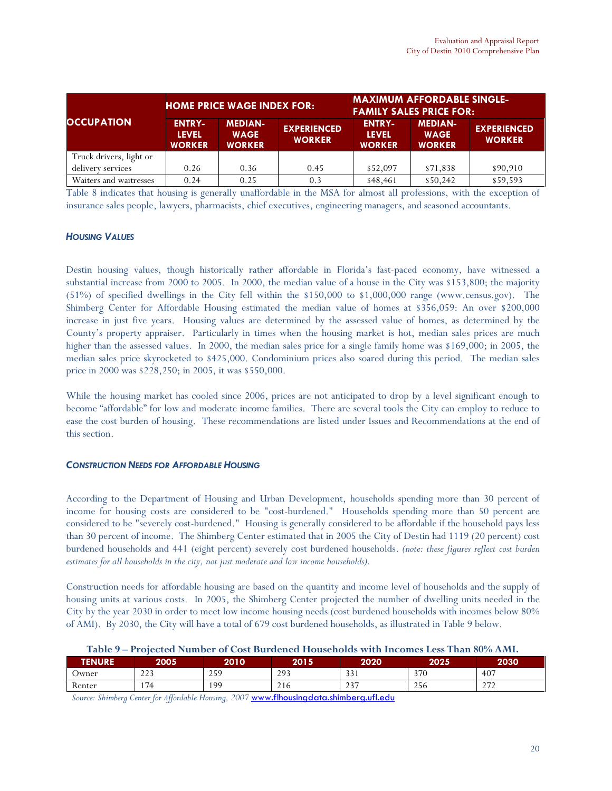|                         |                                                | <b>HOME PRICE WAGE INDEX FOR:</b>              |                                     | <b>MAXIMUM AFFORDABLE SINGLE-</b><br><b>FAMILY SALES PRICE FOR:</b> |                                                |                                     |  |
|-------------------------|------------------------------------------------|------------------------------------------------|-------------------------------------|---------------------------------------------------------------------|------------------------------------------------|-------------------------------------|--|
| <b>OCCUPATION</b>       | <b>ENTRY-</b><br><b>LEVEL</b><br><b>WORKER</b> | <b>MEDIAN-</b><br><b>WAGE</b><br><b>WORKER</b> | <b>EXPERIENCED</b><br><b>WORKER</b> | <b>ENTRY-</b><br><b>LEVEL</b><br><b>WORKER</b>                      | <b>MEDIAN-</b><br><b>WAGE</b><br><b>WORKER</b> | <b>EXPERIENCED</b><br><b>WORKER</b> |  |
| Truck drivers, light or |                                                |                                                |                                     |                                                                     |                                                |                                     |  |
| delivery services       | 0.26                                           | 0.36                                           | 0.45                                | \$52,097                                                            | \$71,838                                       | \$90,910                            |  |
| Waiters and waitresses  | 0.24                                           | 0.25                                           | 0.3                                 | \$48,461                                                            | \$50,242                                       | \$59,593                            |  |

Table 8 indicates that housing is generally unaffordable in the MSA for almost all professions, with the exception of insurance sales people, lawyers, pharmacists, chief executives, engineering managers, and seasoned accountants.

### **HOUSING VALUES**

Destin housing values, though historically rather affordable in Florida's fast-paced economy, have witnessed a substantial increase from 2000 to 2005. In 2000, the median value of a house in the City was \$153,800; the majority (51%) of specified dwellings in the City fell within the \$150,000 to \$1,000,000 range (www.census.gov). The Shimberg Center for Affordable Housing estimated the median value of homes at \$356,059: An over \$200,000 increase in just five years. Housing values are determined by the assessed value of homes, as determined by the County's property appraiser. Particularly in times when the housing market is hot, median sales prices are much higher than the assessed values. In 2000, the median sales price for a single family home was \$169,000; in 2005, the median sales price skyrocketed to \$425,000. Condominium prices also soared during this period. The median sales price in 2000 was \$228,250; in 2005, it was \$550,000.

While the housing market has cooled since 2006, prices are not anticipated to drop by a level significant enough to become "affordable" for low and moderate income families. There are several tools the City can employ to reduce to ease the cost burden of housing. These recommendations are listed under Issues and Recommendations at the end of this section.

#### CONSTRUCTION NEEDS FOR AFFORDABLE HOUSING

According to the Department of Housing and Urban Development, households spending more than 30 percent of income for housing costs are considered to be "cost-burdened." Households spending more than 50 percent are considered to be "severely cost-burdened." Housing is generally considered to be affordable if the household pays less than 30 percent of income. The Shimberg Center estimated that in 2005 the City of Destin had 1119 (20 percent) cost burdened households and 441 (eight percent) severely cost burdened households. (note: these figures reflect cost burden estimates for all households in the city, not just moderate and low income households).

Construction needs for affordable housing are based on the quantity and income level of households and the supply of housing units at various costs. In 2005, the Shimberg Center projected the number of dwelling units needed in the City by the year 2030 in order to meet low income housing needs (cost burdened households with incomes below 80% of AMI). By 2030, the City will have a total of 679 cost burdened households, as illustrated in Table 9 below.

| Table 9 – Projected Number of Cost Burdened Households with Incomes Less Than 80% AMI. |  |
|----------------------------------------------------------------------------------------|--|
|----------------------------------------------------------------------------------------|--|

| <b>TENURE</b>        | 2005             | 2010      | 2015         | 2020       | 2025                 | 2030         |
|----------------------|------------------|-----------|--------------|------------|----------------------|--------------|
| Jwner                | 222<br><u>__</u> | 200<br>25 | 293<br>ر ر _ | 331<br>JJI | 370                  | 407          |
| $\sqrt{2}$<br>Renter | 174              | 199       | 216          | 237<br>2J/ | $\sim$ $\sim$<br>256 | 272<br>$-1-$ |

Source: Shimberg Center for Affordable Housing, 2007 www.flhousingdata.shimberg.ufl.edu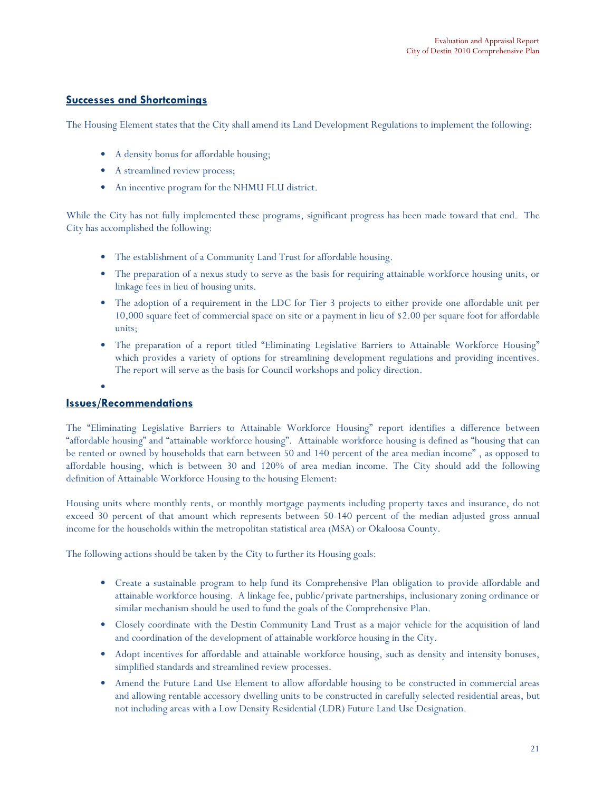# Successes and Shortcomings

The Housing Element states that the City shall amend its Land Development Regulations to implement the following:

- A density bonus for affordable housing;
- A streamlined review process;
- An incentive program for the NHMU FLU district.

While the City has not fully implemented these programs, significant progress has been made toward that end. The City has accomplished the following:

- The establishment of a Community Land Trust for affordable housing.
- The preparation of a nexus study to serve as the basis for requiring attainable workforce housing units, or linkage fees in lieu of housing units.
- The adoption of a requirement in the LDC for Tier 3 projects to either provide one affordable unit per 10,000 square feet of commercial space on site or a payment in lieu of \$2.00 per square foot for affordable units;
- The preparation of a report titled "Eliminating Legislative Barriers to Attainable Workforce Housing" which provides a variety of options for streamlining development regulations and providing incentives. The report will serve as the basis for Council workshops and policy direction.
- •

# Issues/Recommendations

The "Eliminating Legislative Barriers to Attainable Workforce Housing" report identifies a difference between "affordable housing" and "attainable workforce housing". Attainable workforce housing is defined as "housing that can be rented or owned by households that earn between 50 and 140 percent of the area median income" , as opposed to affordable housing, which is between 30 and 120% of area median income. The City should add the following definition of Attainable Workforce Housing to the housing Element:

Housing units where monthly rents, or monthly mortgage payments including property taxes and insurance, do not exceed 30 percent of that amount which represents between 50-140 percent of the median adjusted gross annual income for the households within the metropolitan statistical area (MSA) or Okaloosa County.

The following actions should be taken by the City to further its Housing goals:

- Create a sustainable program to help fund its Comprehensive Plan obligation to provide affordable and attainable workforce housing. A linkage fee, public/private partnerships, inclusionary zoning ordinance or similar mechanism should be used to fund the goals of the Comprehensive Plan.
- Closely coordinate with the Destin Community Land Trust as a major vehicle for the acquisition of land and coordination of the development of attainable workforce housing in the City.
- Adopt incentives for affordable and attainable workforce housing, such as density and intensity bonuses, simplified standards and streamlined review processes.
- Amend the Future Land Use Element to allow affordable housing to be constructed in commercial areas and allowing rentable accessory dwelling units to be constructed in carefully selected residential areas, but not including areas with a Low Density Residential (LDR) Future Land Use Designation.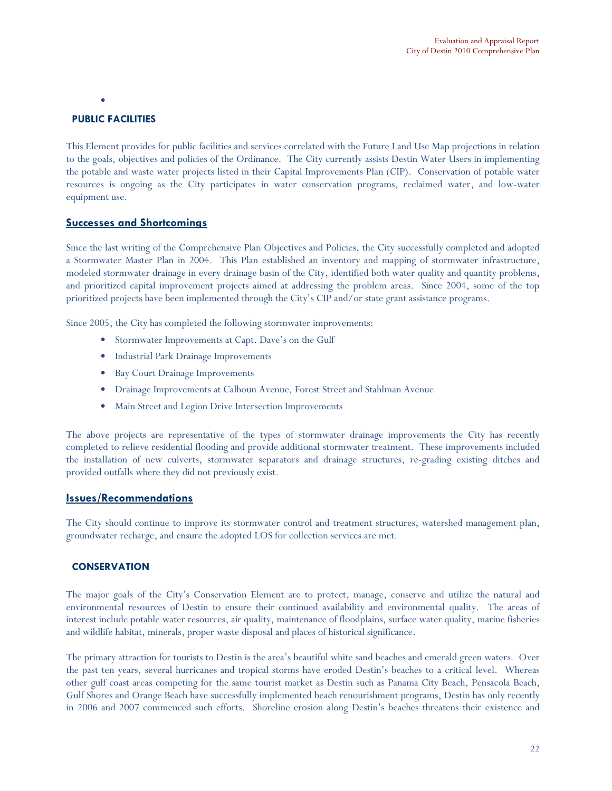•

# PUBLIC FACILITIES

This Element provides for public facilities and services correlated with the Future Land Use Map projections in relation to the goals, objectives and policies of the Ordinance. The City currently assists Destin Water Users in implementing the potable and waste water projects listed in their Capital Improvements Plan (CIP). Conservation of potable water resources is ongoing as the City participates in water conservation programs, reclaimed water, and low-water equipment use.

# Successes and Shortcomings

Since the last writing of the Comprehensive Plan Objectives and Policies, the City successfully completed and adopted a Stormwater Master Plan in 2004. This Plan established an inventory and mapping of stormwater infrastructure, modeled stormwater drainage in every drainage basin of the City, identified both water quality and quantity problems, and prioritized capital improvement projects aimed at addressing the problem areas. Since 2004, some of the top prioritized projects have been implemented through the City's CIP and/or state grant assistance programs.

Since 2005, the City has completed the following stormwater improvements:

- Stormwater Improvements at Capt. Dave's on the Gulf
- Industrial Park Drainage Improvements
- Bay Court Drainage Improvements
- Drainage Improvements at Calhoun Avenue, Forest Street and Stahlman Avenue
- Main Street and Legion Drive Intersection Improvements

The above projects are representative of the types of stormwater drainage improvements the City has recently completed to relieve residential flooding and provide additional stormwater treatment. These improvements included the installation of new culverts, stormwater separators and drainage structures, re-grading existing ditches and provided outfalls where they did not previously exist.

#### Issues/Recommendations

The City should continue to improve its stormwater control and treatment structures, watershed management plan, groundwater recharge, and ensure the adopted LOS for collection services are met.

# **CONSERVATION**

The major goals of the City's Conservation Element are to protect, manage, conserve and utilize the natural and environmental resources of Destin to ensure their continued availability and environmental quality. The areas of interest include potable water resources, air quality, maintenance of floodplains, surface water quality, marine fisheries and wildlife habitat, minerals, proper waste disposal and places of historical significance.

The primary attraction for tourists to Destin is the area's beautiful white sand beaches and emerald green waters. Over the past ten years, several hurricanes and tropical storms have eroded Destin's beaches to a critical level. Whereas other gulf coast areas competing for the same tourist market as Destin such as Panama City Beach, Pensacola Beach, Gulf Shores and Orange Beach have successfully implemented beach renourishment programs, Destin has only recently in 2006 and 2007 commenced such efforts. Shoreline erosion along Destin's beaches threatens their existence and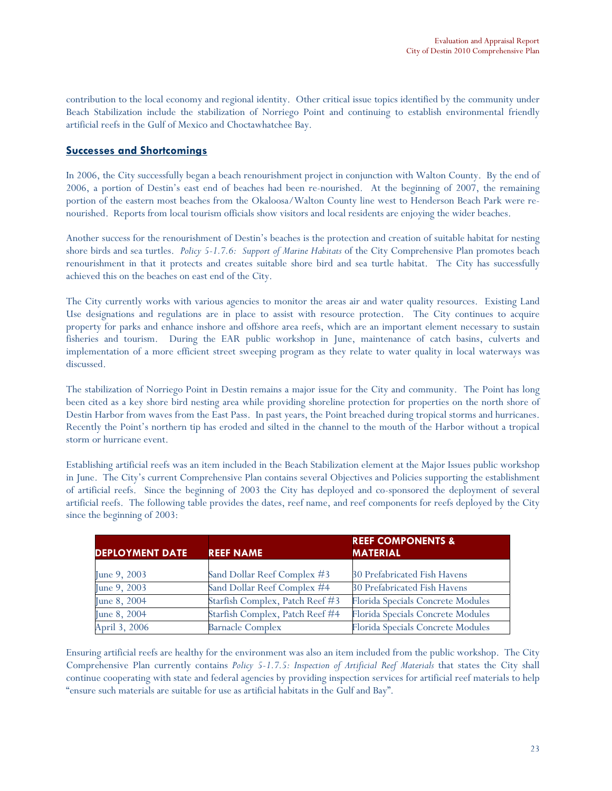contribution to the local economy and regional identity. Other critical issue topics identified by the community under Beach Stabilization include the stabilization of Norriego Point and continuing to establish environmental friendly artificial reefs in the Gulf of Mexico and Choctawhatchee Bay.

# Successes and Shortcomings

In 2006, the City successfully began a beach renourishment project in conjunction with Walton County. By the end of 2006, a portion of Destin's east end of beaches had been re-nourished. At the beginning of 2007, the remaining portion of the eastern most beaches from the Okaloosa/Walton County line west to Henderson Beach Park were renourished. Reports from local tourism officials show visitors and local residents are enjoying the wider beaches.

Another success for the renourishment of Destin's beaches is the protection and creation of suitable habitat for nesting shore birds and sea turtles. Policy 5-1.7.6: Support of Marine Habitats of the City Comprehensive Plan promotes beach renourishment in that it protects and creates suitable shore bird and sea turtle habitat. The City has successfully achieved this on the beaches on east end of the City.

The City currently works with various agencies to monitor the areas air and water quality resources. Existing Land Use designations and regulations are in place to assist with resource protection. The City continues to acquire property for parks and enhance inshore and offshore area reefs, which are an important element necessary to sustain fisheries and tourism. During the EAR public workshop in June, maintenance of catch basins, culverts and implementation of a more efficient street sweeping program as they relate to water quality in local waterways was discussed.

The stabilization of Norriego Point in Destin remains a major issue for the City and community. The Point has long been cited as a key shore bird nesting area while providing shoreline protection for properties on the north shore of Destin Harbor from waves from the East Pass. In past years, the Point breached during tropical storms and hurricanes. Recently the Point's northern tip has eroded and silted in the channel to the mouth of the Harbor without a tropical storm or hurricane event.

Establishing artificial reefs was an item included in the Beach Stabilization element at the Major Issues public workshop in June. The City's current Comprehensive Plan contains several Objectives and Policies supporting the establishment of artificial reefs. Since the beginning of 2003 the City has deployed and co-sponsored the deployment of several artificial reefs. The following table provides the dates, reef name, and reef components for reefs deployed by the City since the beginning of 2003:

| <b>DEPLOYMENT DATE</b> | <b>REEF NAME</b>                | <b>REEF COMPONENTS &amp;</b><br><b>MATERIAL</b> |
|------------------------|---------------------------------|-------------------------------------------------|
|                        |                                 |                                                 |
| June 9, 2003           | Sand Dollar Reef Complex #3     | <b>30 Prefabricated Fish Havens</b>             |
| June 9, 2003           | Sand Dollar Reef Complex #4     | 30 Prefabricated Fish Havens                    |
| June 8, 2004           | Starfish Complex, Patch Reef #3 | Florida Specials Concrete Modules               |
| June 8, 2004           | Starfish Complex, Patch Reef #4 | Florida Specials Concrete Modules               |
| April 3, 2006          | <b>Barnacle Complex</b>         | Florida Specials Concrete Modules               |

Ensuring artificial reefs are healthy for the environment was also an item included from the public workshop. The City Comprehensive Plan currently contains Policy 5-1.7.5: Inspection of Artificial Reef Materials that states the City shall continue cooperating with state and federal agencies by providing inspection services for artificial reef materials to help "ensure such materials are suitable for use as artificial habitats in the Gulf and Bay".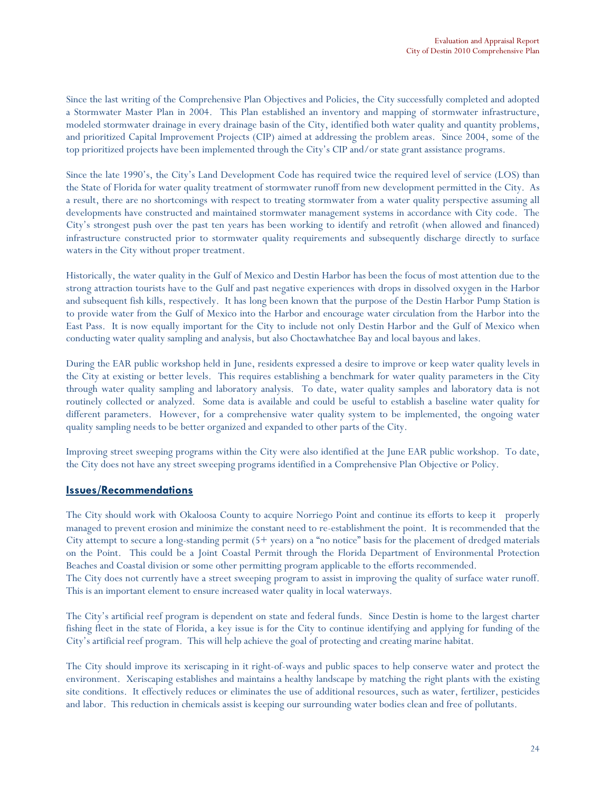Since the last writing of the Comprehensive Plan Objectives and Policies, the City successfully completed and adopted a Stormwater Master Plan in 2004. This Plan established an inventory and mapping of stormwater infrastructure, modeled stormwater drainage in every drainage basin of the City, identified both water quality and quantity problems, and prioritized Capital Improvement Projects (CIP) aimed at addressing the problem areas. Since 2004, some of the top prioritized projects have been implemented through the City's CIP and/or state grant assistance programs.

Since the late 1990's, the City's Land Development Code has required twice the required level of service (LOS) than the State of Florida for water quality treatment of stormwater runoff from new development permitted in the City. As a result, there are no shortcomings with respect to treating stormwater from a water quality perspective assuming all developments have constructed and maintained stormwater management systems in accordance with City code. The City's strongest push over the past ten years has been working to identify and retrofit (when allowed and financed) infrastructure constructed prior to stormwater quality requirements and subsequently discharge directly to surface waters in the City without proper treatment.

Historically, the water quality in the Gulf of Mexico and Destin Harbor has been the focus of most attention due to the strong attraction tourists have to the Gulf and past negative experiences with drops in dissolved oxygen in the Harbor and subsequent fish kills, respectively. It has long been known that the purpose of the Destin Harbor Pump Station is to provide water from the Gulf of Mexico into the Harbor and encourage water circulation from the Harbor into the East Pass. It is now equally important for the City to include not only Destin Harbor and the Gulf of Mexico when conducting water quality sampling and analysis, but also Choctawhatchee Bay and local bayous and lakes.

During the EAR public workshop held in June, residents expressed a desire to improve or keep water quality levels in the City at existing or better levels. This requires establishing a benchmark for water quality parameters in the City through water quality sampling and laboratory analysis. To date, water quality samples and laboratory data is not routinely collected or analyzed. Some data is available and could be useful to establish a baseline water quality for different parameters. However, for a comprehensive water quality system to be implemented, the ongoing water quality sampling needs to be better organized and expanded to other parts of the City.

Improving street sweeping programs within the City were also identified at the June EAR public workshop. To date, the City does not have any street sweeping programs identified in a Comprehensive Plan Objective or Policy.

# Issues/Recommendations

The City should work with Okaloosa County to acquire Norriego Point and continue its efforts to keep it properly managed to prevent erosion and minimize the constant need to re-establishment the point. It is recommended that the City attempt to secure a long-standing permit  $(5+$  years) on a "no notice" basis for the placement of dredged materials on the Point. This could be a Joint Coastal Permit through the Florida Department of Environmental Protection Beaches and Coastal division or some other permitting program applicable to the efforts recommended.

The City does not currently have a street sweeping program to assist in improving the quality of surface water runoff. This is an important element to ensure increased water quality in local waterways.

The City's artificial reef program is dependent on state and federal funds. Since Destin is home to the largest charter fishing fleet in the state of Florida, a key issue is for the City to continue identifying and applying for funding of the City's artificial reef program. This will help achieve the goal of protecting and creating marine habitat.

The City should improve its xeriscaping in it right-of-ways and public spaces to help conserve water and protect the environment. Xeriscaping establishes and maintains a healthy landscape by matching the right plants with the existing site conditions. It effectively reduces or eliminates the use of additional resources, such as water, fertilizer, pesticides and labor. This reduction in chemicals assist is keeping our surrounding water bodies clean and free of pollutants.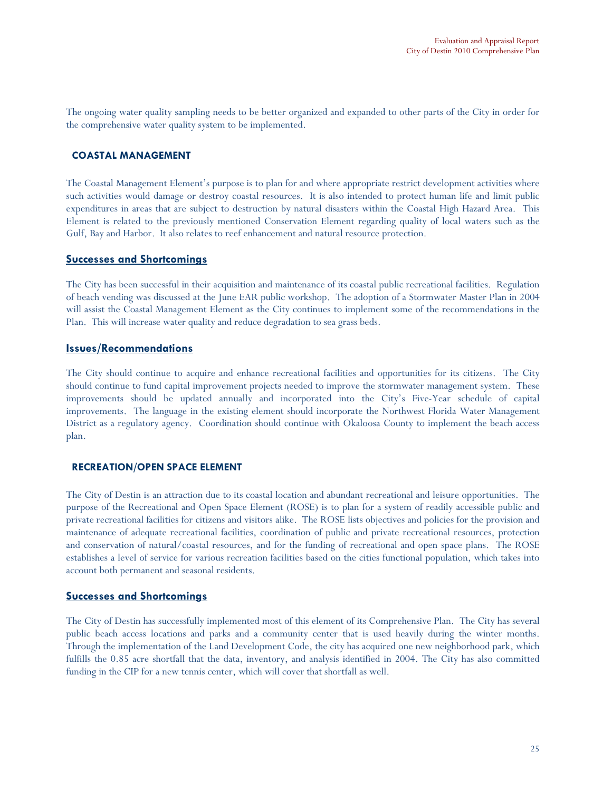The ongoing water quality sampling needs to be better organized and expanded to other parts of the City in order for the comprehensive water quality system to be implemented.

#### COASTAL MANAGEMENT

The Coastal Management Element's purpose is to plan for and where appropriate restrict development activities where such activities would damage or destroy coastal resources. It is also intended to protect human life and limit public expenditures in areas that are subject to destruction by natural disasters within the Coastal High Hazard Area. This Element is related to the previously mentioned Conservation Element regarding quality of local waters such as the Gulf, Bay and Harbor. It also relates to reef enhancement and natural resource protection.

#### Successes and Shortcomings

The City has been successful in their acquisition and maintenance of its coastal public recreational facilities. Regulation of beach vending was discussed at the June EAR public workshop. The adoption of a Stormwater Master Plan in 2004 will assist the Coastal Management Element as the City continues to implement some of the recommendations in the Plan. This will increase water quality and reduce degradation to sea grass beds.

#### Issues/Recommendations

The City should continue to acquire and enhance recreational facilities and opportunities for its citizens. The City should continue to fund capital improvement projects needed to improve the stormwater management system. These improvements should be updated annually and incorporated into the City's Five-Year schedule of capital improvements. The language in the existing element should incorporate the Northwest Florida Water Management District as a regulatory agency. Coordination should continue with Okaloosa County to implement the beach access plan.

#### RECREATION/OPEN SPACE ELEMENT

The City of Destin is an attraction due to its coastal location and abundant recreational and leisure opportunities. The purpose of the Recreational and Open Space Element (ROSE) is to plan for a system of readily accessible public and private recreational facilities for citizens and visitors alike. The ROSE lists objectives and policies for the provision and maintenance of adequate recreational facilities, coordination of public and private recreational resources, protection and conservation of natural/coastal resources, and for the funding of recreational and open space plans. The ROSE establishes a level of service for various recreation facilities based on the cities functional population, which takes into account both permanent and seasonal residents.

#### Successes and Shortcomings

The City of Destin has successfully implemented most of this element of its Comprehensive Plan. The City has several public beach access locations and parks and a community center that is used heavily during the winter months. Through the implementation of the Land Development Code, the city has acquired one new neighborhood park, which fulfills the 0.85 acre shortfall that the data, inventory, and analysis identified in 2004. The City has also committed funding in the CIP for a new tennis center, which will cover that shortfall as well.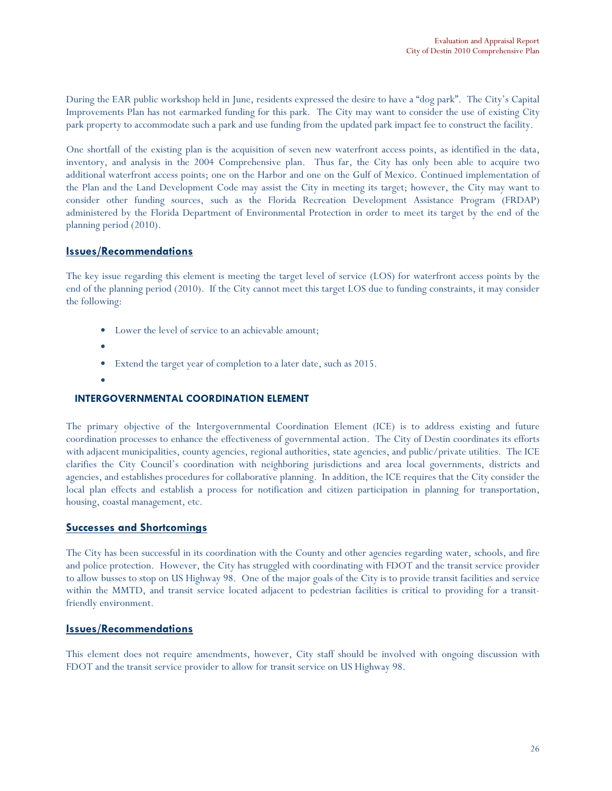During the EAR public workshop held in June, residents expressed the desire to have a "dog park". The City's Capital Improvements Plan has not earmarked funding for this park. The City may want to consider the use of existing City park property to accommodate such a park and use funding from the updated park impact fee to construct the facility.

One shortfall of the existing plan is the acquisition of seven new waterfront access points, as identified in the data, inventory, and analysis in the 2004 Comprehensive plan. Thus far, the City has only been able to acquire two additional waterfront access points; one on the Harbor and one on the Gulf of Mexico. Continued implementation of the Plan and the Land Development Code may assist the City in meeting its target; however, the City may want to consider other funding sources, such as the Florida Recreation Development Assistance Program (FRDAP) administered by the Florida Department of Environmental Protection in order to meet its target by the end of the planning period (2010).

# Issues/Recommendations

The key issue regarding this element is meeting the target level of service (LOS) for waterfront access points by the end of the planning period (2010). If the City cannot meet this target LOS due to funding constraints, it may consider the following:

- Lower the level of service to an achievable amount;
- •
- Extend the target year of completion to a later date, such as 2015.
- •

#### INTERGOVERNMENTAL COORDINATION ELEMENT

The primary objective of the Intergovernmental Coordination Element (ICE) is to address existing and future coordination processes to enhance the effectiveness of governmental action. The City of Destin coordinates its efforts with adjacent municipalities, county agencies, regional authorities, state agencies, and public/private utilities. The ICE clarifies the City Council's coordination with neighboring jurisdictions and area local governments, districts and agencies, and establishes procedures for collaborative planning. In addition, the ICE requires that the City consider the local plan effects and establish a process for notification and citizen participation in planning for transportation, housing, coastal management, etc.

#### Successes and Shortcomings

The City has been successful in its coordination with the County and other agencies regarding water, schools, and fire and police protection. However, the City has struggled with coordinating with FDOT and the transit service provider to allow busses to stop on US Highway 98. One of the major goals of the City is to provide transit facilities and service within the MMTD, and transit service located adjacent to pedestrian facilities is critical to providing for a transitfriendly environment.

#### Issues/Recommendations

This element does not require amendments, however, City staff should be involved with ongoing discussion with FDOT and the transit service provider to allow for transit service on US Highway 98.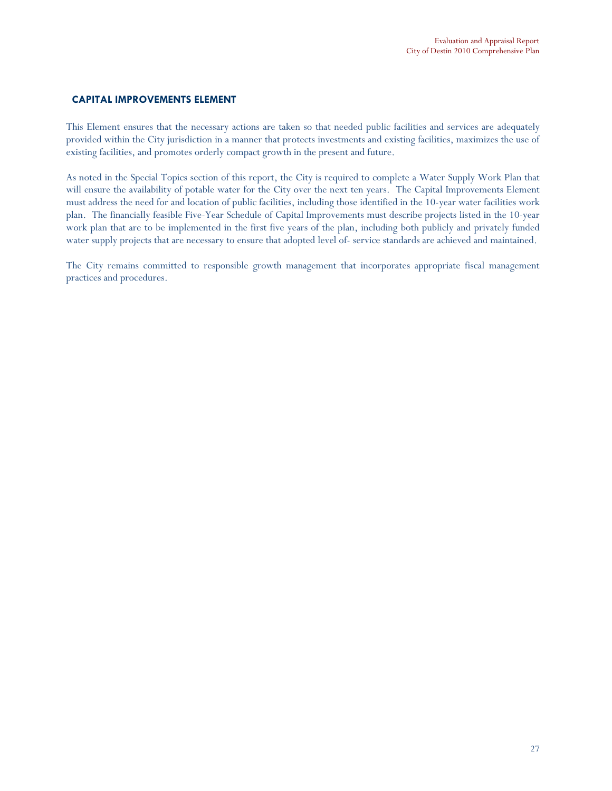### CAPITAL IMPROVEMENTS ELEMENT

This Element ensures that the necessary actions are taken so that needed public facilities and services are adequately provided within the City jurisdiction in a manner that protects investments and existing facilities, maximizes the use of existing facilities, and promotes orderly compact growth in the present and future.

As noted in the Special Topics section of this report, the City is required to complete a Water Supply Work Plan that will ensure the availability of potable water for the City over the next ten years. The Capital Improvements Element must address the need for and location of public facilities, including those identified in the 10-year water facilities work plan. The financially feasible Five-Year Schedule of Capital Improvements must describe projects listed in the 10-year work plan that are to be implemented in the first five years of the plan, including both publicly and privately funded water supply projects that are necessary to ensure that adopted level of- service standards are achieved and maintained.

The City remains committed to responsible growth management that incorporates appropriate fiscal management practices and procedures.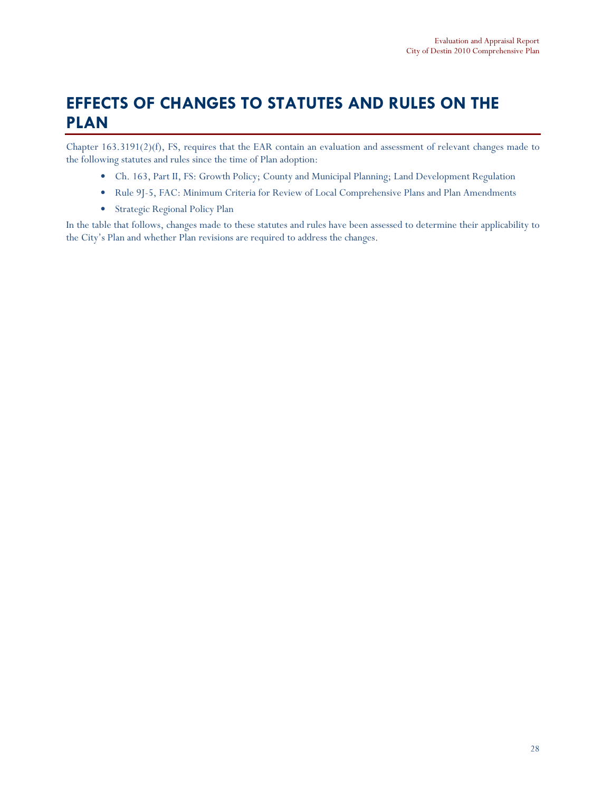# EFFECTS OF CHANGES TO STATUTES AND RULES ON THE PLAN

Chapter 163.3191(2)(f), FS, requires that the EAR contain an evaluation and assessment of relevant changes made to the following statutes and rules since the time of Plan adoption:

- Ch. 163, Part II, FS: Growth Policy; County and Municipal Planning; Land Development Regulation
- Rule 9J-5, FAC: Minimum Criteria for Review of Local Comprehensive Plans and Plan Amendments
- Strategic Regional Policy Plan

In the table that follows, changes made to these statutes and rules have been assessed to determine their applicability to the City's Plan and whether Plan revisions are required to address the changes.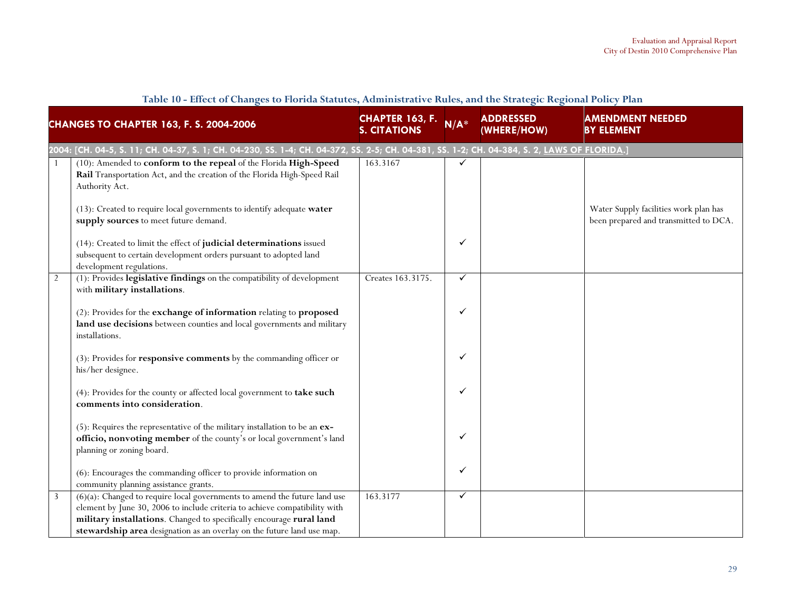|                | <b>CHANGES TO CHAPTER 163, F. S. 2004-2006</b>                                                                                                                                                                                                                                                               | CHAPTER 163, F.<br><b>S. CITATIONS</b> | $N/A^*$      | <b>ADDRESSED</b><br>(WHERE/HOW) | <b>AMENDMENT NEEDED</b><br><b>BY ELEMENT</b>                                   |
|----------------|--------------------------------------------------------------------------------------------------------------------------------------------------------------------------------------------------------------------------------------------------------------------------------------------------------------|----------------------------------------|--------------|---------------------------------|--------------------------------------------------------------------------------|
|                | 2004: [CH. 04-5, S. 11; CH. 04-37, S. 1; CH. 04-230, SS. 1-4; CH. 04-372, SS. 2-5; CH. 04-381, SS. 1-2; CH. 04-384, S. 2, LAWS OF FLORIDA.]                                                                                                                                                                  |                                        |              |                                 |                                                                                |
|                | (10): Amended to conform to the repeal of the Florida High-Speed<br>Rail Transportation Act, and the creation of the Florida High-Speed Rail<br>Authority Act.                                                                                                                                               | 163.3167                               | $\checkmark$ |                                 |                                                                                |
|                | (13): Created to require local governments to identify adequate water<br>supply sources to meet future demand.                                                                                                                                                                                               |                                        |              |                                 | Water Supply facilities work plan has<br>been prepared and transmitted to DCA. |
|                | (14): Created to limit the effect of judicial determinations issued<br>subsequent to certain development orders pursuant to adopted land<br>development regulations.                                                                                                                                         |                                        | ✓            |                                 |                                                                                |
| $\overline{2}$ | (1): Provides legislative findings on the compatibility of development<br>with military installations.                                                                                                                                                                                                       | Creates 163.3175.                      | ✓            |                                 |                                                                                |
|                | (2): Provides for the exchange of information relating to proposed<br>land use decisions between counties and local governments and military<br>installations.                                                                                                                                               |                                        | ✓            |                                 |                                                                                |
|                | (3): Provides for responsive comments by the commanding officer or<br>his/her designee.                                                                                                                                                                                                                      |                                        | ✓            |                                 |                                                                                |
|                | (4): Provides for the county or affected local government to take such<br>comments into consideration.                                                                                                                                                                                                       |                                        | ✓            |                                 |                                                                                |
|                | (5): Requires the representative of the military installation to be an ex-<br>officio, nonvoting member of the county's or local government's land<br>planning or zoning board.                                                                                                                              |                                        | ✓            |                                 |                                                                                |
|                | (6): Encourages the commanding officer to provide information on<br>community planning assistance grants.                                                                                                                                                                                                    |                                        | ✓            |                                 |                                                                                |
| 3              | $(6)(a)$ : Changed to require local governments to amend the future land use<br>element by June 30, 2006 to include criteria to achieve compatibility with<br>military installations. Changed to specifically encourage rural land<br>stewardship area designation as an overlay on the future land use map. | 163.3177                               | ✓            |                                 |                                                                                |

# Table 10 - Effect of Changes to Florida Statutes, Administrative Rules, and the Strategic Regional Policy Plan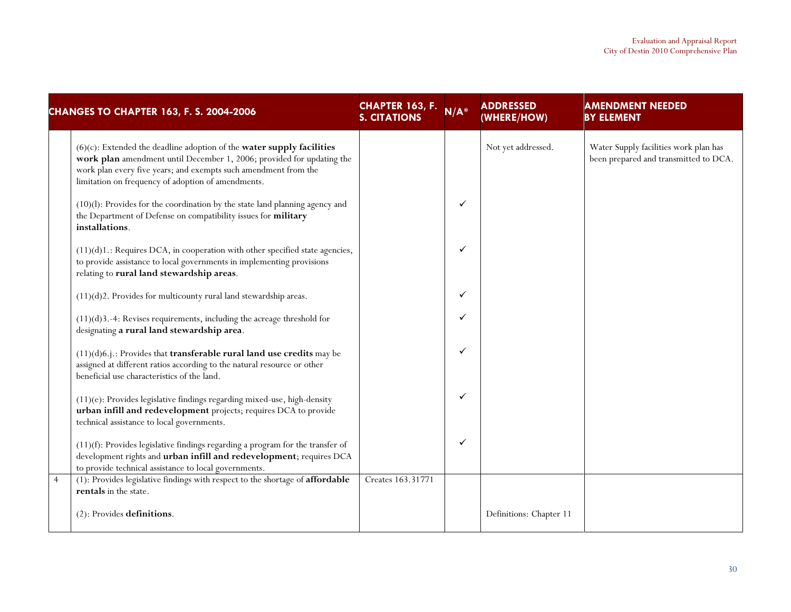|                | <b>CHANGES TO CHAPTER 163, F. S. 2004-2006</b>                                                                                                                                                                                                                             | <b>CHAPTER 163, F.</b><br><b>S. CITATIONS</b> | $N/A^*$ | <b>ADDRESSED</b><br>(WHERE/HOW) | <b>AMENDMENT NEEDED</b><br><b>BY ELEMENT</b>                                   |
|----------------|----------------------------------------------------------------------------------------------------------------------------------------------------------------------------------------------------------------------------------------------------------------------------|-----------------------------------------------|---------|---------------------------------|--------------------------------------------------------------------------------|
|                | $(6)(c)$ : Extended the deadline adoption of the water supply facilities<br>work plan amendment until December 1, 2006; provided for updating the<br>work plan every five years; and exempts such amendment from the<br>limitation on frequency of adoption of amendments. |                                               |         | Not yet addressed.              | Water Supply facilities work plan has<br>been prepared and transmitted to DCA. |
|                | $(10)(l)$ : Provides for the coordination by the state land planning agency and<br>the Department of Defense on compatibility issues for military<br>installations.                                                                                                        |                                               | ✓       |                                 |                                                                                |
|                | $(11)(d)1$ .: Requires DCA, in cooperation with other specified state agencies,<br>to provide assistance to local governments in implementing provisions<br>relating to rural land stewardship areas.                                                                      |                                               | ✓       |                                 |                                                                                |
|                | $(11)(d)$ 2. Provides for multicounty rural land stewardship areas.                                                                                                                                                                                                        |                                               | ✓       |                                 |                                                                                |
|                | $(11)(d)$ 3.-4: Revises requirements, including the acreage threshold for<br>designating a rural land stewardship area.                                                                                                                                                    |                                               | ✓       |                                 |                                                                                |
|                | $(11)(d)6.$ j.: Provides that <b>transferable rural land use credits</b> may be<br>assigned at different ratios according to the natural resource or other<br>beneficial use characteristics of the land.                                                                  |                                               | ✓       |                                 |                                                                                |
|                | (11)(e): Provides legislative findings regarding mixed-use, high-density<br>urban infill and redevelopment projects; requires DCA to provide<br>technical assistance to local governments.                                                                                 |                                               | ✓       |                                 |                                                                                |
|                | $(11)(f)$ : Provides legislative findings regarding a program for the transfer of<br>development rights and <i>urban</i> infill and redevelopment; requires DCA<br>to provide technical assistance to local governments.                                                   |                                               | ✓       |                                 |                                                                                |
| $\overline{4}$ | (1): Provides legislative findings with respect to the shortage of affordable<br>rentals in the state.                                                                                                                                                                     | Creates 163.31771                             |         |                                 |                                                                                |
|                | $(2)$ : Provides definitions.                                                                                                                                                                                                                                              |                                               |         | Definitions: Chapter 11         |                                                                                |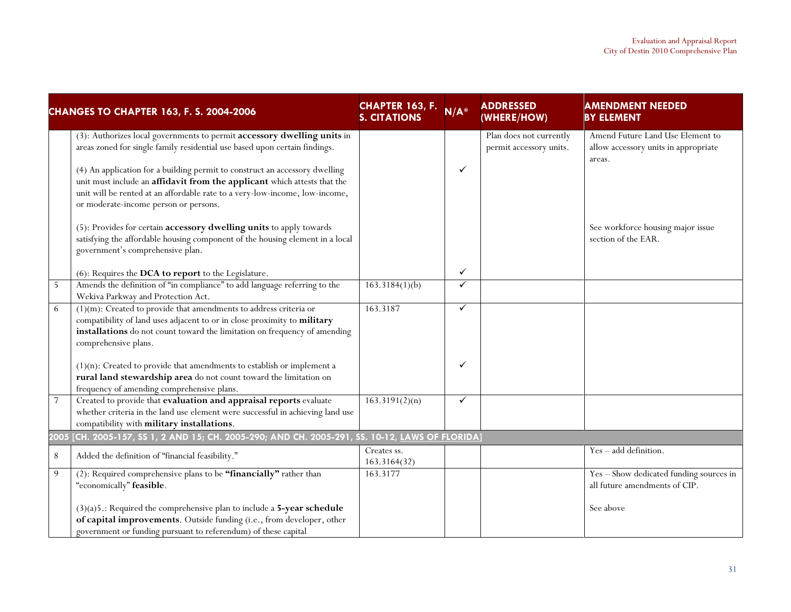|                | <b>CHANGES TO CHAPTER 163, F. S. 2004-2006</b>                                                                                                                                                                                                                                                                                                                                                                                           | <b>CHAPTER 163, F.</b><br><b>S. CITATIONS</b> | $N/A^*$ | <b>ADDRESSED</b><br>(WHERE/HOW)                    | <b>AMENDMENT NEEDED</b><br><b>BY ELEMENT</b>                                       |
|----------------|------------------------------------------------------------------------------------------------------------------------------------------------------------------------------------------------------------------------------------------------------------------------------------------------------------------------------------------------------------------------------------------------------------------------------------------|-----------------------------------------------|---------|----------------------------------------------------|------------------------------------------------------------------------------------|
|                | (3): Authorizes local governments to permit accessory dwelling units in<br>areas zoned for single family residential use based upon certain findings.<br>(4) An application for a building permit to construct an accessory dwelling<br>unit must include an affidavit from the applicant which attests that the<br>unit will be rented at an affordable rate to a very-low-income, low-income,<br>or moderate-income person or persons. |                                               | ✓       | Plan does not currently<br>permit accessory units. | Amend Future Land Use Element to<br>allow accessory units in appropriate<br>areas. |
|                | (5): Provides for certain accessory dwelling units to apply towards<br>satisfying the affordable housing component of the housing element in a local<br>government's comprehensive plan.                                                                                                                                                                                                                                                 |                                               |         |                                                    | See workforce housing major issue<br>section of the EAR.                           |
|                | (6): Requires the DCA to report to the Legislature.                                                                                                                                                                                                                                                                                                                                                                                      |                                               | ✓       |                                                    |                                                                                    |
| 5 <sup>1</sup> | Amends the definition of "in compliance" to add language referring to the<br>Wekiva Parkway and Protection Act.                                                                                                                                                                                                                                                                                                                          | 163.3184(1)(b)                                | ✓       |                                                    |                                                                                    |
| 6              | $(1)(m)$ : Created to provide that amendments to address criteria or<br>compatibility of land uses adjacent to or in close proximity to military<br>installations do not count toward the limitation on frequency of amending<br>comprehensive plans.                                                                                                                                                                                    | 163.3187                                      | ✓       |                                                    |                                                                                    |
|                | $(1)(n)$ : Created to provide that amendments to establish or implement a<br>rural land stewardship area do not count toward the limitation on<br>frequency of amending comprehensive plans.                                                                                                                                                                                                                                             |                                               | ✓       |                                                    |                                                                                    |
| $\sqrt{7}$     | Created to provide that evaluation and appraisal reports evaluate<br>whether criteria in the land use element were successful in achieving land use<br>compatibility with military installations.                                                                                                                                                                                                                                        | 163.3191(2)(n)                                | ✓       |                                                    |                                                                                    |
|                | 2005 [CH. 2005-157, SS 1, 2 AND 15; CH. 2005-290; AND CH. 2005-291, SS. 10-12, <u>LAWS OF FLORIDA</u> ]                                                                                                                                                                                                                                                                                                                                  |                                               |         |                                                    |                                                                                    |
| $8\,$          | Added the definition of "financial feasibility."                                                                                                                                                                                                                                                                                                                                                                                         | Creates ss.<br>163.3164(32)                   |         |                                                    | Yes - add definition.                                                              |
| 9              | (2): Required comprehensive plans to be "financially" rather than<br>"economically" feasible.                                                                                                                                                                                                                                                                                                                                            | 163.3177                                      |         |                                                    | Yes - Show dedicated funding sources in<br>all future amendments of CIP.           |
|                | $(3)(a)$ 5.: Required the comprehensive plan to include a 5-year schedule<br>of capital improvements. Outside funding (i.e., from developer, other<br>government or funding pursuant to referendum) of these capital                                                                                                                                                                                                                     |                                               |         |                                                    | See above                                                                          |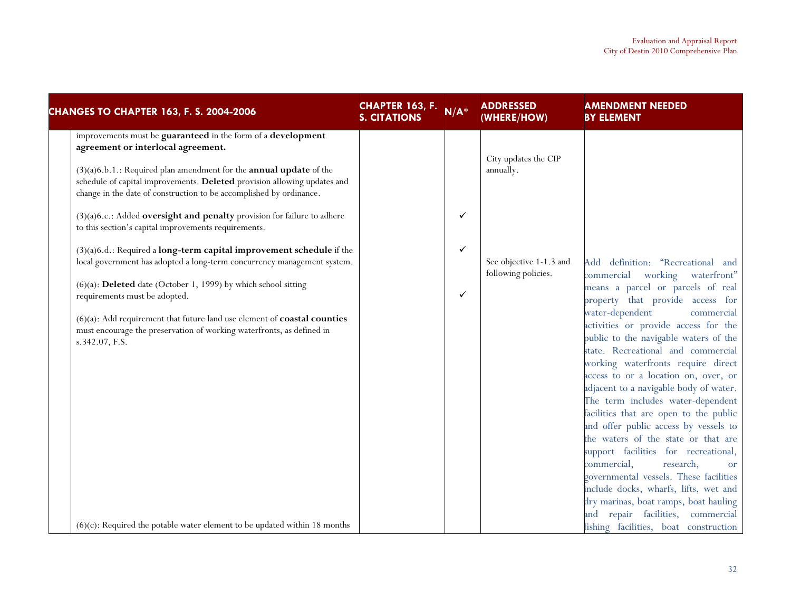| <b>CHANGES TO CHAPTER 163, F. S. 2004-2006</b>                                                                                                                                                                                  | <b>CHAPTER 163, F.</b><br><b>S. CITATIONS</b> | $N/A^*$ | <b>ADDRESSED</b><br>(WHERE/HOW)                | <b>AMENDMENT NEEDED</b><br><b>BY ELEMENT</b>                                                                                                                                                                                                                                                                                                                                                                                                                                                                                     |
|---------------------------------------------------------------------------------------------------------------------------------------------------------------------------------------------------------------------------------|-----------------------------------------------|---------|------------------------------------------------|----------------------------------------------------------------------------------------------------------------------------------------------------------------------------------------------------------------------------------------------------------------------------------------------------------------------------------------------------------------------------------------------------------------------------------------------------------------------------------------------------------------------------------|
| improvements must be guaranteed in the form of a development<br>agreement or interlocal agreement.                                                                                                                              |                                               |         |                                                |                                                                                                                                                                                                                                                                                                                                                                                                                                                                                                                                  |
| $(3)(a)6.b.1$ .: Required plan amendment for the <b>annual update</b> of the<br>schedule of capital improvements. Deleted provision allowing updates and<br>change in the date of construction to be accomplished by ordinance. |                                               |         | City updates the CIP<br>annually.              |                                                                                                                                                                                                                                                                                                                                                                                                                                                                                                                                  |
| (3)(a)6.c.: Added oversight and penalty provision for failure to adhere<br>to this section's capital improvements requirements.                                                                                                 |                                               | ✓       |                                                |                                                                                                                                                                                                                                                                                                                                                                                                                                                                                                                                  |
| (3)(a)6.d.: Required a long-term capital improvement schedule if the                                                                                                                                                            |                                               | ✓       |                                                |                                                                                                                                                                                                                                                                                                                                                                                                                                                                                                                                  |
| local government has adopted a long-term concurrency management system.                                                                                                                                                         |                                               |         | See objective 1-1.3 and<br>following policies. | Add definition: "Recreational and<br>commercial working waterfront"                                                                                                                                                                                                                                                                                                                                                                                                                                                              |
| (6)(a): Deleted date (October 1, 1999) by which school sitting                                                                                                                                                                  |                                               |         |                                                | means a parcel or parcels of real                                                                                                                                                                                                                                                                                                                                                                                                                                                                                                |
| requirements must be adopted.                                                                                                                                                                                                   |                                               | ✓       |                                                | property that provide access for                                                                                                                                                                                                                                                                                                                                                                                                                                                                                                 |
| $(6)(a)$ : Add requirement that future land use element of <b>coastal counties</b><br>must encourage the preservation of working waterfronts, as defined in<br>s.342.07, F.S.                                                   |                                               |         |                                                | water-dependent<br>commercial<br>activities or provide access for the<br>public to the navigable waters of the<br>state. Recreational and commercial<br>working waterfronts require direct<br>access to or a location on, over, or<br>adjacent to a navigable body of water.<br>The term includes water-dependent<br>facilities that are open to the public<br>and offer public access by vessels to<br>the waters of the state or that are<br>support facilities for recreational,<br>commercial,<br>research,<br><sub>or</sub> |
|                                                                                                                                                                                                                                 |                                               |         |                                                | governmental vessels. These facilities<br>include docks, wharfs, lifts, wet and<br>dry marinas, boat ramps, boat hauling                                                                                                                                                                                                                                                                                                                                                                                                         |
|                                                                                                                                                                                                                                 |                                               |         |                                                | and repair facilities, commercial                                                                                                                                                                                                                                                                                                                                                                                                                                                                                                |
| $(6)(c)$ : Required the potable water element to be updated within 18 months                                                                                                                                                    |                                               |         |                                                | fishing facilities, boat construction                                                                                                                                                                                                                                                                                                                                                                                                                                                                                            |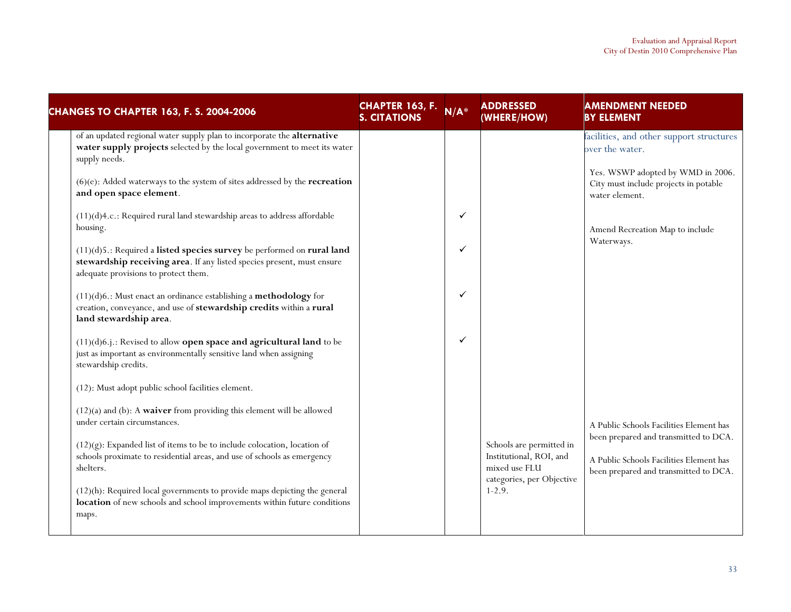| <b>CHANGES TO CHAPTER 163, F. S. 2004-2006</b>                                                                                                                                           | <b>CHAPTER 163, F.</b><br><b>S. CITATIONS</b> | $N/A^*$ | <b>ADDRESSED</b><br>(WHERE/HOW)                                      | <b>AMENDMENT NEEDED</b><br><b>BY ELEMENT</b>                                                                              |
|------------------------------------------------------------------------------------------------------------------------------------------------------------------------------------------|-----------------------------------------------|---------|----------------------------------------------------------------------|---------------------------------------------------------------------------------------------------------------------------|
| of an updated regional water supply plan to incorporate the alternative<br>water supply projects selected by the local government to meet its water<br>supply needs.                     |                                               |         |                                                                      | facilities, and other support structures<br>over the water.                                                               |
| $(6)(e)$ : Added waterways to the system of sites addressed by the <b>recreation</b><br>and open space element.                                                                          |                                               |         |                                                                      | Yes. WSWP adopted by WMD in 2006.<br>City must include projects in potable<br>water element.                              |
| (11)(d)4.c.: Required rural land stewardship areas to address affordable<br>housing.                                                                                                     |                                               | ✓       |                                                                      | Amend Recreation Map to include                                                                                           |
| (11)(d)5.: Required a listed species survey be performed on rural land<br>stewardship receiving area. If any listed species present, must ensure<br>adequate provisions to protect them. |                                               | ✓       |                                                                      | Waterways.                                                                                                                |
| $(11)(d)6$ .: Must enact an ordinance establishing a methodology for<br>creation, conveyance, and use of stewardship credits within a rural<br>land stewardship area.                    |                                               | ✓       |                                                                      |                                                                                                                           |
| (11)(d)6.j.: Revised to allow open space and agricultural land to be<br>just as important as environmentally sensitive land when assigning<br>stewardship credits.                       |                                               | ✓       |                                                                      |                                                                                                                           |
| (12): Must adopt public school facilities element.                                                                                                                                       |                                               |         |                                                                      |                                                                                                                           |
| $(12)(a)$ and $(b)$ : A waiver from providing this element will be allowed<br>under certain circumstances.                                                                               |                                               |         |                                                                      | A Public Schools Facilities Element has                                                                                   |
| $(12)(g)$ : Expanded list of items to be to include colocation, location of<br>schools proximate to residential areas, and use of schools as emergency<br>shelters.                      |                                               |         | Schools are permitted in<br>Institutional, ROI, and<br>mixed use FLU | been prepared and transmitted to DCA.<br>A Public Schools Facilities Element has<br>been prepared and transmitted to DCA. |
| (12)(h): Required local governments to provide maps depicting the general<br>location of new schools and school improvements within future conditions<br>maps.                           |                                               |         | categories, per Objective<br>$1-2.9.$                                |                                                                                                                           |
|                                                                                                                                                                                          |                                               |         |                                                                      |                                                                                                                           |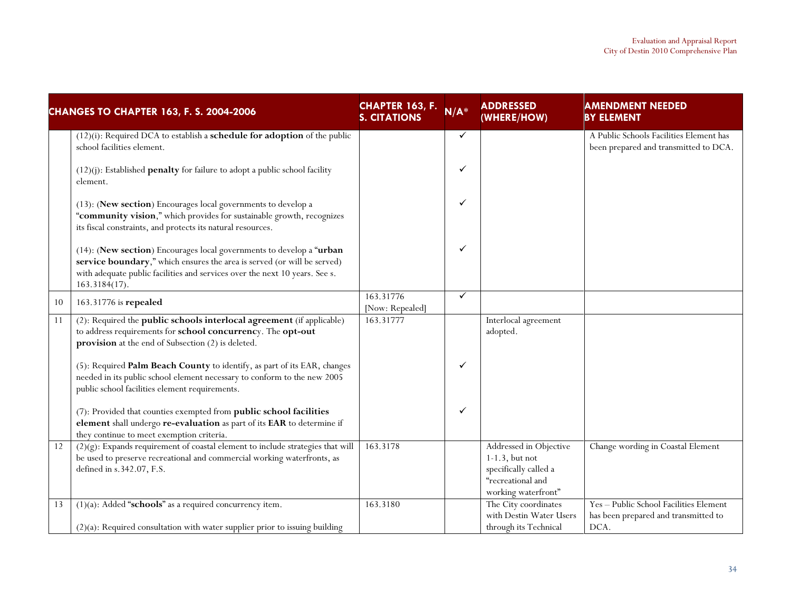| <b>CHANGES TO CHAPTER 163, F. S. 2004-2006</b> |                                                                                                                                                                                                                                                    | <b>CHAPTER 163, F.</b><br><b>S. CITATIONS</b> | $N/A^*$      | <b>ADDRESSED</b><br>(WHERE/HOW)                                                                                  | <b>AMENDMENT NEEDED</b><br><b>BY ELEMENT</b>                                           |
|------------------------------------------------|----------------------------------------------------------------------------------------------------------------------------------------------------------------------------------------------------------------------------------------------------|-----------------------------------------------|--------------|------------------------------------------------------------------------------------------------------------------|----------------------------------------------------------------------------------------|
|                                                | $(12)(i)$ : Required DCA to establish a <b>schedule for adoption</b> of the public<br>school facilities element.                                                                                                                                   |                                               | $\checkmark$ |                                                                                                                  | A Public Schools Facilities Element has<br>been prepared and transmitted to DCA.       |
|                                                | $(12)(j)$ : Established <b>penalty</b> for failure to adopt a public school facility<br>element.                                                                                                                                                   |                                               | ✓            |                                                                                                                  |                                                                                        |
|                                                | (13): (New section) Encourages local governments to develop a<br>"community vision," which provides for sustainable growth, recognizes<br>its fiscal constraints, and protects its natural resources.                                              |                                               | ✓            |                                                                                                                  |                                                                                        |
|                                                | (14): (New section) Encourages local governments to develop a "urban<br>service boundary," which ensures the area is served (or will be served)<br>with adequate public facilities and services over the next 10 years. See s.<br>$163.3184(17)$ . |                                               | ✓            |                                                                                                                  |                                                                                        |
| 10                                             | 163.31776 is repealed                                                                                                                                                                                                                              | 163.31776<br>[Now: Repealed]                  | $\checkmark$ |                                                                                                                  |                                                                                        |
| 11                                             | (2): Required the public schools interlocal agreement (if applicable)<br>to address requirements for school concurrency. The opt-out<br>provision at the end of Subsection (2) is deleted.                                                         | 163.31777                                     |              | Interlocal agreement<br>adopted.                                                                                 |                                                                                        |
|                                                | (5): Required Palm Beach County to identify, as part of its EAR, changes<br>needed in its public school element necessary to conform to the new 2005<br>public school facilities element requirements.                                             |                                               | ✓            |                                                                                                                  |                                                                                        |
|                                                | (7): Provided that counties exempted from public school facilities<br>element shall undergo re-evaluation as part of its EAR to determine if<br>they continue to meet exemption criteria.                                                          |                                               | ✓            |                                                                                                                  |                                                                                        |
| $\overline{12}$                                | $(2)(g)$ : Expands requirement of coastal element to include strategies that will<br>be used to preserve recreational and commercial working waterfronts, as<br>defined in s.342.07, F.S.                                                          | 163.3178                                      |              | Addressed in Objective<br>$1-1.3$ , but not<br>specifically called a<br>"recreational and<br>working waterfront" | Change wording in Coastal Element                                                      |
| 13                                             | $(1)(a)$ : Added "schools" as a required concurrency item.<br>$(2)(a)$ : Required consultation with water supplier prior to issuing building                                                                                                       | 163.3180                                      |              | The City coordinates<br>with Destin Water Users<br>through its Technical                                         | Yes - Public School Facilities Element<br>has been prepared and transmitted to<br>DCA. |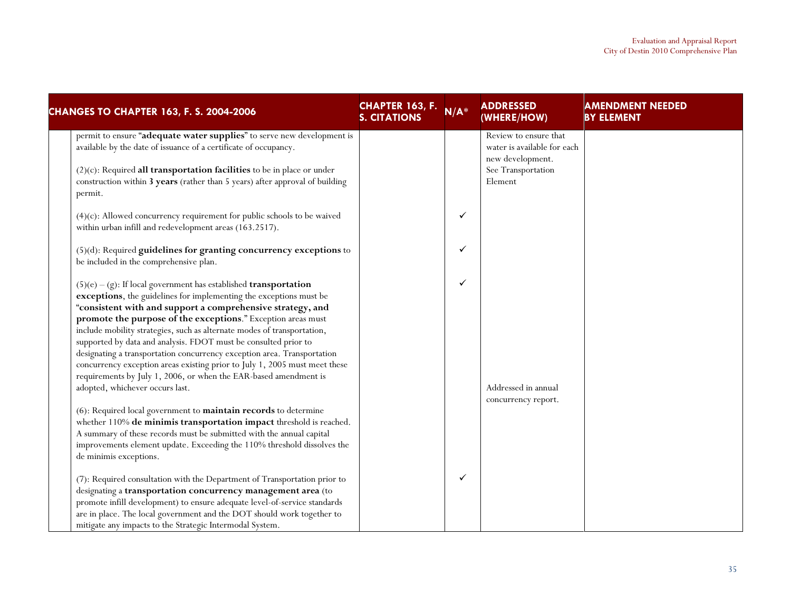| <b>CHANGES TO CHAPTER 163, F. S. 2004-2006</b>                                                                                                                                                                                                                                                                                                                                                                                                                                                                                                                                                                                                                                                                                                                                                                                                                                                                                                                                                                      | <b>CHAPTER 163, F.</b><br><b>S. CITATIONS</b> | $N/A^*$ | <b>ADDRESSED</b><br>(WHERE/HOW)                                                                           | <b>AMENDMENT NEEDED</b><br><b>BY ELEMENT</b> |
|---------------------------------------------------------------------------------------------------------------------------------------------------------------------------------------------------------------------------------------------------------------------------------------------------------------------------------------------------------------------------------------------------------------------------------------------------------------------------------------------------------------------------------------------------------------------------------------------------------------------------------------------------------------------------------------------------------------------------------------------------------------------------------------------------------------------------------------------------------------------------------------------------------------------------------------------------------------------------------------------------------------------|-----------------------------------------------|---------|-----------------------------------------------------------------------------------------------------------|----------------------------------------------|
| permit to ensure "adequate water supplies" to serve new development is<br>available by the date of issuance of a certificate of occupancy.<br>$(2)(c)$ : Required all transportation facilities to be in place or under<br>construction within 3 years (rather than 5 years) after approval of building<br>permit.                                                                                                                                                                                                                                                                                                                                                                                                                                                                                                                                                                                                                                                                                                  |                                               |         | Review to ensure that<br>water is available for each<br>new development.<br>See Transportation<br>Element |                                              |
| $(4)(c)$ : Allowed concurrency requirement for public schools to be waived<br>within urban infill and redevelopment areas (163.2517).                                                                                                                                                                                                                                                                                                                                                                                                                                                                                                                                                                                                                                                                                                                                                                                                                                                                               |                                               | ✓       |                                                                                                           |                                              |
| (5)(d): Required guidelines for granting concurrency exceptions to<br>be included in the comprehensive plan.                                                                                                                                                                                                                                                                                                                                                                                                                                                                                                                                                                                                                                                                                                                                                                                                                                                                                                        |                                               | ✓       |                                                                                                           |                                              |
| $(5)(e) - (g)$ : If local government has established <b>transportation</b><br>exceptions, the guidelines for implementing the exceptions must be<br>"consistent with and support a comprehensive strategy, and<br>promote the purpose of the exceptions." Exception areas must<br>include mobility strategies, such as alternate modes of transportation,<br>supported by data and analysis. FDOT must be consulted prior to<br>designating a transportation concurrency exception area. Transportation<br>concurrency exception areas existing prior to July 1, 2005 must meet these<br>requirements by July 1, 2006, or when the EAR-based amendment is<br>adopted, whichever occurs last.<br>(6): Required local government to maintain records to determine<br>whether 110% de minimis transportation impact threshold is reached.<br>A summary of these records must be submitted with the annual capital<br>improvements element update. Exceeding the 110% threshold dissolves the<br>de minimis exceptions. |                                               | ✓       | Addressed in annual<br>concurrency report.                                                                |                                              |
| (7): Required consultation with the Department of Transportation prior to<br>designating a transportation concurrency management area (to<br>promote infill development) to ensure adequate level-of-service standards<br>are in place. The local government and the DOT should work together to<br>mitigate any impacts to the Strategic Intermodal System.                                                                                                                                                                                                                                                                                                                                                                                                                                                                                                                                                                                                                                                        |                                               | ✓       |                                                                                                           |                                              |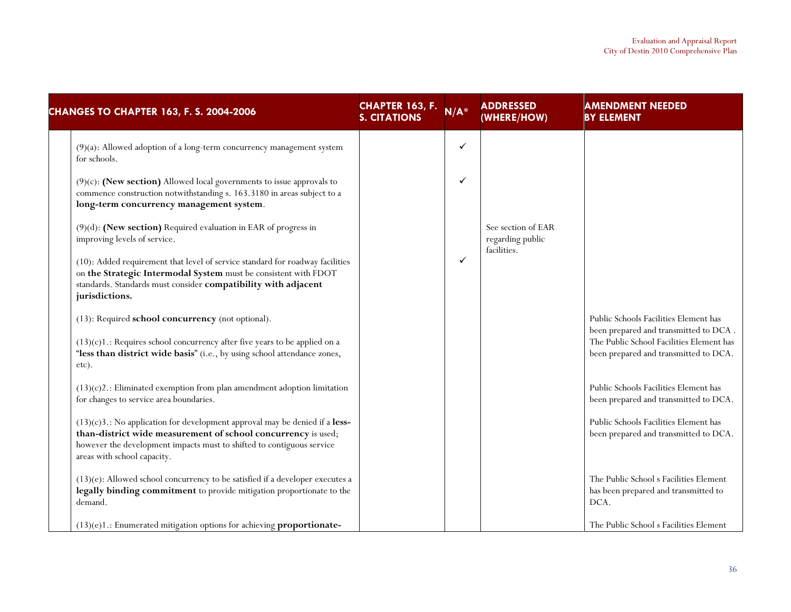| <b>CHANGES TO CHAPTER 163, F. S. 2004-2006</b>                                                                                                                                                                                                          | <b>CHAPTER 163, F.</b><br><b>S. CITATIONS</b> | $N/A^*$      | <b>ADDRESSED</b><br>(WHERE/HOW)        | <b>AMENDMENT NEEDED</b><br><b>BY ELEMENT</b>                                           |
|---------------------------------------------------------------------------------------------------------------------------------------------------------------------------------------------------------------------------------------------------------|-----------------------------------------------|--------------|----------------------------------------|----------------------------------------------------------------------------------------|
| (9)(a): Allowed adoption of a long-term concurrency management system<br>for schools.                                                                                                                                                                   |                                               | $\checkmark$ |                                        |                                                                                        |
| $(9)(c)$ : (New section) Allowed local governments to issue approvals to<br>commence construction notwithstanding s. 163.3180 in areas subject to a<br>long-term concurrency management system.                                                         |                                               | ✓            |                                        |                                                                                        |
| (9)(d): (New section) Required evaluation in EAR of progress in<br>improving levels of service.                                                                                                                                                         |                                               |              | See section of EAR<br>regarding public |                                                                                        |
| (10): Added requirement that level of service standard for roadway facilities<br>on the Strategic Intermodal System must be consistent with FDOT<br>standards. Standards must consider compatibility with adjacent<br>jurisdictions.                    |                                               | ✓            | facilities.                            |                                                                                        |
| (13): Required school concurrency (not optional).                                                                                                                                                                                                       |                                               |              |                                        | Public Schools Facilities Element has<br>been prepared and transmitted to DCA.         |
| $(13)(c)1$ .: Requires school concurrency after five years to be applied on a<br>"less than district wide basis" (i.e., by using school attendance zones,<br>etc).                                                                                      |                                               |              |                                        | The Public School Facilities Element has<br>been prepared and transmitted to DCA.      |
| $(13)(c)$ 2.: Eliminated exemption from plan amendment adoption limitation<br>for changes to service area boundaries.                                                                                                                                   |                                               |              |                                        | Public Schools Facilities Element has<br>been prepared and transmitted to DCA.         |
| $(13)(c)3$ .: No application for development approval may be denied if a less-<br>than-district wide measurement of school concurrency is used;<br>however the development impacts must to shifted to contiguous service<br>areas with school capacity. |                                               |              |                                        | Public Schools Facilities Element has<br>been prepared and transmitted to DCA.         |
| $(13)(e)$ : Allowed school concurrency to be satisfied if a developer executes a<br>legally binding commitment to provide mitigation proportionate to the<br>demand.                                                                                    |                                               |              |                                        | The Public School s Facilities Element<br>has been prepared and transmitted to<br>DCA. |
| $(13)(e)1$ .: Enumerated mitigation options for achieving proportionate-                                                                                                                                                                                |                                               |              |                                        | The Public School s Facilities Element                                                 |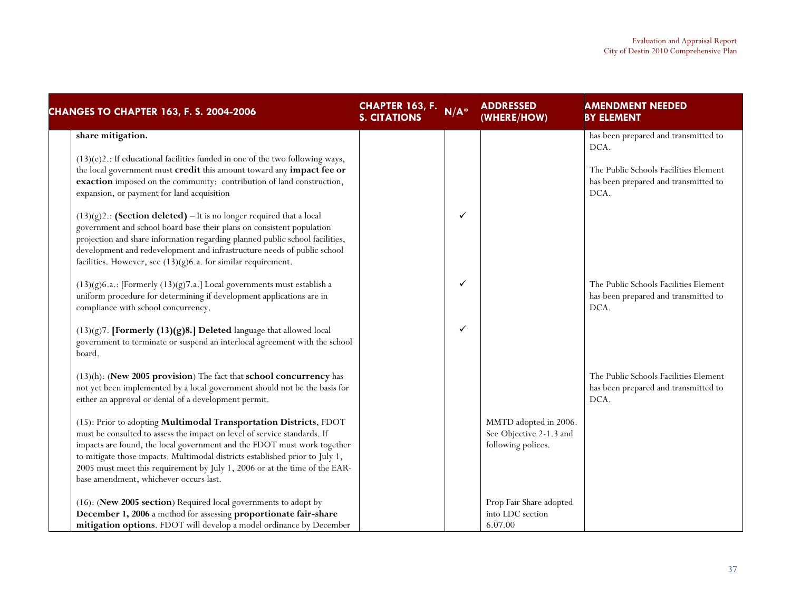| <b>CHANGES TO CHAPTER 163, F. S. 2004-2006</b>                                                                                                                                                                                                                                                                                                                                                                                   | <b>CHAPTER 163, F.</b><br><b>S. CITATIONS</b> | $N/A^*$      | <b>ADDRESSED</b><br>(WHERE/HOW)                                        | <b>AMENDMENT NEEDED</b><br><b>BY ELEMENT</b>                                                                                          |
|----------------------------------------------------------------------------------------------------------------------------------------------------------------------------------------------------------------------------------------------------------------------------------------------------------------------------------------------------------------------------------------------------------------------------------|-----------------------------------------------|--------------|------------------------------------------------------------------------|---------------------------------------------------------------------------------------------------------------------------------------|
| share mitigation.<br>$(13)(e)$ 2.: If educational facilities funded in one of the two following ways,<br>the local government must credit this amount toward any impact fee or<br>exaction imposed on the community: contribution of land construction,<br>expansion, or payment for land acquisition                                                                                                                            |                                               |              |                                                                        | has been prepared and transmitted to<br>DCA.<br>The Public Schools Facilities Element<br>has been prepared and transmitted to<br>DCA. |
| $(13)(g)$ 2.: (Section deleted) – It is no longer required that a local<br>government and school board base their plans on consistent population<br>projection and share information regarding planned public school facilities,<br>development and redevelopment and infrastructure needs of public school<br>facilities. However, see $(13)(g)6$ .a. for similar requirement.                                                  |                                               | $\checkmark$ |                                                                        |                                                                                                                                       |
| $(13)(g)6.a.:$ [Formerly $(13)(g)7.a.]$ Local governments must establish a<br>uniform procedure for determining if development applications are in<br>compliance with school concurrency.                                                                                                                                                                                                                                        |                                               | $\checkmark$ |                                                                        | The Public Schools Facilities Element<br>has been prepared and transmitted to<br>DCA.                                                 |
| $(13)(g)$ 7. [Formerly $(13)(g)$ 8.] Deleted language that allowed local<br>government to terminate or suspend an interlocal agreement with the school<br>board.                                                                                                                                                                                                                                                                 |                                               | $\checkmark$ |                                                                        |                                                                                                                                       |
| (13)(h): (New 2005 provision) The fact that school concurrency has<br>not yet been implemented by a local government should not be the basis for<br>either an approval or denial of a development permit.                                                                                                                                                                                                                        |                                               |              |                                                                        | The Public Schools Facilities Element<br>has been prepared and transmitted to<br>DCA.                                                 |
| (15): Prior to adopting Multimodal Transportation Districts, FDOT<br>must be consulted to assess the impact on level of service standards. If<br>impacts are found, the local government and the FDOT must work together<br>to mitigate those impacts. Multimodal districts established prior to July 1,<br>2005 must meet this requirement by July 1, 2006 or at the time of the EAR-<br>base amendment, whichever occurs last. |                                               |              | MMTD adopted in 2006.<br>See Objective 2-1.3 and<br>following polices. |                                                                                                                                       |
| (16): (New 2005 section) Required local governments to adopt by<br>December 1, 2006 a method for assessing proportionate fair-share<br>mitigation options. FDOT will develop a model ordinance by December                                                                                                                                                                                                                       |                                               |              | Prop Fair Share adopted<br>into LDC section<br>6.07.00                 |                                                                                                                                       |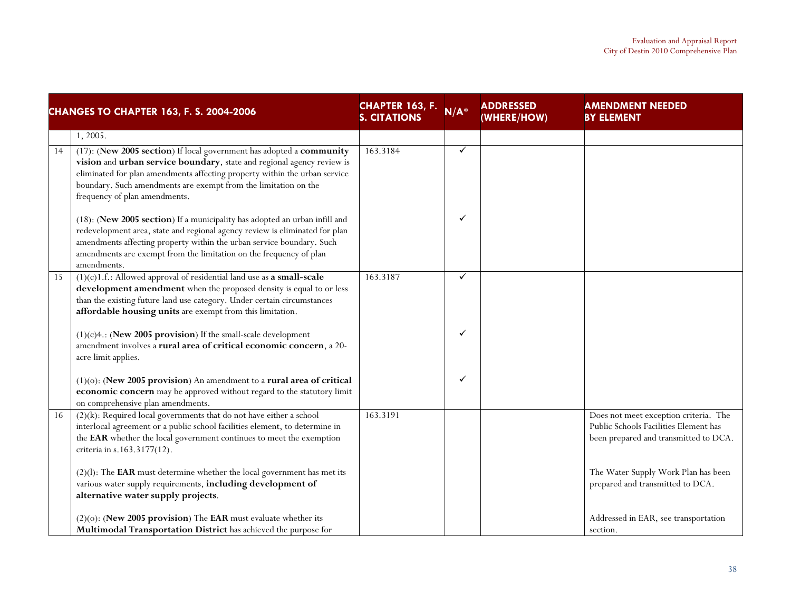| <b>CHANGES TO CHAPTER 163, F. S. 2004-2006</b> |                                                                                                                                                                                                                                                                                                                                  | <b>CHAPTER 163, F.</b><br><b>S. CITATIONS</b> | $N/A^*$      | <b>ADDRESSED</b><br>(WHERE/HOW) | <b>AMENDMENT NEEDED</b><br><b>BY ELEMENT</b> |
|------------------------------------------------|----------------------------------------------------------------------------------------------------------------------------------------------------------------------------------------------------------------------------------------------------------------------------------------------------------------------------------|-----------------------------------------------|--------------|---------------------------------|----------------------------------------------|
|                                                | 1, 2005.                                                                                                                                                                                                                                                                                                                         |                                               |              |                                 |                                              |
| 14                                             | (17): (New 2005 section) If local government has adopted a community<br>vision and urban service boundary, state and regional agency review is<br>eliminated for plan amendments affecting property within the urban service<br>boundary. Such amendments are exempt from the limitation on the<br>frequency of plan amendments. | 163.3184                                      | $\checkmark$ |                                 |                                              |
|                                                | (18): (New 2005 section) If a municipality has adopted an urban infill and<br>redevelopment area, state and regional agency review is eliminated for plan<br>amendments affecting property within the urban service boundary. Such<br>amendments are exempt from the limitation on the frequency of plan<br>amendments.          |                                               | ✓            |                                 |                                              |
| 15                                             | $(1)(c)$ 1.f.: Allowed approval of residential land use as <b>a small-scale</b>                                                                                                                                                                                                                                                  | 163.3187                                      | ✓            |                                 |                                              |
|                                                | development amendment when the proposed density is equal to or less                                                                                                                                                                                                                                                              |                                               |              |                                 |                                              |
|                                                | than the existing future land use category. Under certain circumstances                                                                                                                                                                                                                                                          |                                               |              |                                 |                                              |
|                                                | affordable housing units are exempt from this limitation.                                                                                                                                                                                                                                                                        |                                               |              |                                 |                                              |
|                                                | $(1)(c)4$ .: (New 2005 provision) If the small-scale development                                                                                                                                                                                                                                                                 |                                               | ✓            |                                 |                                              |
|                                                | amendment involves a rural area of critical economic concern, a 20-                                                                                                                                                                                                                                                              |                                               |              |                                 |                                              |
|                                                | acre limit applies.                                                                                                                                                                                                                                                                                                              |                                               |              |                                 |                                              |
|                                                | $(1)(o)$ : (New 2005 provision) An amendment to a rural area of critical                                                                                                                                                                                                                                                         |                                               | ✓            |                                 |                                              |
|                                                | economic concern may be approved without regard to the statutory limit                                                                                                                                                                                                                                                           |                                               |              |                                 |                                              |
|                                                | on comprehensive plan amendments.                                                                                                                                                                                                                                                                                                |                                               |              |                                 |                                              |
| 16                                             | $(2)(k)$ : Required local governments that do not have either a school                                                                                                                                                                                                                                                           | 163.3191                                      |              |                                 | Does not meet exception criteria. The        |
|                                                | interlocal agreement or a public school facilities element, to determine in                                                                                                                                                                                                                                                      |                                               |              |                                 | Public Schools Facilities Element has        |
|                                                | the EAR whether the local government continues to meet the exemption                                                                                                                                                                                                                                                             |                                               |              |                                 | been prepared and transmitted to DCA.        |
|                                                | criteria in s.163.3177(12).                                                                                                                                                                                                                                                                                                      |                                               |              |                                 |                                              |
|                                                | $(2)(1)$ : The EAR must determine whether the local government has met its                                                                                                                                                                                                                                                       |                                               |              |                                 | The Water Supply Work Plan has been          |
|                                                | various water supply requirements, including development of                                                                                                                                                                                                                                                                      |                                               |              |                                 | prepared and transmitted to DCA.             |
|                                                | alternative water supply projects.                                                                                                                                                                                                                                                                                               |                                               |              |                                 |                                              |
|                                                |                                                                                                                                                                                                                                                                                                                                  |                                               |              |                                 |                                              |
|                                                | $(2)(o)$ : (New 2005 provision) The EAR must evaluate whether its                                                                                                                                                                                                                                                                |                                               |              |                                 | Addressed in EAR, see transportation         |
|                                                | Multimodal Transportation District has achieved the purpose for                                                                                                                                                                                                                                                                  |                                               |              |                                 | section.                                     |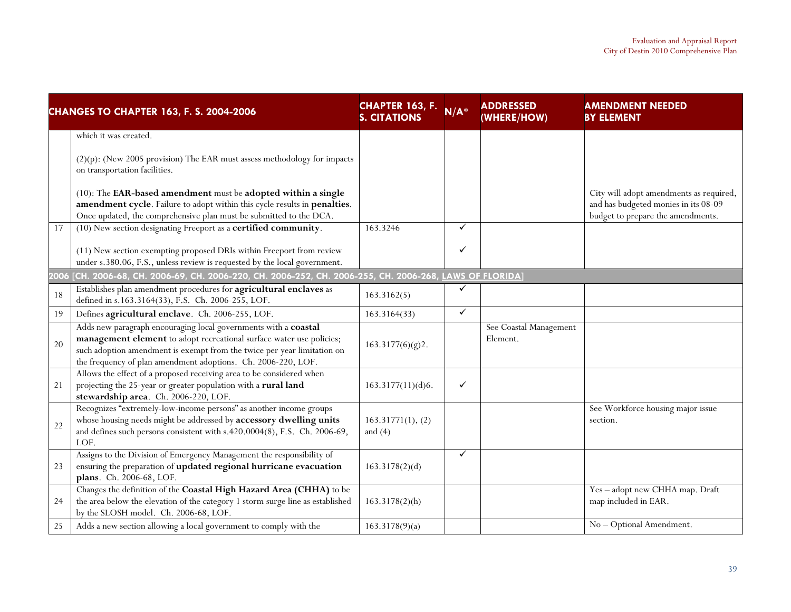| <b>CHANGES TO CHAPTER 163, F. S. 2004-2006</b> |                                                                                                                                                                                                                                                                                     | CHAPTER 163, F.<br><b>S. CITATIONS</b> | $N/A^*$      | <b>ADDRESSED</b><br>(WHERE/HOW)    | <b>AMENDMENT NEEDED</b><br><b>BY ELEMENT</b>                                                                         |
|------------------------------------------------|-------------------------------------------------------------------------------------------------------------------------------------------------------------------------------------------------------------------------------------------------------------------------------------|----------------------------------------|--------------|------------------------------------|----------------------------------------------------------------------------------------------------------------------|
|                                                | which it was created.                                                                                                                                                                                                                                                               |                                        |              |                                    |                                                                                                                      |
|                                                | (2)(p): (New 2005 provision) The EAR must assess methodology for impacts<br>on transportation facilities.                                                                                                                                                                           |                                        |              |                                    |                                                                                                                      |
|                                                | (10): The EAR-based amendment must be adopted within a single<br>amendment cycle. Failure to adopt within this cycle results in penalties.<br>Once updated, the comprehensive plan must be submitted to the DCA.                                                                    |                                        |              |                                    | City will adopt amendments as required,<br>and has budgeted monies in its 08-09<br>budget to prepare the amendments. |
| 17                                             | (10) New section designating Freeport as a certified community.                                                                                                                                                                                                                     | 163.3246                               | ✓            |                                    |                                                                                                                      |
|                                                | (11) New section exempting proposed DRIs within Freeport from review<br>under s.380.06, F.S., unless review is requested by the local government.                                                                                                                                   |                                        | ✓            |                                    |                                                                                                                      |
|                                                | 2006 [CH. 2006-68, CH. 2006-69, CH. 2006-220, CH. 2006-252, CH. 2006-255, CH. 2006-268, LAWS OF FLORIDA                                                                                                                                                                             |                                        |              |                                    |                                                                                                                      |
| 18                                             | Establishes plan amendment procedures for agricultural enclaves as<br>defined in s.163.3164(33), F.S. Ch. 2006-255, LOF.                                                                                                                                                            | 163.3162(5)                            | ✓            |                                    |                                                                                                                      |
| 19                                             | Defines agricultural enclave. Ch. 2006-255, LOF.                                                                                                                                                                                                                                    | 163.3164(33)                           | $\checkmark$ |                                    |                                                                                                                      |
| 20                                             | Adds new paragraph encouraging local governments with a coastal<br>management element to adopt recreational surface water use policies;<br>such adoption amendment is exempt from the twice per year limitation on<br>the frequency of plan amendment adoptions. Ch. 2006-220, LOF. | 163.3177(6)(g)2.                       |              | See Coastal Management<br>Element. |                                                                                                                      |
| 21                                             | Allows the effect of a proposed receiving area to be considered when<br>projecting the 25-year or greater population with a rural land<br>stewardship area. Ch. 2006-220, LOF.                                                                                                      | 163.3177(11)(d)6.                      | ✓            |                                    |                                                                                                                      |
| 22                                             | Recognizes "extremely-low-income persons" as another income groups<br>whose housing needs might be addressed by accessory dwelling units<br>and defines such persons consistent with s.420.0004(8), F.S. Ch. 2006-69,<br>LOF.                                                       | 163.31771(1), (2)<br>and $(4)$         |              |                                    | See Workforce housing major issue<br>section.                                                                        |
| 23                                             | Assigns to the Division of Emergency Management the responsibility of<br>ensuring the preparation of updated regional hurricane evacuation<br>plans. Ch. 2006-68, LOF.                                                                                                              | 163.3178(2)(d)                         | ✓            |                                    |                                                                                                                      |
| 24                                             | Changes the definition of the Coastal High Hazard Area (CHHA) to be<br>the area below the elevation of the category 1 storm surge line as established<br>by the SLOSH model. Ch. 2006-68, LOF.                                                                                      | $163.3178(2)$ (h)                      |              |                                    | Yes - adopt new CHHA map. Draft<br>map included in EAR.                                                              |
| 25                                             | Adds a new section allowing a local government to comply with the                                                                                                                                                                                                                   | 163.3178(9)(a)                         |              |                                    | No - Optional Amendment.                                                                                             |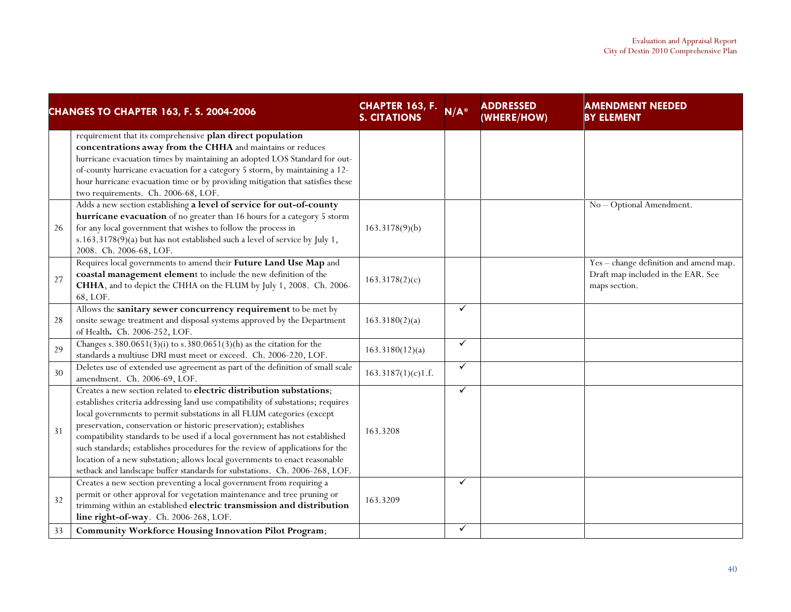| <b>CHANGES TO CHAPTER 163, F. S. 2004-2006</b> |                                                                                                                                                                                                                                                                                                                                                                                                                                                                                                                                                                                                                                    | <b>CHAPTER 163, F.</b><br><b>S. CITATIONS</b> | $N/A^*$      | <b>ADDRESSED</b><br>(WHERE/HOW) | <b>AMENDMENT NEEDED</b><br><b>BY ELEMENT</b>                                                  |
|------------------------------------------------|------------------------------------------------------------------------------------------------------------------------------------------------------------------------------------------------------------------------------------------------------------------------------------------------------------------------------------------------------------------------------------------------------------------------------------------------------------------------------------------------------------------------------------------------------------------------------------------------------------------------------------|-----------------------------------------------|--------------|---------------------------------|-----------------------------------------------------------------------------------------------|
|                                                | requirement that its comprehensive plan direct population<br>concentrations away from the CHHA and maintains or reduces<br>hurricane evacuation times by maintaining an adopted LOS Standard for out-<br>of-county hurricane evacuation for a category 5 storm, by maintaining a 12-<br>hour hurricane evacuation time or by providing mitigation that satisfies these<br>two requirements. Ch. 2006-68, LOF.                                                                                                                                                                                                                      |                                               |              |                                 |                                                                                               |
| 26                                             | Adds a new section establishing a level of service for out-of-county<br>hurricane evacuation of no greater than 16 hours for a category 5 storm<br>for any local government that wishes to follow the process in<br>s.163.3178(9)(a) but has not established such a level of service by July 1,<br>2008. Ch. 2006-68, LOF.                                                                                                                                                                                                                                                                                                         | 163.3178(9)(b)                                |              |                                 | No - Optional Amendment.                                                                      |
| 27                                             | Requires local governments to amend their Future Land Use Map and<br>coastal management element to include the new definition of the<br>CHHA, and to depict the CHHA on the FLUM by July 1, 2008. Ch. 2006-<br>68, LOF.                                                                                                                                                                                                                                                                                                                                                                                                            | 163.3178(2)(c)                                |              |                                 | Yes - change definition and amend map.<br>Draft map included in the EAR. See<br>maps section. |
| 28                                             | Allows the sanitary sewer concurrency requirement to be met by<br>onsite sewage treatment and disposal systems approved by the Department<br>of Health. Ch. 2006-252, LOF.                                                                                                                                                                                                                                                                                                                                                                                                                                                         | 163.3180(2)(a)                                | $\checkmark$ |                                 |                                                                                               |
| 29                                             | Changes s. 380.0651(3)(i) to s. 380.0651(3)(h) as the citation for the<br>standards a multiuse DRI must meet or exceed. Ch. 2006-220, LOF.                                                                                                                                                                                                                                                                                                                                                                                                                                                                                         | 163.3180(12)(a)                               | $\checkmark$ |                                 |                                                                                               |
| 30                                             | Deletes use of extended use agreement as part of the definition of small scale<br>amendment. Ch. 2006-69, LOF.                                                                                                                                                                                                                                                                                                                                                                                                                                                                                                                     | 163.3187(1)(c)1.f.                            | $\checkmark$ |                                 |                                                                                               |
| 31                                             | Creates a new section related to electric distribution substations;<br>establishes criteria addressing land use compatibility of substations; requires<br>local governments to permit substations in all FLUM categories (except<br>preservation, conservation or historic preservation); establishes<br>compatibility standards to be used if a local government has not established<br>such standards; establishes procedures for the review of applications for the<br>location of a new substation; allows local governments to enact reasonable<br>setback and landscape buffer standards for substations. Ch. 2006-268, LOF. | 163.3208                                      | $\checkmark$ |                                 |                                                                                               |
| 32                                             | Creates a new section preventing a local government from requiring a<br>permit or other approval for vegetation maintenance and tree pruning or<br>trimming within an established electric transmission and distribution<br>line right-of-way. Ch. 2006-268, LOF.                                                                                                                                                                                                                                                                                                                                                                  | 163.3209                                      | $\checkmark$ |                                 |                                                                                               |
| 33                                             | <b>Community Workforce Housing Innovation Pilot Program;</b>                                                                                                                                                                                                                                                                                                                                                                                                                                                                                                                                                                       |                                               | $\checkmark$ |                                 |                                                                                               |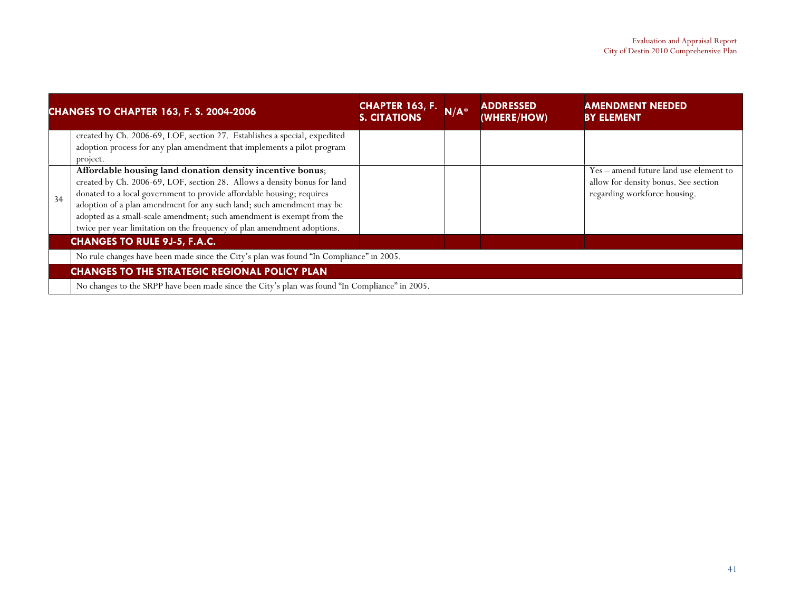|    | <b>CHANGES TO CHAPTER 163, F. S. 2004-2006</b>                                                                                                                                                                                                                                                                                                                                                                                              | <b>CHAPTER 163, F.</b><br><b>S. CITATIONS</b> | $N/A^*$ | ADDRESSED<br>(WHERE/HOW) | <b>AMENDMENT NEEDED</b><br><b>BY ELEMENT</b>                                                                   |
|----|---------------------------------------------------------------------------------------------------------------------------------------------------------------------------------------------------------------------------------------------------------------------------------------------------------------------------------------------------------------------------------------------------------------------------------------------|-----------------------------------------------|---------|--------------------------|----------------------------------------------------------------------------------------------------------------|
|    | created by Ch. 2006-69, LOF, section 27. Establishes a special, expedited<br>adoption process for any plan amendment that implements a pilot program<br>project.                                                                                                                                                                                                                                                                            |                                               |         |                          |                                                                                                                |
| 34 | Affordable housing land donation density incentive bonus;<br>created by Ch. 2006-69, LOF, section 28. Allows a density bonus for land<br>donated to a local government to provide affordable housing; requires<br>adoption of a plan amendment for any such land; such amendment may be<br>adopted as a small-scale amendment; such amendment is exempt from the<br>twice per year limitation on the frequency of plan amendment adoptions. |                                               |         |                          | Yes – amend future land use element to<br>allow for density bonus. See section<br>regarding workforce housing. |
|    | <b>CHANGES TO RULE 9J-5, F.A.C.</b>                                                                                                                                                                                                                                                                                                                                                                                                         |                                               |         |                          |                                                                                                                |
|    | No rule changes have been made since the City's plan was found "In Compliance" in 2005.                                                                                                                                                                                                                                                                                                                                                     |                                               |         |                          |                                                                                                                |
|    | <b>CHANGES TO THE STRATEGIC REGIONAL POLICY PLAN</b>                                                                                                                                                                                                                                                                                                                                                                                        |                                               |         |                          |                                                                                                                |
|    | No changes to the SRPP have been made since the City's plan was found "In Compliance" in 2005.                                                                                                                                                                                                                                                                                                                                              |                                               |         |                          |                                                                                                                |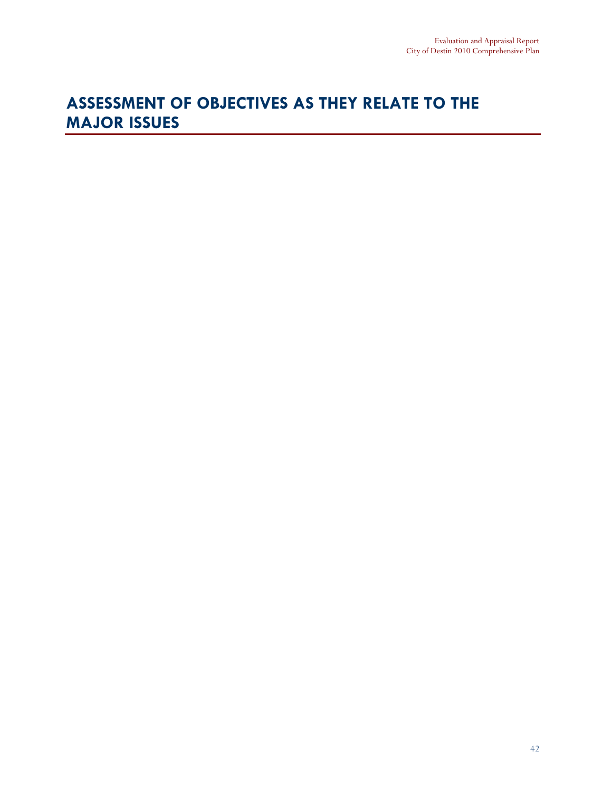## ASSESSMENT OF OBJECTIVES AS THEY RELATE TO THE MAJOR ISSUES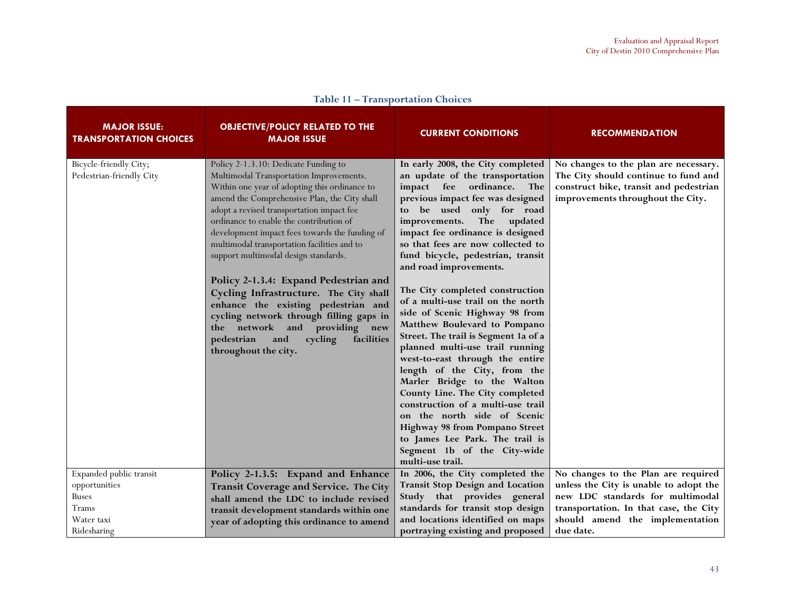| <b>MAJOR ISSUE:</b><br><b>TRANSPORTATION CHOICES</b> | <b>OBJECTIVE/POLICY RELATED TO THE</b><br><b>MAJOR ISSUE</b>                                                                                                                                                                                                                                                                                                                                                                                                                                                                                                                                                                                                                                        | <b>CURRENT CONDITIONS</b>                                                                                                                                                                                                                                                                                                                                                                                                                                                                                                                                                                                                                                                                                                                                                                                                                                                                                    | <b>RECOMMENDATION</b>                                                                                                                                        |
|------------------------------------------------------|-----------------------------------------------------------------------------------------------------------------------------------------------------------------------------------------------------------------------------------------------------------------------------------------------------------------------------------------------------------------------------------------------------------------------------------------------------------------------------------------------------------------------------------------------------------------------------------------------------------------------------------------------------------------------------------------------------|--------------------------------------------------------------------------------------------------------------------------------------------------------------------------------------------------------------------------------------------------------------------------------------------------------------------------------------------------------------------------------------------------------------------------------------------------------------------------------------------------------------------------------------------------------------------------------------------------------------------------------------------------------------------------------------------------------------------------------------------------------------------------------------------------------------------------------------------------------------------------------------------------------------|--------------------------------------------------------------------------------------------------------------------------------------------------------------|
| Bicycle-friendly City;<br>Pedestrian-friendly City   | Policy 2-1.3.10: Dedicate Funding to<br>Multimodal Transportation Improvements.<br>Within one year of adopting this ordinance to<br>amend the Comprehensive Plan, the City shall<br>adopt a revised transportation impact fee<br>ordinance to enable the contribution of<br>development impact fees towards the funding of<br>multimodal transportation facilities and to<br>support multimodal design standards.<br>Policy 2-1.3.4: Expand Pedestrian and<br>Cycling Infrastructure. The City shall<br>enhance the existing pedestrian and<br>cycling network through filling gaps in<br>providing<br>the network and<br>new<br>pedestrian<br>cycling<br>facilities<br>and<br>throughout the city. | In early 2008, the City completed<br>an update of the transportation<br>impact fee ordinance.<br>The<br>previous impact fee was designed<br>to be used only for road<br>The<br>improvements.<br>updated<br>impact fee ordinance is designed<br>so that fees are now collected to<br>fund bicycle, pedestrian, transit<br>and road improvements.<br>The City completed construction<br>of a multi-use trail on the north<br>side of Scenic Highway 98 from<br>Matthew Boulevard to Pompano<br>Street. The trail is Segment 1a of a<br>planned multi-use trail running<br>west-to-east through the entire<br>length of the City, from the<br>Marler Bridge to the Walton<br>County Line. The City completed<br>construction of a multi-use trail<br>on the north side of Scenic<br><b>Highway 98 from Pompano Street</b><br>to James Lee Park. The trail is<br>Segment 1b of the City-wide<br>multi-use trail. | No changes to the plan are necessary.<br>The City should continue to fund and<br>construct bike, transit and pedestrian<br>improvements throughout the City. |
| Expanded public transit                              | Policy 2-1.3.5: Expand and Enhance                                                                                                                                                                                                                                                                                                                                                                                                                                                                                                                                                                                                                                                                  | In 2006, the City completed the                                                                                                                                                                                                                                                                                                                                                                                                                                                                                                                                                                                                                                                                                                                                                                                                                                                                              | No changes to the Plan are required                                                                                                                          |
| opportunities                                        | Transit Coverage and Service. The City                                                                                                                                                                                                                                                                                                                                                                                                                                                                                                                                                                                                                                                              | Transit Stop Design and Location                                                                                                                                                                                                                                                                                                                                                                                                                                                                                                                                                                                                                                                                                                                                                                                                                                                                             | unless the City is unable to adopt the                                                                                                                       |
| Buses                                                | shall amend the LDC to include revised                                                                                                                                                                                                                                                                                                                                                                                                                                                                                                                                                                                                                                                              | Study that provides general                                                                                                                                                                                                                                                                                                                                                                                                                                                                                                                                                                                                                                                                                                                                                                                                                                                                                  | new LDC standards for multimodal                                                                                                                             |
| Trams                                                | transit development standards within one                                                                                                                                                                                                                                                                                                                                                                                                                                                                                                                                                                                                                                                            | standards for transit stop design<br>and locations identified on maps                                                                                                                                                                                                                                                                                                                                                                                                                                                                                                                                                                                                                                                                                                                                                                                                                                        | transportation. In that case, the City                                                                                                                       |
| Water taxi                                           | year of adopting this ordinance to amend                                                                                                                                                                                                                                                                                                                                                                                                                                                                                                                                                                                                                                                            |                                                                                                                                                                                                                                                                                                                                                                                                                                                                                                                                                                                                                                                                                                                                                                                                                                                                                                              | should amend the implementation                                                                                                                              |
| Ridesharing                                          |                                                                                                                                                                                                                                                                                                                                                                                                                                                                                                                                                                                                                                                                                                     | portraying existing and proposed                                                                                                                                                                                                                                                                                                                                                                                                                                                                                                                                                                                                                                                                                                                                                                                                                                                                             | due date.                                                                                                                                                    |

## Table 11 – Transportation Choices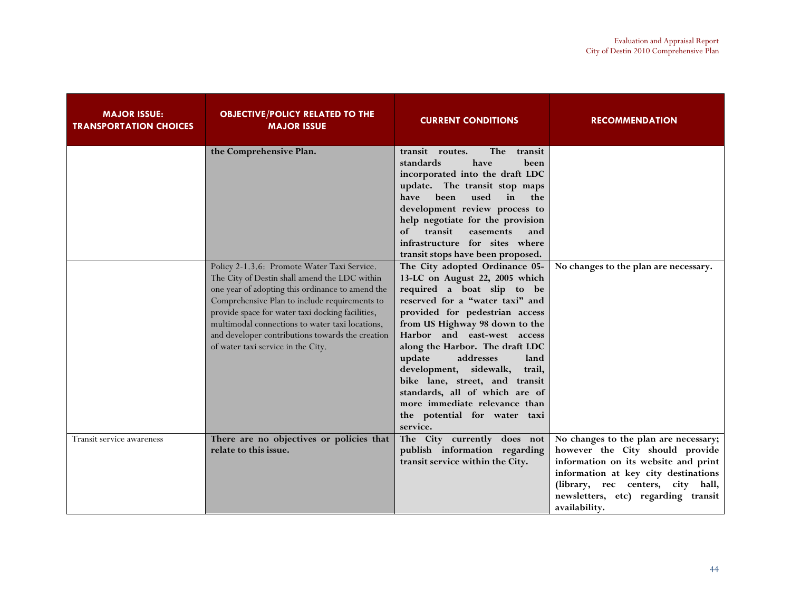| <b>MAJOR ISSUE:</b><br><b>TRANSPORTATION CHOICES</b> | <b>OBJECTIVE/POLICY RELATED TO THE</b><br><b>MAJOR ISSUE</b>                                                                                                                                                                                                                                                                                                                                       | <b>CURRENT CONDITIONS</b>                                                                                                                                                                                                                                                                                                                                                                                                                                                                                                        | <b>RECOMMENDATION</b>                                                                                                                                                                                                                                 |
|------------------------------------------------------|----------------------------------------------------------------------------------------------------------------------------------------------------------------------------------------------------------------------------------------------------------------------------------------------------------------------------------------------------------------------------------------------------|----------------------------------------------------------------------------------------------------------------------------------------------------------------------------------------------------------------------------------------------------------------------------------------------------------------------------------------------------------------------------------------------------------------------------------------------------------------------------------------------------------------------------------|-------------------------------------------------------------------------------------------------------------------------------------------------------------------------------------------------------------------------------------------------------|
|                                                      | the Comprehensive Plan.                                                                                                                                                                                                                                                                                                                                                                            | The<br>transit routes.<br>transit<br>standards<br>have<br>been<br>incorporated into the draft LDC<br>update. The transit stop maps<br>used<br>have<br>heen<br>in<br>the<br>development review process to<br>help negotiate for the provision<br>transit<br>of<br>easements<br>and<br>infrastructure for sites where                                                                                                                                                                                                              |                                                                                                                                                                                                                                                       |
|                                                      | Policy 2-1.3.6: Promote Water Taxi Service.<br>The City of Destin shall amend the LDC within<br>one year of adopting this ordinance to amend the<br>Comprehensive Plan to include requirements to<br>provide space for water taxi docking facilities,<br>multimodal connections to water taxi locations,<br>and developer contributions towards the creation<br>of water taxi service in the City. | transit stops have been proposed.<br>The City adopted Ordinance 05-<br>13-LC on August 22, 2005 which<br>required a boat slip to be<br>reserved for a "water taxi" and<br>provided for pedestrian access<br>from US Highway 98 down to the<br>Harbor and east-west access<br>along the Harbor. The draft LDC<br>update<br>addresses<br>land<br>development, sidewalk,<br>trail,<br>bike lane, street, and transit<br>standards, all of which are of<br>more immediate relevance than<br>the potential for water taxi<br>service. | No changes to the plan are necessary.                                                                                                                                                                                                                 |
| Transit service awareness                            | There are no objectives or policies that<br>relate to this issue.                                                                                                                                                                                                                                                                                                                                  | The City currently does not<br>publish information regarding<br>transit service within the City.                                                                                                                                                                                                                                                                                                                                                                                                                                 | No changes to the plan are necessary;<br>however the City should provide<br>information on its website and print<br>information at key city destinations<br>(library, rec centers, city hall,<br>newsletters, etc) regarding transit<br>availability. |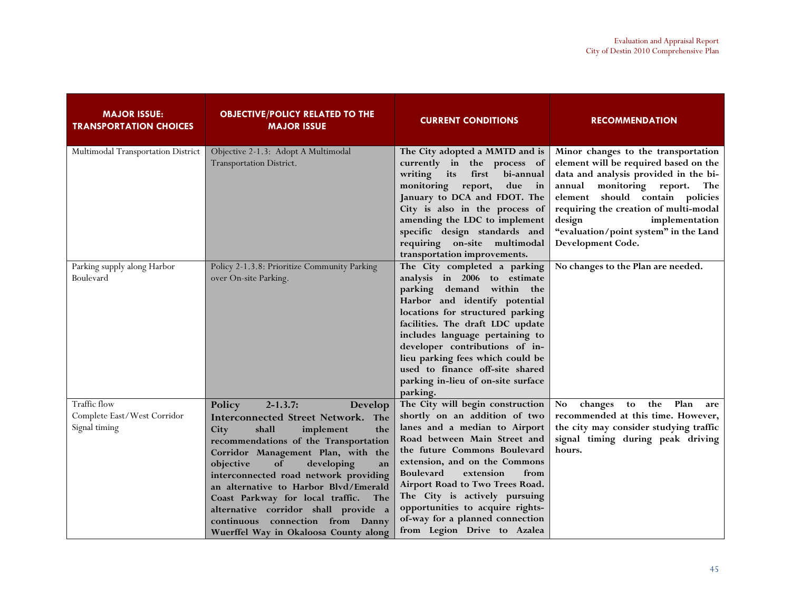| <b>MAJOR ISSUE:</b><br><b>TRANSPORTATION CHOICES</b>         | <b>OBJECTIVE/POLICY RELATED TO THE</b><br><b>MAJOR ISSUE</b>                                                                                                                                                                                                                                                                                                                                                                                                                                | <b>CURRENT CONDITIONS</b>                                                                                                                                                                                                                                                                                                                                                                                              | <b>RECOMMENDATION</b>                                                                                                                                                                                                                                                                                                           |
|--------------------------------------------------------------|---------------------------------------------------------------------------------------------------------------------------------------------------------------------------------------------------------------------------------------------------------------------------------------------------------------------------------------------------------------------------------------------------------------------------------------------------------------------------------------------|------------------------------------------------------------------------------------------------------------------------------------------------------------------------------------------------------------------------------------------------------------------------------------------------------------------------------------------------------------------------------------------------------------------------|---------------------------------------------------------------------------------------------------------------------------------------------------------------------------------------------------------------------------------------------------------------------------------------------------------------------------------|
| Multimodal Transportation District                           | Objective 2-1.3: Adopt A Multimodal<br>Transportation District.                                                                                                                                                                                                                                                                                                                                                                                                                             | The City adopted a MMTD and is<br>currently in the process of<br>its<br>first<br>writing<br>bi-annual<br>monitoring report,<br>due<br>$\mathbf{in}$<br>January to DCA and FDOT. The<br>City is also in the process of<br>amending the LDC to implement<br>specific design standards and<br>requiring on-site multimodal<br>transportation improvements.                                                                | Minor changes to the transportation<br>element will be required based on the<br>data and analysis provided in the bi-<br>monitoring report. The<br>annual<br>element should contain policies<br>requiring the creation of multi-modal<br>design<br>implementation<br>"evaluation/point system" in the Land<br>Development Code. |
| Parking supply along Harbor<br>Boulevard                     | Policy 2-1.3.8: Prioritize Community Parking<br>over On-site Parking.                                                                                                                                                                                                                                                                                                                                                                                                                       | The City completed a parking<br>analysis in 2006 to estimate<br>parking demand within the<br>Harbor and identify potential<br>locations for structured parking<br>facilities. The draft LDC update<br>includes language pertaining to<br>developer contributions of in-<br>lieu parking fees which could be<br>used to finance off-site shared<br>parking in-lieu of on-site surface<br>parking.                       | No changes to the Plan are needed.                                                                                                                                                                                                                                                                                              |
| Traffic flow<br>Complete East/West Corridor<br>Signal timing | Policy<br>$2 - 1.3.7:$<br><b>Develop</b><br>Interconnected Street Network. The<br>shall<br>implement<br>City<br>the<br>recommendations of the Transportation<br>Corridor Management Plan, with the<br>of<br>developing<br>objective<br>an<br>interconnected road network providing<br>an alternative to Harbor Blvd/Emerald<br>Coast Parkway for local traffic.<br>The<br>alternative corridor shall provide a<br>continuous connection from Danny<br>Wuerffel Way in Okaloosa County along | The City will begin construction<br>shortly on an addition of two<br>lanes and a median to Airport<br>Road between Main Street and<br>the future Commons Boulevard<br>extension, and on the Commons<br><b>Boulevard</b><br>extension<br>from<br>Airport Road to Two Trees Road.<br>The City is actively pursuing<br>opportunities to acquire rights-<br>of-way for a planned connection<br>from Legion Drive to Azalea | changes to<br>the<br>Plan<br>No<br>are<br>recommended at this time. However,<br>the city may consider studying traffic<br>signal timing during peak driving<br>hours.                                                                                                                                                           |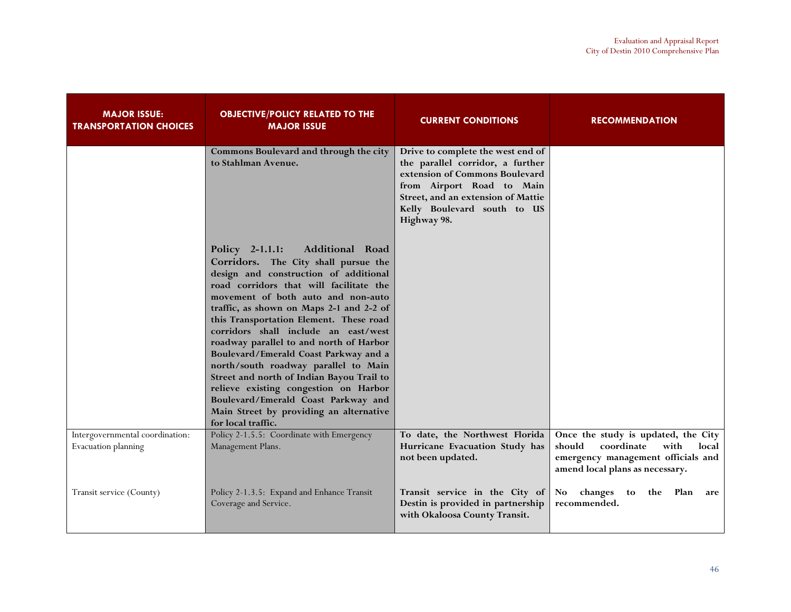| <b>MAJOR ISSUE:</b><br><b>TRANSPORTATION CHOICES</b>   | <b>OBJECTIVE/POLICY RELATED TO THE</b><br><b>MAJOR ISSUE</b>                                                                                                                                                                                                                                                                                                                                                                                                                                                                                                                                                                                                  | <b>CURRENT CONDITIONS</b>                                                                                                                                                                                                | <b>RECOMMENDATION</b>                                                                                                                                 |
|--------------------------------------------------------|---------------------------------------------------------------------------------------------------------------------------------------------------------------------------------------------------------------------------------------------------------------------------------------------------------------------------------------------------------------------------------------------------------------------------------------------------------------------------------------------------------------------------------------------------------------------------------------------------------------------------------------------------------------|--------------------------------------------------------------------------------------------------------------------------------------------------------------------------------------------------------------------------|-------------------------------------------------------------------------------------------------------------------------------------------------------|
|                                                        | Commons Boulevard and through the city<br>to Stahlman Avenue.                                                                                                                                                                                                                                                                                                                                                                                                                                                                                                                                                                                                 | Drive to complete the west end of<br>the parallel corridor, a further<br>extension of Commons Boulevard<br>from Airport Road to Main<br>Street, and an extension of Mattie<br>Kelly Boulevard south to US<br>Highway 98. |                                                                                                                                                       |
|                                                        | Additional Road<br>Policy 2-1.1.1:<br>Corridors. The City shall pursue the<br>design and construction of additional<br>road corridors that will facilitate the<br>movement of both auto and non-auto<br>traffic, as shown on Maps 2-1 and 2-2 of<br>this Transportation Element. These road<br>corridors shall include an east/west<br>roadway parallel to and north of Harbor<br>Boulevard/Emerald Coast Parkway and a<br>north/south roadway parallel to Main<br>Street and north of Indian Bayou Trail to<br>relieve existing congestion on Harbor<br>Boulevard/Emerald Coast Parkway and<br>Main Street by providing an alternative<br>for local traffic. |                                                                                                                                                                                                                          |                                                                                                                                                       |
| Intergovernmental coordination:<br>Evacuation planning | Policy 2-1.5.5: Coordinate with Emergency<br>Management Plans.                                                                                                                                                                                                                                                                                                                                                                                                                                                                                                                                                                                                | To date, the Northwest Florida<br>Hurricane Evacuation Study has<br>not been updated.                                                                                                                                    | Once the study is updated, the City<br>should<br>coordinate<br>with<br>local<br>emergency management officials and<br>amend local plans as necessary. |
| Transit service (County)                               | Policy 2-1.3.5: Expand and Enhance Transit<br>Coverage and Service.                                                                                                                                                                                                                                                                                                                                                                                                                                                                                                                                                                                           | Transit service in the City of<br>Destin is provided in partnership<br>with Okaloosa County Transit.                                                                                                                     | No changes to<br>the Plan<br>are<br>recommended.                                                                                                      |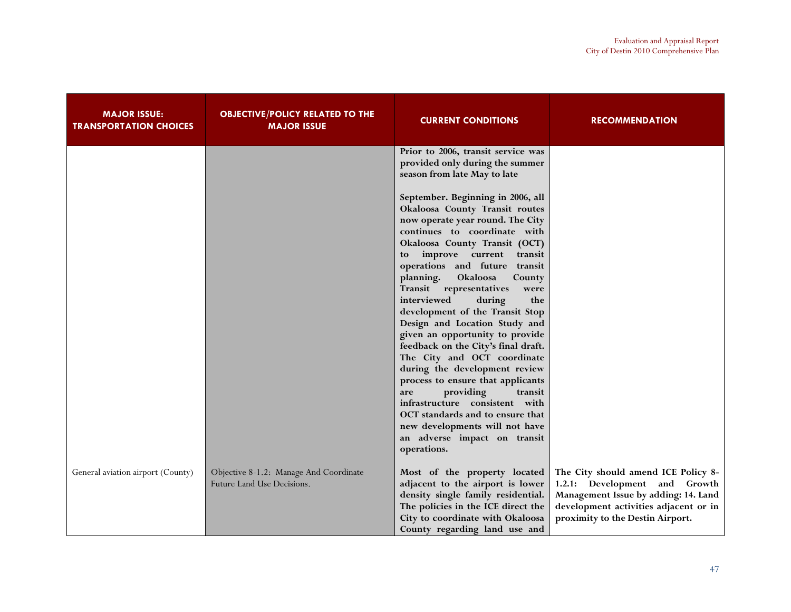| <b>MAJOR ISSUE:</b><br><b>TRANSPORTATION CHOICES</b> | <b>OBJECTIVE/POLICY RELATED TO THE</b><br><b>MAJOR ISSUE</b>         | <b>CURRENT CONDITIONS</b>                                                                                                                                                                                                                                                                                                                                                                                                                                                                                                                                                                                                                                                                                                                                                                                                                                                                          | <b>RECOMMENDATION</b>                                                                                                                                                                     |
|------------------------------------------------------|----------------------------------------------------------------------|----------------------------------------------------------------------------------------------------------------------------------------------------------------------------------------------------------------------------------------------------------------------------------------------------------------------------------------------------------------------------------------------------------------------------------------------------------------------------------------------------------------------------------------------------------------------------------------------------------------------------------------------------------------------------------------------------------------------------------------------------------------------------------------------------------------------------------------------------------------------------------------------------|-------------------------------------------------------------------------------------------------------------------------------------------------------------------------------------------|
|                                                      |                                                                      | Prior to 2006, transit service was<br>provided only during the summer<br>season from late May to late<br>September. Beginning in 2006, all<br>Okaloosa County Transit routes<br>now operate year round. The City<br>continues to coordinate with<br>Okaloosa County Transit (OCT)<br>improve current transit<br>to<br>operations and future transit<br>Okaloosa<br>planning.<br>County<br>Transit representatives<br>were<br>interviewed<br>during<br>the<br>development of the Transit Stop<br>Design and Location Study and<br>given an opportunity to provide<br>feedback on the City's final draft.<br>The City and OCT coordinate<br>during the development review<br>process to ensure that applicants<br>providing<br>transit<br>are<br>infrastructure consistent with<br>OCT standards and to ensure that<br>new developments will not have<br>an adverse impact on transit<br>operations. |                                                                                                                                                                                           |
| General aviation airport (County)                    | Objective 8-1.2: Manage And Coordinate<br>Future Land Use Decisions. | Most of the property located<br>adjacent to the airport is lower<br>density single family residential.<br>The policies in the ICE direct the<br>City to coordinate with Okaloosa<br>County regarding land use and                                                                                                                                                                                                                                                                                                                                                                                                                                                                                                                                                                                                                                                                                  | The City should amend ICE Policy 8-<br>1.2.1: Development and Growth<br>Management Issue by adding: 14. Land<br>development activities adjacent or in<br>proximity to the Destin Airport. |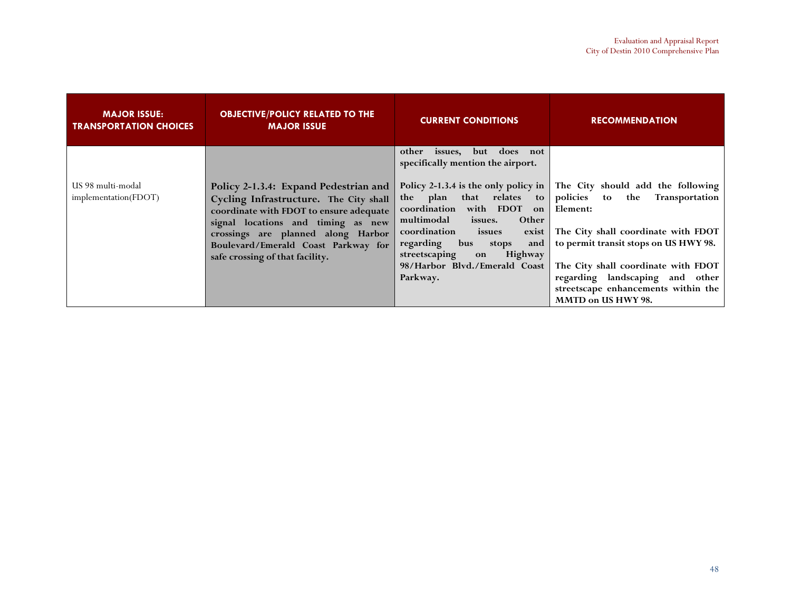| <b>MAJOR ISSUE:</b><br><b>TRANSPORTATION CHOICES</b> | <b>OBJECTIVE/POLICY RELATED TO THE</b><br><b>MAJOR ISSUE</b>                                                                                                                                  | <b>CURRENT CONDITIONS</b>                                                                                                                                                                                                     | <b>RECOMMENDATION</b>                                                                                                                                                                                                           |
|------------------------------------------------------|-----------------------------------------------------------------------------------------------------------------------------------------------------------------------------------------------|-------------------------------------------------------------------------------------------------------------------------------------------------------------------------------------------------------------------------------|---------------------------------------------------------------------------------------------------------------------------------------------------------------------------------------------------------------------------------|
| US 98 multi-modal<br>implementation(FDOT)            | Policy 2-1.3.4: Expand Pedestrian and<br>Cycling Infrastructure. The City shall                                                                                                               | does<br>but<br>other<br>issues,<br>not<br>specifically mention the airport.<br>Policy 2-1.3.4 is the only policy in $\parallel$<br>the plan that relates<br>$\mathbf{to}$                                                     | The City should add the following<br>policies<br>Transportation<br>the<br>to                                                                                                                                                    |
|                                                      | coordinate with FDOT to ensure adequate<br>signal locations and timing as new<br>crossings are planned along Harbor<br>Boulevard/Emerald Coast Parkway for<br>safe crossing of that facility. | coordination with FDOT<br>on  <br>multimodal<br>issues.<br>Other<br>coordination<br>issues<br>exist<br>regarding<br>bus<br>and<br>stops<br>streetscaping<br><b>Highway</b><br>on<br>98/Harbor Blvd./Emerald Coast<br>Parkway. | Element:<br>The City shall coordinate with FDOT<br>to permit transit stops on US HWY 98.<br>The City shall coordinate with FDOT<br>regarding landscaping and other<br>streetscape enhancements within the<br>MMTD on US HWY 98. |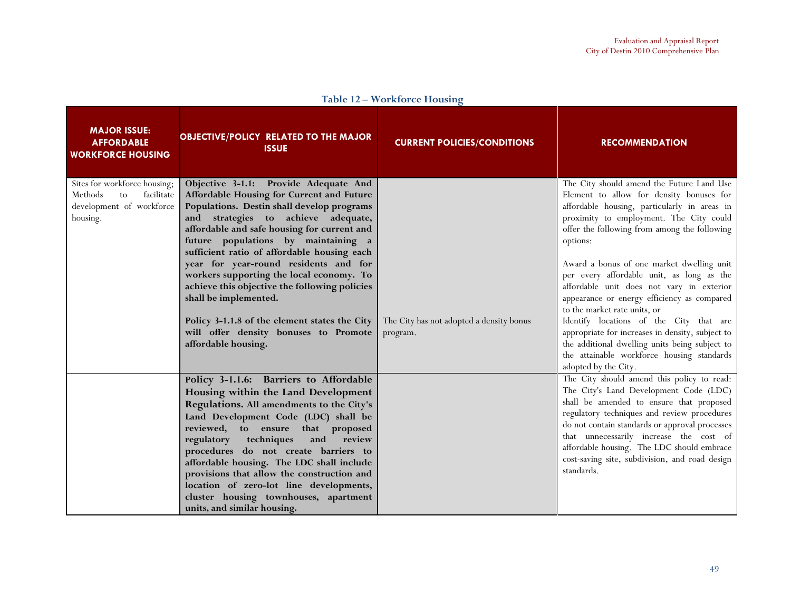| <b>MAJOR ISSUE:</b><br><b>AFFORDABLE</b><br><b>WORKFORCE HOUSING</b>                                | <b>OBJECTIVE/POLICY RELATED TO THE MAJOR</b><br><b>ISSUE</b>                                                                                                                                                                                                                                                                                                                                                                                                                                                                                                                                 | <b>CURRENT POLICIES/CONDITIONS</b>                   | <b>RECOMMENDATION</b>                                                                                                                                                                                                                                                                                                                                                                                                                                                                                                                                                                                                                                                                     |
|-----------------------------------------------------------------------------------------------------|----------------------------------------------------------------------------------------------------------------------------------------------------------------------------------------------------------------------------------------------------------------------------------------------------------------------------------------------------------------------------------------------------------------------------------------------------------------------------------------------------------------------------------------------------------------------------------------------|------------------------------------------------------|-------------------------------------------------------------------------------------------------------------------------------------------------------------------------------------------------------------------------------------------------------------------------------------------------------------------------------------------------------------------------------------------------------------------------------------------------------------------------------------------------------------------------------------------------------------------------------------------------------------------------------------------------------------------------------------------|
| Sites for workforce housing;<br>facilitate<br>Methods<br>to<br>development of workforce<br>housing. | Objective 3-1.1: Provide Adequate And<br>Affordable Housing for Current and Future<br>Populations. Destin shall develop programs<br>and strategies to achieve adequate,<br>affordable and safe housing for current and<br>future populations by maintaining a<br>sufficient ratio of affordable housing each<br>year for year-round residents and for<br>workers supporting the local economy. To<br>achieve this objective the following policies<br>shall be implemented.<br>Policy 3-1.1.8 of the element states the City<br>will offer density bonuses to Promote<br>affordable housing. | The City has not adopted a density bonus<br>program. | The City should amend the Future Land Use<br>Element to allow for density bonuses for<br>affordable housing, particularly in areas in<br>proximity to employment. The City could<br>offer the following from among the following<br>options:<br>Award a bonus of one market dwelling unit<br>per every affordable unit, as long as the<br>affordable unit does not vary in exterior<br>appearance or energy efficiency as compared<br>to the market rate units, or<br>Identify locations of the City that are<br>appropriate for increases in density, subject to<br>the additional dwelling units being subject to<br>the attainable workforce housing standards<br>adopted by the City. |
|                                                                                                     | Policy 3-1.1.6: Barriers to Affordable<br>Housing within the Land Development<br>Regulations. All amendments to the City's<br>Land Development Code (LDC) shall be<br>reviewed, to ensure that proposed<br>regulatory techniques<br>and<br>review<br>procedures do not create barriers to<br>affordable housing. The LDC shall include<br>provisions that allow the construction and<br>location of zero-lot line developments,<br>cluster housing townhouses, apartment<br>units, and similar housing.                                                                                      |                                                      | The City should amend this policy to read:<br>The City's Land Development Code (LDC)<br>shall be amended to ensure that proposed<br>regulatory techniques and review procedures<br>do not contain standards or approval processes<br>that unnecessarily increase the cost of<br>affordable housing. The LDC should embrace<br>cost-saving site, subdivision, and road design<br>standards.                                                                                                                                                                                                                                                                                                |

Table 12 – Workforce Housing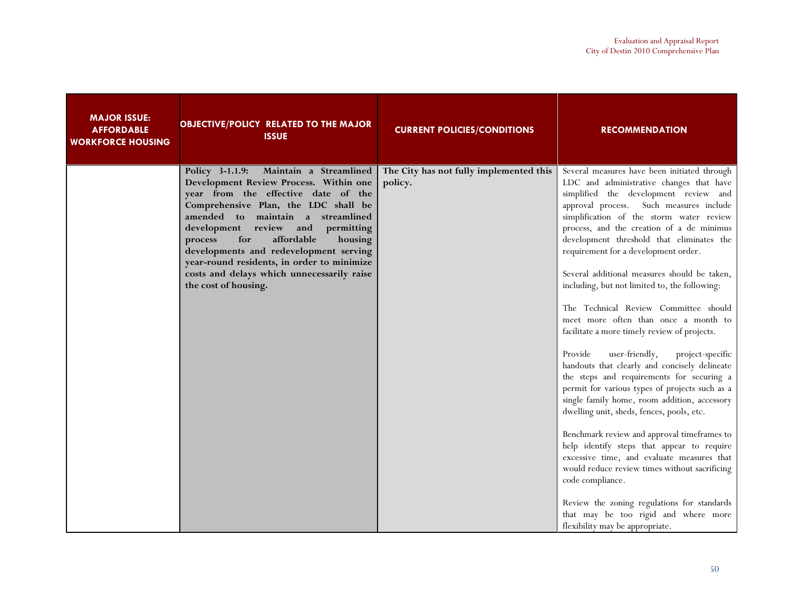| <b>MAJOR ISSUE:</b><br><b>AFFORDABLE</b><br><b>WORKFORCE HOUSING</b> | <b>OBJECTIVE/POLICY RELATED TO THE MAJOR</b><br><b>ISSUE</b>                                                                                                                                                                                                                                                                                                                                                                                             | <b>CURRENT POLICIES/CONDITIONS</b>                 | <b>RECOMMENDATION</b>                                                                                                                                                                                                                                                                                                                                                                                                                                                                                                                                                                                                                                                                                                                                                                                                                                                                                                                                                                                                                                                                                                                                                                                                                |
|----------------------------------------------------------------------|----------------------------------------------------------------------------------------------------------------------------------------------------------------------------------------------------------------------------------------------------------------------------------------------------------------------------------------------------------------------------------------------------------------------------------------------------------|----------------------------------------------------|--------------------------------------------------------------------------------------------------------------------------------------------------------------------------------------------------------------------------------------------------------------------------------------------------------------------------------------------------------------------------------------------------------------------------------------------------------------------------------------------------------------------------------------------------------------------------------------------------------------------------------------------------------------------------------------------------------------------------------------------------------------------------------------------------------------------------------------------------------------------------------------------------------------------------------------------------------------------------------------------------------------------------------------------------------------------------------------------------------------------------------------------------------------------------------------------------------------------------------------|
|                                                                      | Policy 3-1.1.9:<br>Maintain a Streamlined<br>Development Review Process. Within one<br>year from the effective date of the<br>Comprehensive Plan, the LDC shall be<br>amended to maintain a streamlined<br>development review and<br>permitting<br>affordable<br>for<br>housing<br>process<br>developments and redevelopment serving<br>year-round residents, in order to minimize<br>costs and delays which unnecessarily raise<br>the cost of housing. | The City has not fully implemented this<br>policy. | Several measures have been initiated through<br>LDC and administrative changes that have<br>simplified the development review and<br>approval process. Such measures include<br>simplification of the storm water review<br>process, and the creation of a de minimus<br>development threshold that eliminates the<br>requirement for a development order.<br>Several additional measures should be taken,<br>including, but not limited to, the following:<br>The Technical Review Committee should<br>meet more often than once a month to<br>facilitate a more timely review of projects.<br>user-friendly,<br>Provide<br>project-specific<br>handouts that clearly and concisely delineate<br>the steps and requirements for securing a<br>permit for various types of projects such as a<br>single family home, room addition, accessory<br>dwelling unit, sheds, fences, pools, etc.<br>Benchmark review and approval timeframes to<br>help identify steps that appear to require<br>excessive time, and evaluate measures that<br>would reduce review times without sacrificing<br>code compliance.<br>Review the zoning regulations for standards<br>that may be too rigid and where more<br>flexibility may be appropriate. |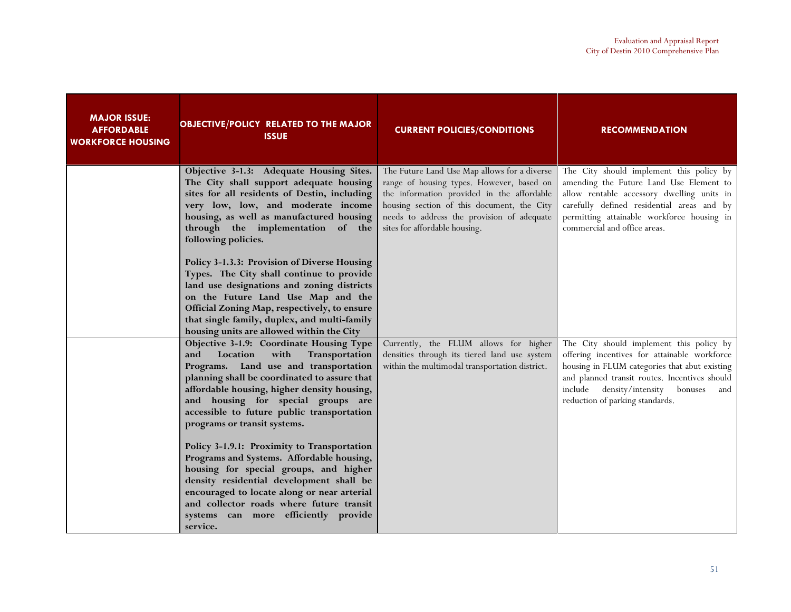| <b>MAJOR ISSUE:</b><br><b>AFFORDABLE</b><br><b>WORKFORCE HOUSING</b> | <b>OBJECTIVE/POLICY RELATED TO THE MAJOR</b><br><b>ISSUE</b>                                                                                                                                                                                                                                                                                      | <b>CURRENT POLICIES/CONDITIONS</b>                                                                                                                                                                                                                                   | <b>RECOMMENDATION</b>                                                                                                                                                                                                                                                           |
|----------------------------------------------------------------------|---------------------------------------------------------------------------------------------------------------------------------------------------------------------------------------------------------------------------------------------------------------------------------------------------------------------------------------------------|----------------------------------------------------------------------------------------------------------------------------------------------------------------------------------------------------------------------------------------------------------------------|---------------------------------------------------------------------------------------------------------------------------------------------------------------------------------------------------------------------------------------------------------------------------------|
|                                                                      | Objective 3-1.3: Adequate Housing Sites.<br>The City shall support adequate housing<br>sites for all residents of Destin, including<br>very low, low, and moderate income<br>housing, as well as manufactured housing<br>through the implementation of the<br>following policies.                                                                 | The Future Land Use Map allows for a diverse<br>range of housing types. However, based on<br>the information provided in the affordable<br>housing section of this document, the City<br>needs to address the provision of adequate<br>sites for affordable housing. | The City should implement this policy by<br>amending the Future Land Use Element to<br>allow rentable accessory dwelling units in<br>carefully defined residential areas and by<br>permitting attainable workforce housing in<br>commercial and office areas.                   |
|                                                                      | Policy 3-1.3.3: Provision of Diverse Housing<br>Types. The City shall continue to provide<br>land use designations and zoning districts<br>on the Future Land Use Map and the<br>Official Zoning Map, respectively, to ensure<br>that single family, duplex, and multi-family<br>housing units are allowed within the City                        |                                                                                                                                                                                                                                                                      |                                                                                                                                                                                                                                                                                 |
|                                                                      | Objective 3-1.9: Coordinate Housing Type<br>Location<br>with<br>Transportation<br>and<br>Programs. Land use and transportation<br>planning shall be coordinated to assure that<br>affordable housing, higher density housing,<br>and housing for special groups are<br>accessible to future public transportation<br>programs or transit systems. | Currently, the FLUM allows for higher<br>densities through its tiered land use system<br>within the multimodal transportation district.                                                                                                                              | The City should implement this policy by<br>offering incentives for attainable workforce<br>housing in FLUM categories that abut existing<br>and planned transit routes. Incentives should<br>density/intensity<br>include<br>bonuses<br>and<br>reduction of parking standards. |
|                                                                      | Policy 3-1.9.1: Proximity to Transportation<br>Programs and Systems. Affordable housing,<br>housing for special groups, and higher<br>density residential development shall be<br>encouraged to locate along or near arterial<br>and collector roads where future transit<br>systems can more efficiently provide<br>service.                     |                                                                                                                                                                                                                                                                      |                                                                                                                                                                                                                                                                                 |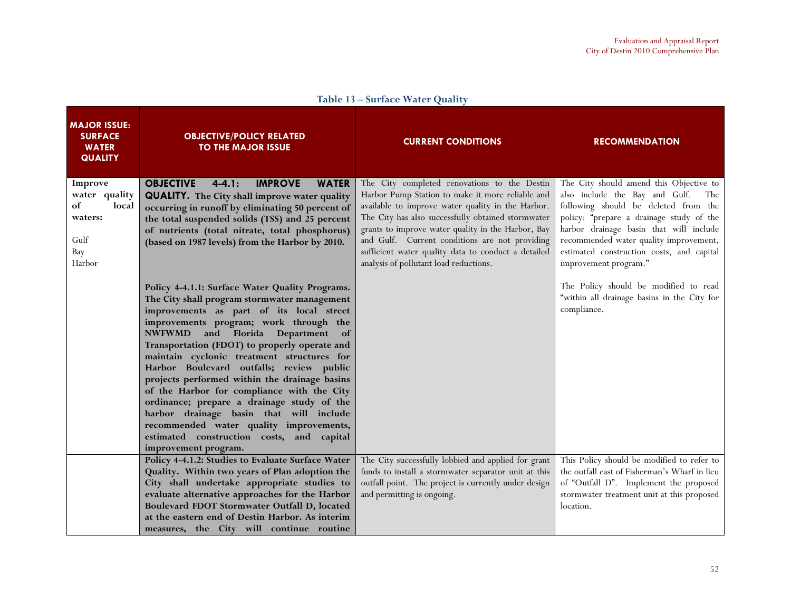| <b>MAJOR ISSUE:</b><br><b>SURFACE</b><br><b>WATER</b><br><b>QUALITY</b>     | <b>OBJECTIVE/POLICY RELATED</b><br><b>TO THE MAJOR ISSUE</b>                                                                                                                                                                                                                                                                                                                                                                                                                                                                                                                                                                                                                 | <b>CURRENT CONDITIONS</b>                                                                                                                                                                                                                                                                                                                                                                                            | <b>RECOMMENDATION</b>                                                                                                                                                                                                                                                                                                           |
|-----------------------------------------------------------------------------|------------------------------------------------------------------------------------------------------------------------------------------------------------------------------------------------------------------------------------------------------------------------------------------------------------------------------------------------------------------------------------------------------------------------------------------------------------------------------------------------------------------------------------------------------------------------------------------------------------------------------------------------------------------------------|----------------------------------------------------------------------------------------------------------------------------------------------------------------------------------------------------------------------------------------------------------------------------------------------------------------------------------------------------------------------------------------------------------------------|---------------------------------------------------------------------------------------------------------------------------------------------------------------------------------------------------------------------------------------------------------------------------------------------------------------------------------|
| Improve<br>water quality<br>of<br>local<br>waters:<br>Gulf<br>Bay<br>Harbor | <b>OBJECTIVE</b><br><b>IMPROVE</b><br>$4 - 4.1:$<br><b>WATER</b><br><b>QUALITY.</b> The City shall improve water quality<br>occurring in runoff by eliminating 50 percent of<br>the total suspended solids (TSS) and 25 percent<br>of nutrients (total nitrate, total phosphorus)<br>(based on 1987 levels) from the Harbor by 2010.                                                                                                                                                                                                                                                                                                                                         | The City completed renovations to the Destin<br>Harbor Pump Station to make it more reliable and<br>available to improve water quality in the Harbor.<br>The City has also successfully obtained stormwater<br>grants to improve water quality in the Harbor, Bay<br>and Gulf. Current conditions are not providing<br>sufficient water quality data to conduct a detailed<br>analysis of pollutant load reductions. | The City should amend this Objective to<br>also include the Bay and Gulf.<br>The<br>following should be deleted from the<br>policy: "prepare a drainage study of the<br>harbor drainage basin that will include<br>recommended water quality improvement,<br>estimated construction costs, and capital<br>improvement program." |
|                                                                             | Policy 4-4.1.1: Surface Water Quality Programs.<br>The City shall program stormwater management<br>improvements as part of its local street<br>improvements program; work through the<br>NWFWMD and Florida Department of<br>Transportation (FDOT) to properly operate and<br>maintain cyclonic treatment structures for<br>Harbor Boulevard outfalls; review public<br>projects performed within the drainage basins<br>of the Harbor for compliance with the City<br>ordinance; prepare a drainage study of the<br>harbor drainage basin that will include<br>recommended water quality improvements,<br>estimated construction costs, and capital<br>improvement program. |                                                                                                                                                                                                                                                                                                                                                                                                                      | The Policy should be modified to read<br>"within all drainage basins in the City for<br>compliance.                                                                                                                                                                                                                             |
|                                                                             | Policy 4-4.1.2: Studies to Evaluate Surface Water<br>Quality. Within two years of Plan adoption the<br>City shall undertake appropriate studies to<br>evaluate alternative approaches for the Harbor<br>Boulevard FDOT Stormwater Outfall D, located<br>at the eastern end of Destin Harbor. As interim<br>measures, the City will continue routine                                                                                                                                                                                                                                                                                                                          | The City successfully lobbied and applied for grant<br>funds to install a stormwater separator unit at this<br>outfall point. The project is currently under design<br>and permitting is ongoing.                                                                                                                                                                                                                    | This Policy should be modified to refer to<br>the outfall east of Fisherman's Wharf in lieu<br>of "Outfall D". Implement the proposed<br>stormwater treatment unit at this proposed<br>location.                                                                                                                                |

Table 13 – Surface Water Quality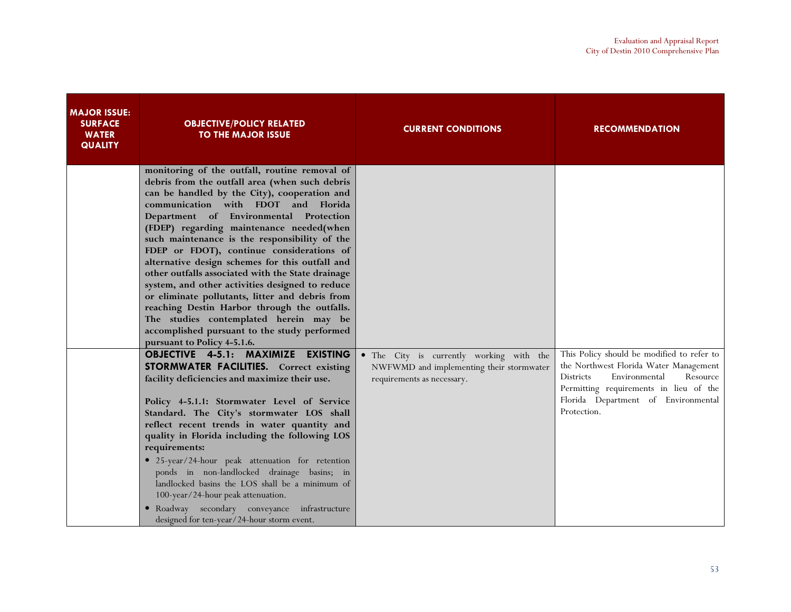| <b>MAJOR ISSUE:</b><br><b>SURFACE</b><br><b>WATER</b><br><b>QUALITY</b> | <b>OBJECTIVE/POLICY RELATED</b><br><b>TO THE MAJOR ISSUE</b>                                                                                                                                                                                                                                                                                                                                                                                                                                                                                                                                                                                                                                                                                                                                                                                                                                                                | <b>CURRENT CONDITIONS</b>                                                                                          | <b>RECOMMENDATION</b>                                                                                                                                                           |
|-------------------------------------------------------------------------|-----------------------------------------------------------------------------------------------------------------------------------------------------------------------------------------------------------------------------------------------------------------------------------------------------------------------------------------------------------------------------------------------------------------------------------------------------------------------------------------------------------------------------------------------------------------------------------------------------------------------------------------------------------------------------------------------------------------------------------------------------------------------------------------------------------------------------------------------------------------------------------------------------------------------------|--------------------------------------------------------------------------------------------------------------------|---------------------------------------------------------------------------------------------------------------------------------------------------------------------------------|
|                                                                         | monitoring of the outfall, routine removal of<br>debris from the outfall area (when such debris<br>can be handled by the City), cooperation and<br>communication with FDOT and Florida<br>Department of Environmental Protection<br>(FDEP) regarding maintenance needed(when<br>such maintenance is the responsibility of the<br>FDEP or FDOT), continue considerations of<br>alternative design schemes for this outfall and<br>other outfalls associated with the State drainage<br>system, and other activities designed to reduce<br>or eliminate pollutants, litter and debris from<br>reaching Destin Harbor through the outfalls.<br>The studies contemplated herein may be<br>accomplished pursuant to the study performed<br>pursuant to Policy 4-5.1.6.<br><b>OBJECTIVE 4-5.1: MAXIMIZE</b><br><b>EXISTING</b><br><b>STORMWATER FACILITIES.</b> Correct existing<br>facility deficiencies and maximize their use. | • The City is currently working with the<br>NWFWMD and implementing their stormwater<br>requirements as necessary. | This Policy should be modified to refer to<br>the Northwest Florida Water Management<br><b>Districts</b><br>Environmental<br>Resource<br>Permitting requirements in lieu of the |
|                                                                         | Policy 4-5.1.1: Stormwater Level of Service<br>Standard. The City's stormwater LOS shall<br>reflect recent trends in water quantity and<br>quality in Florida including the following LOS<br>requirements:<br>· 25-year/24-hour peak attenuation for retention<br>ponds in non-landlocked drainage basins; in<br>landlocked basins the LOS shall be a minimum of<br>100-year/24-hour peak attenuation.<br>• Roadway secondary conveyance infrastructure<br>designed for ten-year/24-hour storm event.                                                                                                                                                                                                                                                                                                                                                                                                                       |                                                                                                                    | Florida Department of Environmental<br>Protection.                                                                                                                              |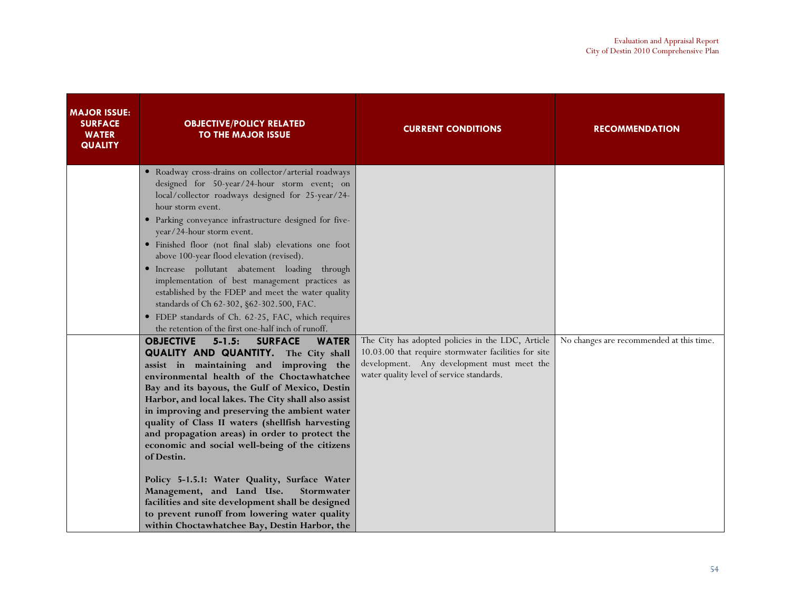| <b>MAJOR ISSUE:</b><br><b>SURFACE</b><br><b>WATER</b><br><b>QUALITY</b> | <b>OBJECTIVE/POLICY RELATED</b><br><b>TO THE MAJOR ISSUE</b>                                                                                                                                                                                                                                                                                                                                                                                                                                                                                                                                                                                                                                                                                                                                                                                                                                                                                                                                                                                                           | <b>CURRENT CONDITIONS</b>                                                                                                                                                                            | <b>RECOMMENDATION</b>                    |
|-------------------------------------------------------------------------|------------------------------------------------------------------------------------------------------------------------------------------------------------------------------------------------------------------------------------------------------------------------------------------------------------------------------------------------------------------------------------------------------------------------------------------------------------------------------------------------------------------------------------------------------------------------------------------------------------------------------------------------------------------------------------------------------------------------------------------------------------------------------------------------------------------------------------------------------------------------------------------------------------------------------------------------------------------------------------------------------------------------------------------------------------------------|------------------------------------------------------------------------------------------------------------------------------------------------------------------------------------------------------|------------------------------------------|
|                                                                         | · Roadway cross-drains on collector/arterial roadways<br>designed for 50-year/24-hour storm event; on<br>local/collector roadways designed for 25-year/24-<br>hour storm event.<br>· Parking conveyance infrastructure designed for five-<br>year/24-hour storm event.<br>· Finished floor (not final slab) elevations one foot<br>above 100-year flood elevation (revised).<br>· Increase pollutant abatement loading through<br>implementation of best management practices as<br>established by the FDEP and meet the water quality<br>standards of Ch 62-302, §62-302.500, FAC.<br>• FDEP standards of Ch. 62-25, FAC, which requires<br>the retention of the first one-half inch of runoff.<br><b>SURFACE</b><br><b>WATER</b><br><b>OBJECTIVE</b><br>$5 - 1.5:$<br><b>QUALITY AND QUANTITY.</b> The City shall<br>assist in maintaining and improving the<br>environmental health of the Choctawhatchee<br>Bay and its bayous, the Gulf of Mexico, Destin<br>Harbor, and local lakes. The City shall also assist<br>in improving and preserving the ambient water | The City has adopted policies in the LDC, Article<br>10.03.00 that require stormwater facilities for site<br>development. Any development must meet the<br>water quality level of service standards. | No changes are recommended at this time. |
|                                                                         | quality of Class II waters (shellfish harvesting<br>and propagation areas) in order to protect the<br>economic and social well-being of the citizens<br>of Destin.<br>Policy 5-1.5.1: Water Quality, Surface Water<br>Management, and Land Use.<br>Stormwater<br>facilities and site development shall be designed<br>to prevent runoff from lowering water quality<br>within Choctawhatchee Bay, Destin Harbor, the                                                                                                                                                                                                                                                                                                                                                                                                                                                                                                                                                                                                                                                   |                                                                                                                                                                                                      |                                          |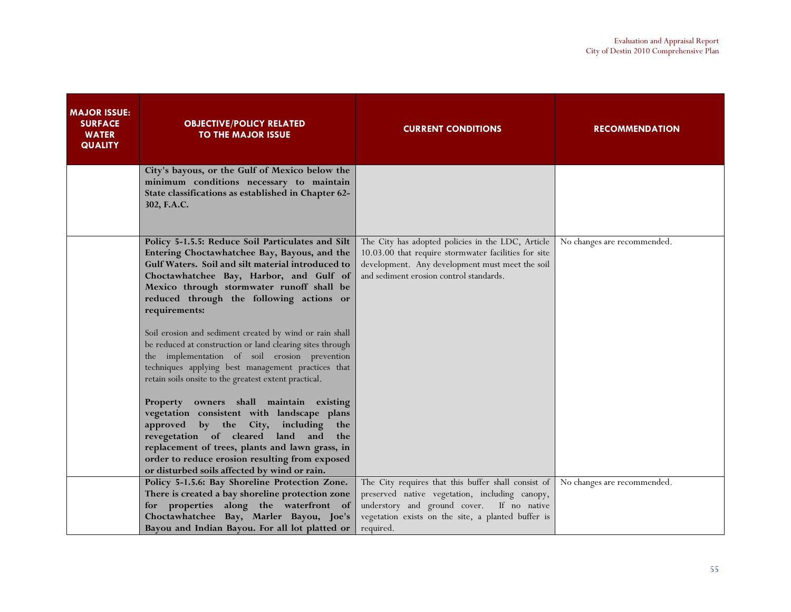| <b>MAJOR ISSUE:</b><br><b>SURFACE</b><br><b>WATER</b><br><b>QUALITY</b> | <b>OBJECTIVE/POLICY RELATED</b><br><b>TO THE MAJOR ISSUE</b>                                                                                                                                                                                                                                                                                                                                                                                                                                                                                                                                                                                                                                                                                                                                                                                                                                                                        | <b>CURRENT CONDITIONS</b>                                                                                                                                                                                             | <b>RECOMMENDATION</b>       |
|-------------------------------------------------------------------------|-------------------------------------------------------------------------------------------------------------------------------------------------------------------------------------------------------------------------------------------------------------------------------------------------------------------------------------------------------------------------------------------------------------------------------------------------------------------------------------------------------------------------------------------------------------------------------------------------------------------------------------------------------------------------------------------------------------------------------------------------------------------------------------------------------------------------------------------------------------------------------------------------------------------------------------|-----------------------------------------------------------------------------------------------------------------------------------------------------------------------------------------------------------------------|-----------------------------|
|                                                                         | City's bayous, or the Gulf of Mexico below the<br>minimum conditions necessary to maintain<br>State classifications as established in Chapter 62-<br>302, F.A.C.                                                                                                                                                                                                                                                                                                                                                                                                                                                                                                                                                                                                                                                                                                                                                                    |                                                                                                                                                                                                                       |                             |
|                                                                         | Policy 5-1.5.5: Reduce Soil Particulates and Silt<br>Entering Choctawhatchee Bay, Bayous, and the<br>Gulf Waters. Soil and silt material introduced to<br>Choctawhatchee Bay, Harbor, and Gulf of<br>Mexico through stormwater runoff shall be<br>reduced through the following actions or<br>requirements:<br>Soil erosion and sediment created by wind or rain shall<br>be reduced at construction or land clearing sites through<br>the implementation of soil erosion prevention<br>techniques applying best management practices that<br>retain soils onsite to the greatest extent practical.<br>Property owners shall maintain existing<br>vegetation consistent with landscape plans<br>by the City, including the<br>approved<br>revegetation of cleared land and the<br>replacement of trees, plants and lawn grass, in<br>order to reduce erosion resulting from exposed<br>or disturbed soils affected by wind or rain. | The City has adopted policies in the LDC, Article<br>10.03.00 that require stormwater facilities for site<br>development. Any development must meet the soil<br>and sediment erosion control standards.               | No changes are recommended. |
|                                                                         | Policy 5-1.5.6: Bay Shoreline Protection Zone.<br>There is created a bay shoreline protection zone<br>for properties along the waterfront of<br>Choctawhatchee Bay, Marler Bayou, Joe's<br>Bayou and Indian Bayou. For all lot platted or                                                                                                                                                                                                                                                                                                                                                                                                                                                                                                                                                                                                                                                                                           | The City requires that this buffer shall consist of<br>preserved native vegetation, including canopy,<br>understory and ground cover. If no native<br>vegetation exists on the site, a planted buffer is<br>required. | No changes are recommended. |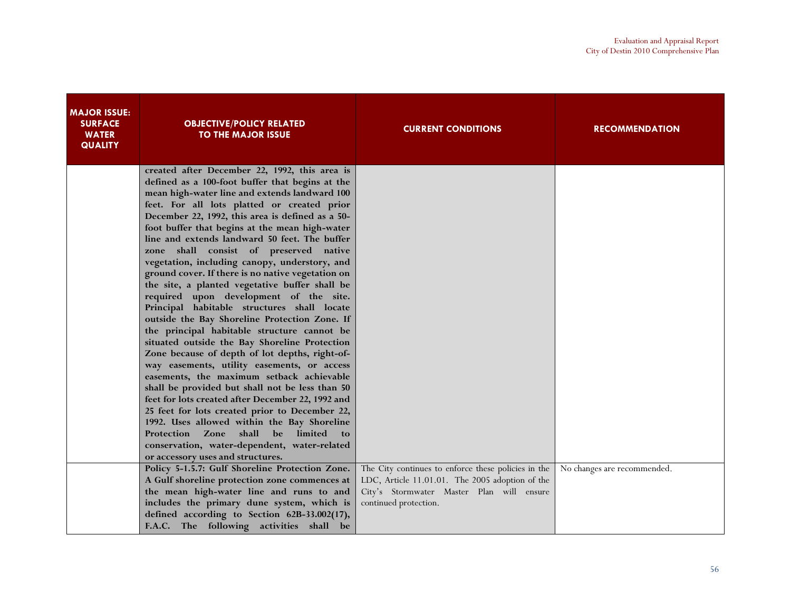| <b>SURFACE</b><br><b>OBJECTIVE/POLICY RELATED</b><br><b>CURRENT CONDITIONS</b><br><b>RECOMMENDATION</b><br><b>WATER</b><br><b>TO THE MAJOR ISSUE</b><br><b>QUALITY</b> |  |
|------------------------------------------------------------------------------------------------------------------------------------------------------------------------|--|
| created after December 22, 1992, this area is<br>defined as a 100-foot buffer that begins at the                                                                       |  |
| mean high-water line and extends landward 100                                                                                                                          |  |
| feet. For all lots platted or created prior                                                                                                                            |  |
| December 22, 1992, this area is defined as a 50-                                                                                                                       |  |
| foot buffer that begins at the mean high-water                                                                                                                         |  |
| line and extends landward 50 feet. The buffer<br>zone shall consist of preserved native                                                                                |  |
| vegetation, including canopy, understory, and                                                                                                                          |  |
| ground cover. If there is no native vegetation on                                                                                                                      |  |
| the site, a planted vegetative buffer shall be                                                                                                                         |  |
| required upon development of the site.                                                                                                                                 |  |
| Principal habitable structures shall locate                                                                                                                            |  |
| outside the Bay Shoreline Protection Zone. If                                                                                                                          |  |
| the principal habitable structure cannot be                                                                                                                            |  |
| situated outside the Bay Shoreline Protection                                                                                                                          |  |
| Zone because of depth of lot depths, right-of-                                                                                                                         |  |
| way easements, utility easements, or access<br>easements, the maximum setback achievable                                                                               |  |
| shall be provided but shall not be less than 50                                                                                                                        |  |
| feet for lots created after December 22, 1992 and                                                                                                                      |  |
| 25 feet for lots created prior to December 22,                                                                                                                         |  |
| 1992. Uses allowed within the Bay Shoreline                                                                                                                            |  |
| shall<br>limited<br><b>Protection Zone</b><br>be<br>$\mathbf{to}$                                                                                                      |  |
| conservation, water-dependent, water-related                                                                                                                           |  |
| or accessory uses and structures.                                                                                                                                      |  |
| Policy 5-1.5.7: Gulf Shoreline Protection Zone.<br>The City continues to enforce these policies in the   No changes are recommended.                                   |  |
| A Gulf shoreline protection zone commences at<br>LDC, Article 11.01.01. The 2005 adoption of the                                                                       |  |
| the mean high-water line and runs to and<br>City's Stormwater Master Plan will ensure<br>includes the primary dune system, which is                                    |  |
| continued protection.<br>defined according to Section 62B-33.002(17),                                                                                                  |  |
| F.A.C. The following activities shall be                                                                                                                               |  |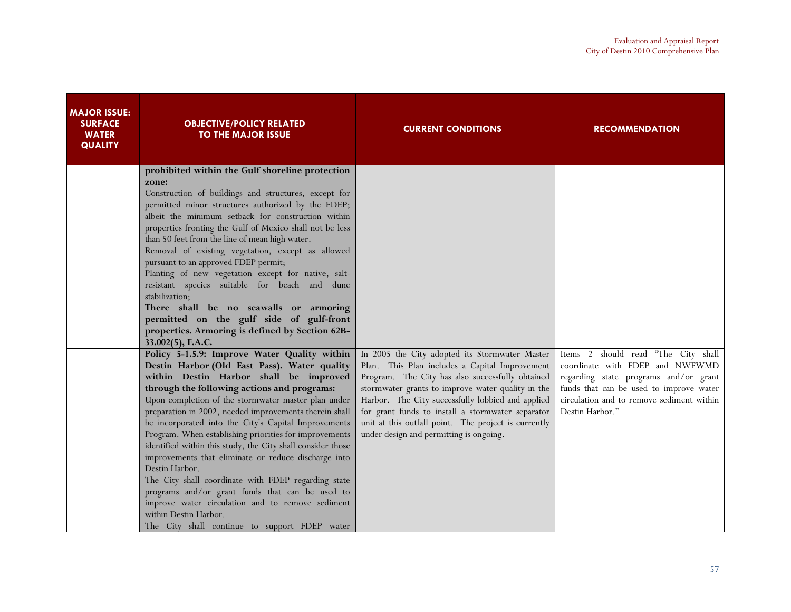| <b>MAJOR ISSUE:</b><br><b>SURFACE</b><br><b>WATER</b><br><b>QUALITY</b> | <b>OBJECTIVE/POLICY RELATED</b><br><b>TO THE MAJOR ISSUE</b>                                                                                                                                                                                                                                                                                                                                                                                                                                                                                                                                                                                                                                                                                                                                                                                                                                                                                                                                                                                                                                                                                                                                                                                                                       | <b>CURRENT CONDITIONS</b>                                                                                                                                                                                                                                                                                                                                                                                              | <b>RECOMMENDATION</b>                                                                                                                                                                                                      |
|-------------------------------------------------------------------------|------------------------------------------------------------------------------------------------------------------------------------------------------------------------------------------------------------------------------------------------------------------------------------------------------------------------------------------------------------------------------------------------------------------------------------------------------------------------------------------------------------------------------------------------------------------------------------------------------------------------------------------------------------------------------------------------------------------------------------------------------------------------------------------------------------------------------------------------------------------------------------------------------------------------------------------------------------------------------------------------------------------------------------------------------------------------------------------------------------------------------------------------------------------------------------------------------------------------------------------------------------------------------------|------------------------------------------------------------------------------------------------------------------------------------------------------------------------------------------------------------------------------------------------------------------------------------------------------------------------------------------------------------------------------------------------------------------------|----------------------------------------------------------------------------------------------------------------------------------------------------------------------------------------------------------------------------|
|                                                                         | prohibited within the Gulf shoreline protection<br>zone:<br>Construction of buildings and structures, except for<br>permitted minor structures authorized by the FDEP;<br>albeit the minimum setback for construction within<br>properties fronting the Gulf of Mexico shall not be less<br>than 50 feet from the line of mean high water.<br>Removal of existing vegetation, except as allowed<br>pursuant to an approved FDEP permit;<br>Planting of new vegetation except for native, salt-<br>resistant species suitable for beach and dune<br>stabilization;<br>There shall be no seawalls or armoring<br>permitted on the gulf side of gulf-front<br>properties. Armoring is defined by Section 62B-<br>33.002(5), F.A.C.<br>Policy 5-1.5.9: Improve Water Quality within<br>Destin Harbor (Old East Pass). Water quality<br>within Destin Harbor shall be improved<br>through the following actions and programs:<br>Upon completion of the stormwater master plan under<br>preparation in 2002, needed improvements therein shall<br>be incorporated into the City's Capital Improvements<br>Program. When establishing priorities for improvements<br>identified within this study, the City shall consider those<br>improvements that eliminate or reduce discharge into | In 2005 the City adopted its Stormwater Master<br>Plan. This Plan includes a Capital Improvement<br>Program. The City has also successfully obtained<br>stormwater grants to improve water quality in the<br>Harbor. The City successfully lobbied and applied<br>for grant funds to install a stormwater separator<br>unit at this outfall point. The project is currently<br>under design and permitting is ongoing. | Items 2 should read "The City shall<br>coordinate with FDEP and NWFWMD<br>regarding state programs and/or grant<br>funds that can be used to improve water<br>circulation and to remove sediment within<br>Destin Harbor." |
|                                                                         | Destin Harbor.<br>The City shall coordinate with FDEP regarding state<br>programs and/or grant funds that can be used to<br>improve water circulation and to remove sediment<br>within Destin Harbor.<br>The City shall continue to support FDEP water                                                                                                                                                                                                                                                                                                                                                                                                                                                                                                                                                                                                                                                                                                                                                                                                                                                                                                                                                                                                                             |                                                                                                                                                                                                                                                                                                                                                                                                                        |                                                                                                                                                                                                                            |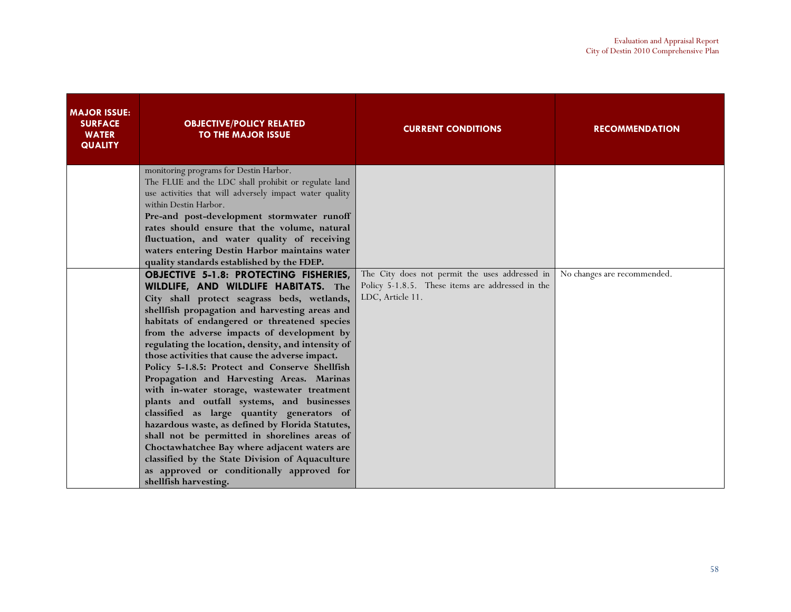| <b>MAJOR ISSUE:</b><br><b>SURFACE</b><br><b>WATER</b><br><b>QUALITY</b> | <b>OBJECTIVE/POLICY RELATED</b><br><b>TO THE MAJOR ISSUE</b>                                                                                                                                                                                                                                                                                                                                                                                                                                                                                                                                                                                                                                                                                                                                                                                                                                                                                                                                                                                                                                                                                                                                                                                                                                                                                            | <b>CURRENT CONDITIONS</b>                                                                                              | <b>RECOMMENDATION</b>       |
|-------------------------------------------------------------------------|---------------------------------------------------------------------------------------------------------------------------------------------------------------------------------------------------------------------------------------------------------------------------------------------------------------------------------------------------------------------------------------------------------------------------------------------------------------------------------------------------------------------------------------------------------------------------------------------------------------------------------------------------------------------------------------------------------------------------------------------------------------------------------------------------------------------------------------------------------------------------------------------------------------------------------------------------------------------------------------------------------------------------------------------------------------------------------------------------------------------------------------------------------------------------------------------------------------------------------------------------------------------------------------------------------------------------------------------------------|------------------------------------------------------------------------------------------------------------------------|-----------------------------|
|                                                                         | monitoring programs for Destin Harbor.<br>The FLUE and the LDC shall prohibit or regulate land<br>use activities that will adversely impact water quality<br>within Destin Harbor.<br>Pre-and post-development stormwater runoff<br>rates should ensure that the volume, natural<br>fluctuation, and water quality of receiving<br>waters entering Destin Harbor maintains water<br>quality standards established by the FDEP.<br><b>OBJECTIVE 5-1.8: PROTECTING FISHERIES,</b><br>WILDLIFE, AND WILDLIFE HABITATS. The<br>City shall protect seagrass beds, wetlands,<br>shellfish propagation and harvesting areas and<br>habitats of endangered or threatened species<br>from the adverse impacts of development by<br>regulating the location, density, and intensity of<br>those activities that cause the adverse impact.<br>Policy 5-1.8.5: Protect and Conserve Shellfish<br>Propagation and Harvesting Areas. Marinas<br>with in-water storage, wastewater treatment<br>plants and outfall systems, and businesses<br>classified as large quantity generators of<br>hazardous waste, as defined by Florida Statutes,<br>shall not be permitted in shorelines areas of<br>Choctawhatchee Bay where adjacent waters are<br>classified by the State Division of Aquaculture<br>as approved or conditionally approved for<br>shellfish harvesting. | The City does not permit the uses addressed in<br>Policy 5-1.8.5. These items are addressed in the<br>LDC, Article 11. | No changes are recommended. |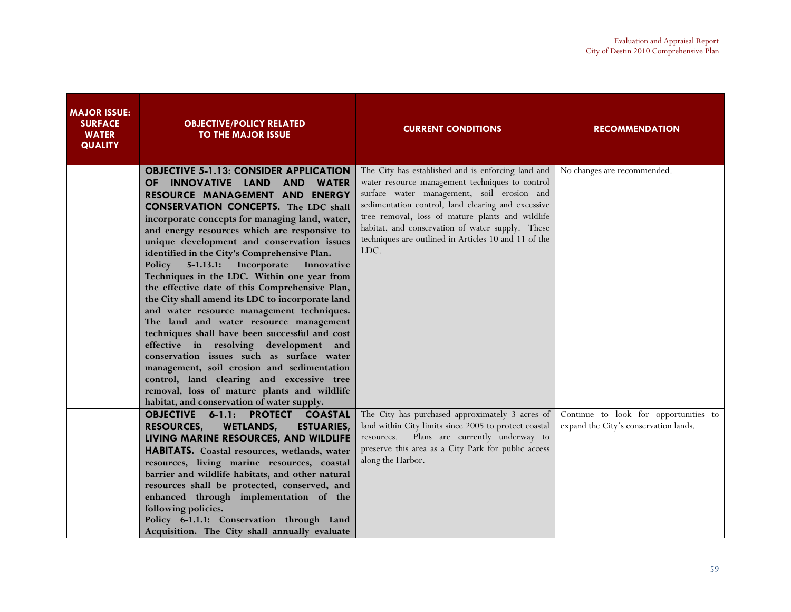| <b>MAJOR ISSUE:</b><br><b>SURFACE</b><br><b>WATER</b><br><b>QUALITY</b> | <b>OBJECTIVE/POLICY RELATED</b><br><b>TO THE MAJOR ISSUE</b>                                                                                                                                                                                                                                                                                                                                                                                                                                                                                                                                                                                                                                                                                                                                                                                                                                                                                                                                                  | <b>CURRENT CONDITIONS</b>                                                                                                                                                                                                                                                                                                                                                         | <b>RECOMMENDATION</b>                                                          |
|-------------------------------------------------------------------------|---------------------------------------------------------------------------------------------------------------------------------------------------------------------------------------------------------------------------------------------------------------------------------------------------------------------------------------------------------------------------------------------------------------------------------------------------------------------------------------------------------------------------------------------------------------------------------------------------------------------------------------------------------------------------------------------------------------------------------------------------------------------------------------------------------------------------------------------------------------------------------------------------------------------------------------------------------------------------------------------------------------|-----------------------------------------------------------------------------------------------------------------------------------------------------------------------------------------------------------------------------------------------------------------------------------------------------------------------------------------------------------------------------------|--------------------------------------------------------------------------------|
|                                                                         | <b>OBJECTIVE 5-1.13: CONSIDER APPLICATION</b><br>OF INNOVATIVE LAND AND<br><b>WATER</b><br>RESOURCE MANAGEMENT AND<br><b>ENERGY</b><br><b>CONSERVATION CONCEPTS.</b> The LDC shall<br>incorporate concepts for managing land, water,<br>and energy resources which are responsive to<br>unique development and conservation issues<br>identified in the City's Comprehensive Plan.<br>Policy 5-1.13.1: Incorporate<br>Innovative<br>Techniques in the LDC. Within one year from<br>the effective date of this Comprehensive Plan,<br>the City shall amend its LDC to incorporate land<br>and water resource management techniques.<br>The land and water resource management<br>techniques shall have been successful and cost<br>effective in resolving development and<br>conservation issues such as surface water<br>management, soil erosion and sedimentation<br>control, land clearing and excessive tree<br>removal, loss of mature plants and wildlife<br>habitat, and conservation of water supply. | The City has established and is enforcing land and<br>water resource management techniques to control<br>surface water management, soil erosion and<br>sedimentation control, land clearing and excessive<br>tree removal, loss of mature plants and wildlife<br>habitat, and conservation of water supply. These<br>techniques are outlined in Articles 10 and 11 of the<br>LDC. | No changes are recommended.                                                    |
|                                                                         | <b>OBJECTIVE 6-1.1: PROTECT</b><br><b>COASTAL</b><br><b>RESOURCES,</b><br><b>WETLANDS,</b><br><b>ESTUARIES,</b><br>LIVING MARINE RESOURCES, AND WILDLIFE<br>HABITATS. Coastal resources, wetlands, water<br>resources, living marine resources, coastal<br>barrier and wildlife habitats, and other natural<br>resources shall be protected, conserved, and<br>enhanced through implementation of the<br>following policies.<br>Policy 6-1.1.1: Conservation through Land<br>Acquisition. The City shall annually evaluate                                                                                                                                                                                                                                                                                                                                                                                                                                                                                    | The City has purchased approximately 3 acres of<br>land within City limits since 2005 to protect coastal<br>Plans are currently underway to<br>resources.<br>preserve this area as a City Park for public access<br>along the Harbor.                                                                                                                                             | Continue to look for opportunities to<br>expand the City's conservation lands. |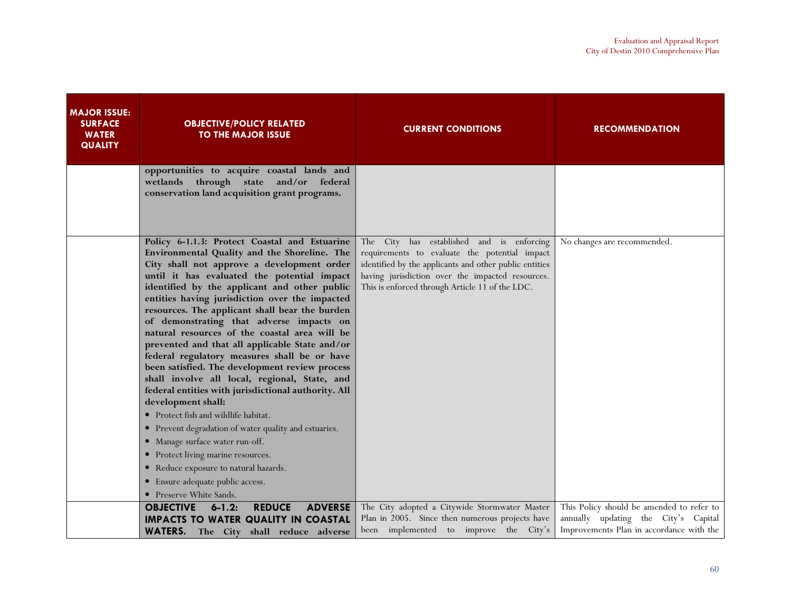| <b>MAJOR ISSUE:</b><br><b>SURFACE</b><br><b>WATER</b><br><b>QUALITY</b> | <b>OBJECTIVE/POLICY RELATED</b><br><b>TO THE MAJOR ISSUE</b>                                                                                                                                                                                                                                                                                                                                                                                                                                                                                                                                                                                                                                                                                                                                                                                                                                                                                                                                                    | <b>CURRENT CONDITIONS</b>                                                                                                                                                                                                                                   | <b>RECOMMENDATION</b>                                                                                                         |
|-------------------------------------------------------------------------|-----------------------------------------------------------------------------------------------------------------------------------------------------------------------------------------------------------------------------------------------------------------------------------------------------------------------------------------------------------------------------------------------------------------------------------------------------------------------------------------------------------------------------------------------------------------------------------------------------------------------------------------------------------------------------------------------------------------------------------------------------------------------------------------------------------------------------------------------------------------------------------------------------------------------------------------------------------------------------------------------------------------|-------------------------------------------------------------------------------------------------------------------------------------------------------------------------------------------------------------------------------------------------------------|-------------------------------------------------------------------------------------------------------------------------------|
|                                                                         | opportunities to acquire coastal lands and<br>wetlands through state and/or federal<br>conservation land acquisition grant programs.                                                                                                                                                                                                                                                                                                                                                                                                                                                                                                                                                                                                                                                                                                                                                                                                                                                                            |                                                                                                                                                                                                                                                             |                                                                                                                               |
|                                                                         | Policy 6-1.1.3: Protect Coastal and Estuarine<br>Environmental Quality and the Shoreline. The<br>City shall not approve a development order<br>until it has evaluated the potential impact<br>identified by the applicant and other public<br>entities having jurisdiction over the impacted<br>resources. The applicant shall bear the burden<br>of demonstrating that adverse impacts on<br>natural resources of the coastal area will be<br>prevented and that all applicable State and/or<br>federal regulatory measures shall be or have<br>been satisfied. The development review process<br>shall involve all local, regional, State, and<br>federal entities with jurisdictional authority. All<br>development shall:<br>• Protect fish and wildlife habitat.<br>• Prevent degradation of water quality and estuaries.<br>• Manage surface water run-off.<br>• Protect living marine resources.<br>• Reduce exposure to natural hazards.<br>• Ensure adequate public access.<br>• Preserve White Sands. | The City has established and is enforcing<br>requirements to evaluate the potential impact<br>identified by the applicants and other public entities<br>having jurisdiction over the impacted resources.<br>This is enforced through Article 11 of the LDC. | No changes are recommended.                                                                                                   |
|                                                                         | <b>OBJECTIVE</b><br>$6 - 1.2$<br><b>REDUCE</b><br><b>ADVERSE</b><br><b>IMPACTS TO WATER QUALITY IN COASTAL</b><br><b>WATERS.</b> The City shall reduce adverse                                                                                                                                                                                                                                                                                                                                                                                                                                                                                                                                                                                                                                                                                                                                                                                                                                                  | The City adopted a Citywide Stormwater Master<br>Plan in 2005. Since then numerous projects have<br>been implemented to improve the City's                                                                                                                  | This Policy should be amended to refer to<br>annually updating the City's Capital<br>Improvements Plan in accordance with the |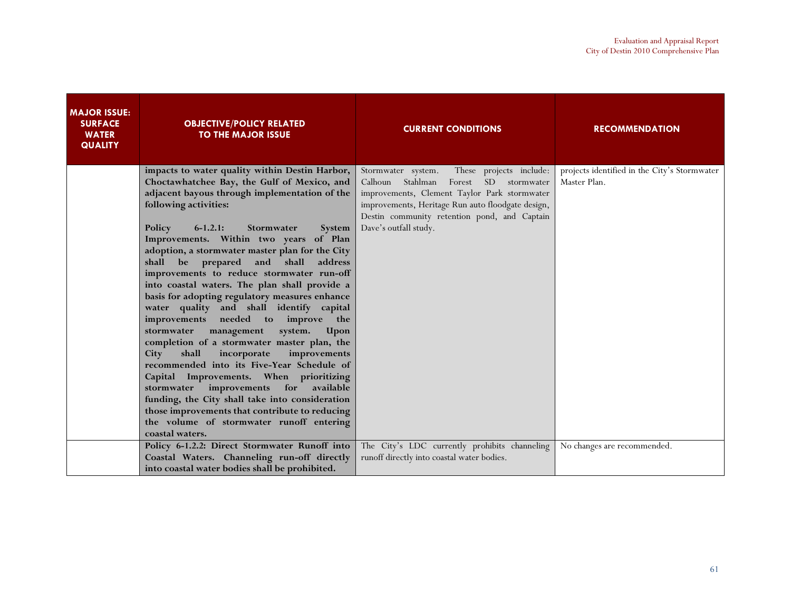| <b>MAJOR ISSUE:</b><br><b>SURFACE</b><br><b>WATER</b><br><b>QUALITY</b> | <b>OBJECTIVE/POLICY RELATED</b><br><b>TO THE MAJOR ISSUE</b>                                                                                                                                                                                                                                                                                                                                                                                                                                                                                                                                                                                                                                                                                                                                                                                                                                                                                                                                                                         | <b>CURRENT CONDITIONS</b>                                                                                                                                                                                                                                               | <b>RECOMMENDATION</b>                                        |
|-------------------------------------------------------------------------|--------------------------------------------------------------------------------------------------------------------------------------------------------------------------------------------------------------------------------------------------------------------------------------------------------------------------------------------------------------------------------------------------------------------------------------------------------------------------------------------------------------------------------------------------------------------------------------------------------------------------------------------------------------------------------------------------------------------------------------------------------------------------------------------------------------------------------------------------------------------------------------------------------------------------------------------------------------------------------------------------------------------------------------|-------------------------------------------------------------------------------------------------------------------------------------------------------------------------------------------------------------------------------------------------------------------------|--------------------------------------------------------------|
|                                                                         | impacts to water quality within Destin Harbor,<br>Choctawhatchee Bay, the Gulf of Mexico, and<br>adjacent bayous through implementation of the<br>following activities:<br>Policy<br>$6-1.2.1:$<br>Stormwater<br>System<br>Improvements. Within two years of Plan<br>adoption, a stormwater master plan for the City<br>shall be prepared<br>and shall<br>address<br>improvements to reduce stormwater run-off<br>into coastal waters. The plan shall provide a<br>basis for adopting regulatory measures enhance<br>water quality and shall identify capital<br>improvements needed to improve the<br>management<br>system.<br>stormwater<br>Upon<br>completion of a stormwater master plan, the<br>incorporate<br>improvements<br>shall<br>City<br>recommended into its Five-Year Schedule of<br>Capital Improvements. When prioritizing<br>stormwater improvements for available<br>funding, the City shall take into consideration<br>those improvements that contribute to reducing<br>the volume of stormwater runoff entering | Stormwater system.<br>These projects include:<br>Calhoun Stahlman<br>Forest SD stormwater<br>improvements, Clement Taylor Park stormwater<br>improvements, Heritage Run auto floodgate design,<br>Destin community retention pond, and Captain<br>Dave's outfall study. | projects identified in the City's Stormwater<br>Master Plan. |
|                                                                         | coastal waters.<br>Policy 6-1.2.2: Direct Stormwater Runoff into<br>Coastal Waters. Channeling run-off directly<br>into coastal water bodies shall be prohibited.                                                                                                                                                                                                                                                                                                                                                                                                                                                                                                                                                                                                                                                                                                                                                                                                                                                                    | The City's LDC currently prohibits channeling<br>runoff directly into coastal water bodies.                                                                                                                                                                             | No changes are recommended.                                  |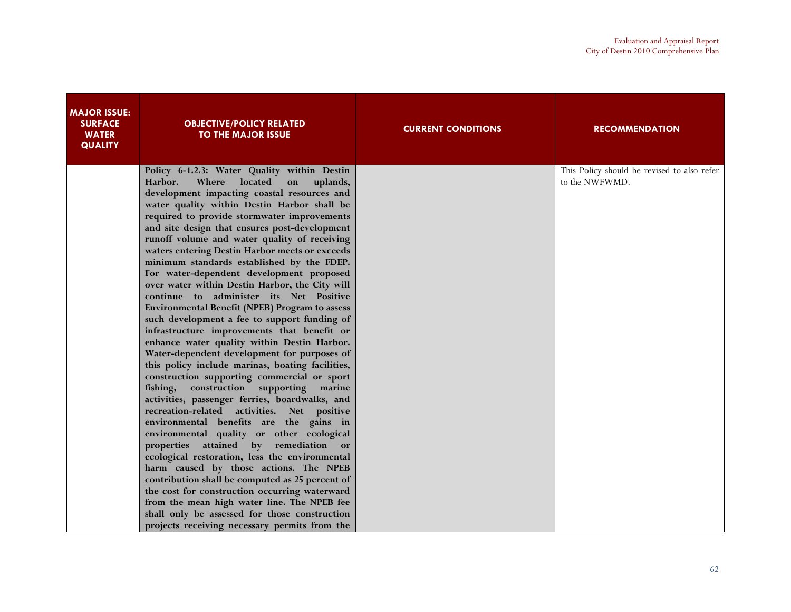| <b>MAJOR ISSUE:</b><br><b>SURFACE</b><br><b>WATER</b><br><b>QUALITY</b> | <b>OBJECTIVE/POLICY RELATED</b><br><b>TO THE MAJOR ISSUE</b>                                                                                                                                                                                                                                                                                                                                                                                                                                                                                                                                                                                                                                                                                                                                                                                                                                                                                                                                                                                                                                                                                                                                                                                                                                                                                                                                                                                                                                                                                                           | <b>CURRENT CONDITIONS</b> | <b>RECOMMENDATION</b>                                         |
|-------------------------------------------------------------------------|------------------------------------------------------------------------------------------------------------------------------------------------------------------------------------------------------------------------------------------------------------------------------------------------------------------------------------------------------------------------------------------------------------------------------------------------------------------------------------------------------------------------------------------------------------------------------------------------------------------------------------------------------------------------------------------------------------------------------------------------------------------------------------------------------------------------------------------------------------------------------------------------------------------------------------------------------------------------------------------------------------------------------------------------------------------------------------------------------------------------------------------------------------------------------------------------------------------------------------------------------------------------------------------------------------------------------------------------------------------------------------------------------------------------------------------------------------------------------------------------------------------------------------------------------------------------|---------------------------|---------------------------------------------------------------|
|                                                                         | Policy 6-1.2.3: Water Quality within Destin<br>Harbor.<br>Where<br>located<br>uplands,<br>on<br>development impacting coastal resources and<br>water quality within Destin Harbor shall be<br>required to provide stormwater improvements<br>and site design that ensures post-development<br>runoff volume and water quality of receiving<br>waters entering Destin Harbor meets or exceeds<br>minimum standards established by the FDEP.<br>For water-dependent development proposed<br>over water within Destin Harbor, the City will<br>continue to administer its Net Positive<br>Environmental Benefit (NPEB) Program to assess<br>such development a fee to support funding of<br>infrastructure improvements that benefit or<br>enhance water quality within Destin Harbor.<br>Water-dependent development for purposes of<br>this policy include marinas, boating facilities,<br>construction supporting commercial or sport<br>construction supporting marine<br>fishing,<br>activities, passenger ferries, boardwalks, and<br>recreation-related activities. Net positive<br>environmental benefits are the gains in<br>environmental quality or other ecological<br>properties attained by remediation or<br>ecological restoration, less the environmental<br>harm caused by those actions. The NPEB<br>contribution shall be computed as 25 percent of<br>the cost for construction occurring waterward<br>from the mean high water line. The NPEB fee<br>shall only be assessed for those construction<br>projects receiving necessary permits from the |                           | This Policy should be revised to also refer<br>to the NWFWMD. |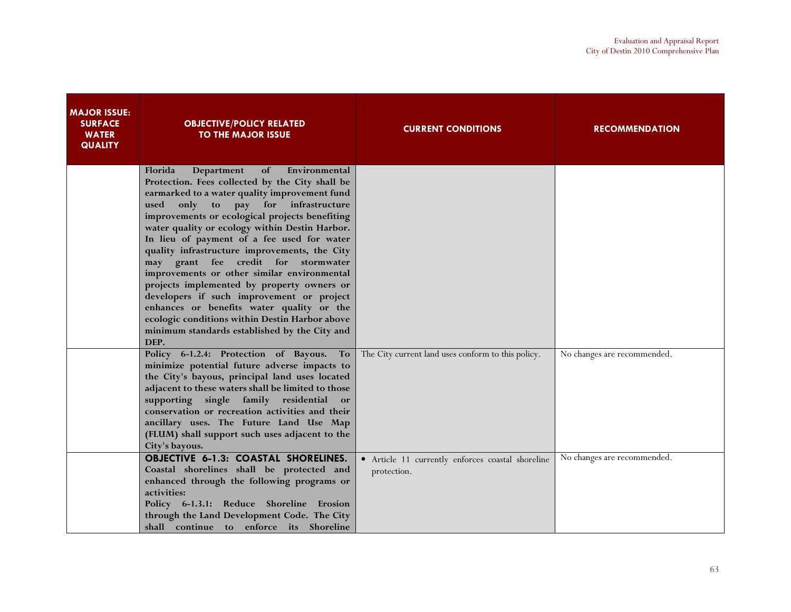| <b>MAJOR ISSUE:</b><br><b>SURFACE</b><br><b>WATER</b><br><b>QUALITY</b> | <b>OBJECTIVE/POLICY RELATED</b><br><b>TO THE MAJOR ISSUE</b>                                                                                                                                                                                                                                                                                                                                                                                                                                                                                                                                                                                                                                                                                            | <b>CURRENT CONDITIONS</b>                                        | <b>RECOMMENDATION</b>       |
|-------------------------------------------------------------------------|---------------------------------------------------------------------------------------------------------------------------------------------------------------------------------------------------------------------------------------------------------------------------------------------------------------------------------------------------------------------------------------------------------------------------------------------------------------------------------------------------------------------------------------------------------------------------------------------------------------------------------------------------------------------------------------------------------------------------------------------------------|------------------------------------------------------------------|-----------------------------|
|                                                                         | Florida<br>Department<br>of<br>Environmental<br>Protection. Fees collected by the City shall be<br>earmarked to a water quality improvement fund<br>$\mathbf{to}$<br>pay for infrastructure<br>used<br>only<br>improvements or ecological projects benefiting<br>water quality or ecology within Destin Harbor.<br>In lieu of payment of a fee used for water<br>quality infrastructure improvements, the City<br>may grant fee credit for stormwater<br>improvements or other similar environmental<br>projects implemented by property owners or<br>developers if such improvement or project<br>enhances or benefits water quality or the<br>ecologic conditions within Destin Harbor above<br>minimum standards established by the City and<br>DEP. |                                                                  |                             |
|                                                                         | Policy 6-1.2.4: Protection of Bayous.<br>To<br>minimize potential future adverse impacts to<br>the City's bayous, principal land uses located<br>adjacent to these waters shall be limited to those<br>supporting single family residential<br>or<br>conservation or recreation activities and their<br>ancillary uses. The Future Land Use Map<br>(FLUM) shall support such uses adjacent to the<br>City's bayous.                                                                                                                                                                                                                                                                                                                                     | The City current land uses conform to this policy.               | No changes are recommended. |
|                                                                         | <b>OBJECTIVE 6-1.3: COASTAL SHORELINES.</b><br>Coastal shorelines shall be protected and<br>enhanced through the following programs or<br>activities:<br>Policy 6-1.3.1: Reduce Shoreline Erosion<br>through the Land Development Code. The City<br>shall continue to enforce its Shoreline                                                                                                                                                                                                                                                                                                                                                                                                                                                             | • Article 11 currently enforces coastal shoreline<br>protection. | No changes are recommended. |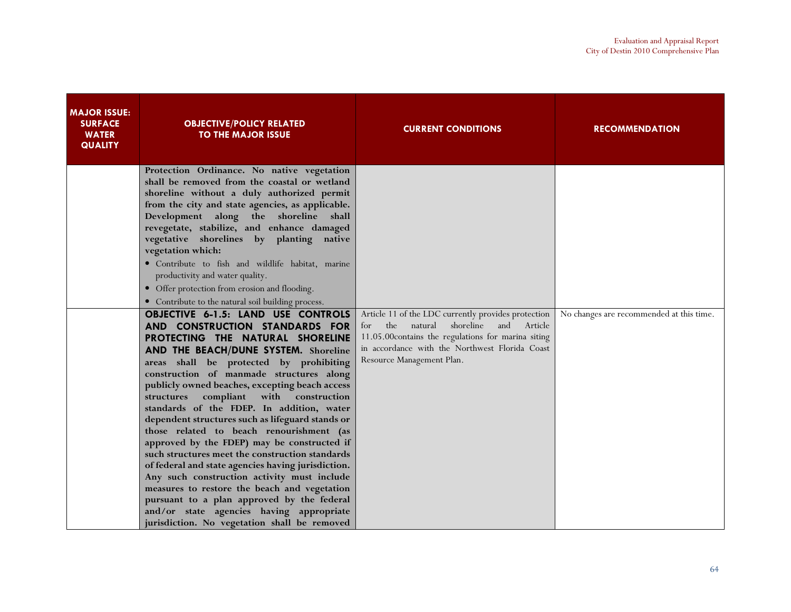| <b>MAJOR ISSUE:</b><br><b>SURFACE</b><br><b>WATER</b><br><b>QUALITY</b> | <b>OBJECTIVE/POLICY RELATED</b><br>TO THE MAJOR ISSUE                                                                                                                                                                                                                                                                                                                                                                                                                                                                                                                                                                                                                                                                                                                                                                                                                                                                                             | <b>CURRENT CONDITIONS</b>                                                                                                                                                                                                                     | <b>RECOMMENDATION</b>                    |
|-------------------------------------------------------------------------|---------------------------------------------------------------------------------------------------------------------------------------------------------------------------------------------------------------------------------------------------------------------------------------------------------------------------------------------------------------------------------------------------------------------------------------------------------------------------------------------------------------------------------------------------------------------------------------------------------------------------------------------------------------------------------------------------------------------------------------------------------------------------------------------------------------------------------------------------------------------------------------------------------------------------------------------------|-----------------------------------------------------------------------------------------------------------------------------------------------------------------------------------------------------------------------------------------------|------------------------------------------|
|                                                                         | Protection Ordinance. No native vegetation<br>shall be removed from the coastal or wetland<br>shoreline without a duly authorized permit<br>from the city and state agencies, as applicable.<br>Development along the shoreline shall<br>revegetate, stabilize, and enhance damaged<br>vegetative shorelines by planting native<br>vegetation which:<br>· Contribute to fish and wildlife habitat, marine<br>productivity and water quality.<br>• Offer protection from erosion and flooding.                                                                                                                                                                                                                                                                                                                                                                                                                                                     |                                                                                                                                                                                                                                               |                                          |
|                                                                         | • Contribute to the natural soil building process.<br><b>OBJECTIVE 6-1.5: LAND USE CONTROLS</b><br>AND CONSTRUCTION STANDARDS FOR<br>PROTECTING THE NATURAL SHORELINE<br>AND THE BEACH/DUNE SYSTEM. Shoreline<br>areas shall be protected by prohibiting<br>construction of manmade structures along<br>publicly owned beaches, excepting beach access<br>compliant with construction<br>structures<br>standards of the FDEP. In addition, water<br>dependent structures such as lifeguard stands or<br>those related to beach renourishment (as<br>approved by the FDEP) may be constructed if<br>such structures meet the construction standards<br>of federal and state agencies having jurisdiction.<br>Any such construction activity must include<br>measures to restore the beach and vegetation<br>pursuant to a plan approved by the federal<br>and/or state agencies having appropriate<br>jurisdiction. No vegetation shall be removed | Article 11 of the LDC currently provides protection<br>shoreline<br>and Article<br>the<br>natural<br>for<br>11.05.00contains the regulations for marina siting<br>in accordance with the Northwest Florida Coast<br>Resource Management Plan. | No changes are recommended at this time. |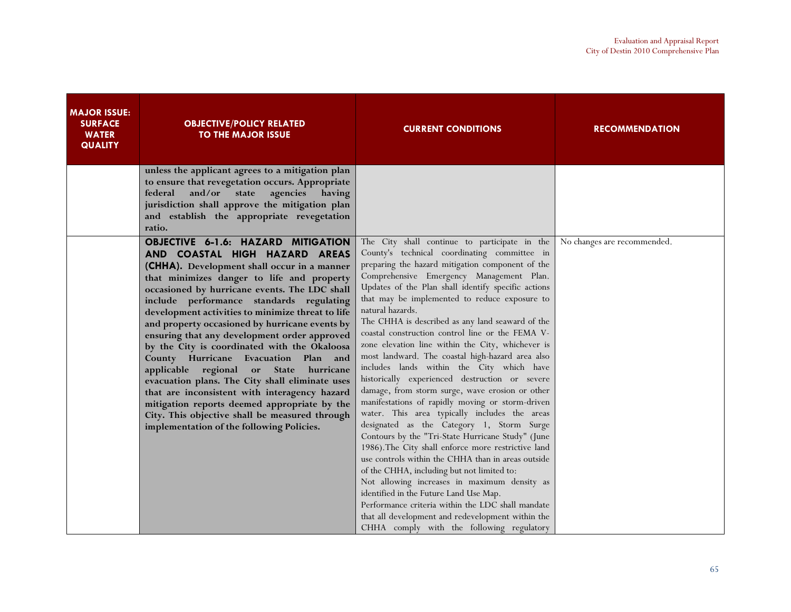| <b>MAJOR ISSUE:</b><br><b>SURFACE</b><br><b>WATER</b><br><b>QUALITY</b> | <b>OBJECTIVE/POLICY RELATED</b><br><b>TO THE MAJOR ISSUE</b>                                                                                                                                                                                                                                                                                                                                                                                                                                                                                                                                                                                                                                                                                                                                                                     | <b>CURRENT CONDITIONS</b>                                                                                                                                                                                                                                                                                                                                                                                                                                                                                                                                                                                                                                                                                                                                                                                                                                                                                                                                                                                                                                                                                                                                                                                                                                                                                       | <b>RECOMMENDATION</b>       |
|-------------------------------------------------------------------------|----------------------------------------------------------------------------------------------------------------------------------------------------------------------------------------------------------------------------------------------------------------------------------------------------------------------------------------------------------------------------------------------------------------------------------------------------------------------------------------------------------------------------------------------------------------------------------------------------------------------------------------------------------------------------------------------------------------------------------------------------------------------------------------------------------------------------------|-----------------------------------------------------------------------------------------------------------------------------------------------------------------------------------------------------------------------------------------------------------------------------------------------------------------------------------------------------------------------------------------------------------------------------------------------------------------------------------------------------------------------------------------------------------------------------------------------------------------------------------------------------------------------------------------------------------------------------------------------------------------------------------------------------------------------------------------------------------------------------------------------------------------------------------------------------------------------------------------------------------------------------------------------------------------------------------------------------------------------------------------------------------------------------------------------------------------------------------------------------------------------------------------------------------------|-----------------------------|
|                                                                         | unless the applicant agrees to a mitigation plan<br>to ensure that revegetation occurs. Appropriate<br>and/or state<br>agencies having<br>federal<br>jurisdiction shall approve the mitigation plan<br>and establish the appropriate revegetation<br>ratio.                                                                                                                                                                                                                                                                                                                                                                                                                                                                                                                                                                      |                                                                                                                                                                                                                                                                                                                                                                                                                                                                                                                                                                                                                                                                                                                                                                                                                                                                                                                                                                                                                                                                                                                                                                                                                                                                                                                 |                             |
|                                                                         | <b>OBJECTIVE 6-1.6: HAZARD MITIGATION</b><br>AND COASTAL HIGH HAZARD AREAS<br>(CHHA). Development shall occur in a manner<br>that minimizes danger to life and property<br>occasioned by hurricane events. The LDC shall<br>include performance standards regulating<br>development activities to minimize threat to life<br>and property occasioned by hurricane events by<br>ensuring that any development order approved<br>by the City is coordinated with the Okaloosa<br>County Hurricane Evacuation Plan and<br>applicable regional<br>or<br><b>State</b><br>hurricane<br>evacuation plans. The City shall eliminate uses<br>that are inconsistent with interagency hazard<br>mitigation reports deemed appropriate by the<br>City. This objective shall be measured through<br>implementation of the following Policies. | The City shall continue to participate in the<br>County's technical coordinating committee in<br>preparing the hazard mitigation component of the<br>Comprehensive Emergency Management Plan.<br>Updates of the Plan shall identify specific actions<br>that may be implemented to reduce exposure to<br>natural hazards.<br>The CHHA is described as any land seaward of the<br>coastal construction control line or the FEMA V-<br>zone elevation line within the City, whichever is<br>most landward. The coastal high-hazard area also<br>includes lands within the City which have<br>historically experienced destruction or severe<br>damage, from storm surge, wave erosion or other<br>manifestations of rapidly moving or storm-driven<br>water. This area typically includes the areas<br>designated as the Category 1, Storm Surge<br>Contours by the "Tri-State Hurricane Study" (June<br>1986). The City shall enforce more restrictive land<br>use controls within the CHHA than in areas outside<br>of the CHHA, including but not limited to:<br>Not allowing increases in maximum density as<br>identified in the Future Land Use Map.<br>Performance criteria within the LDC shall mandate<br>that all development and redevelopment within the<br>CHHA comply with the following regulatory | No changes are recommended. |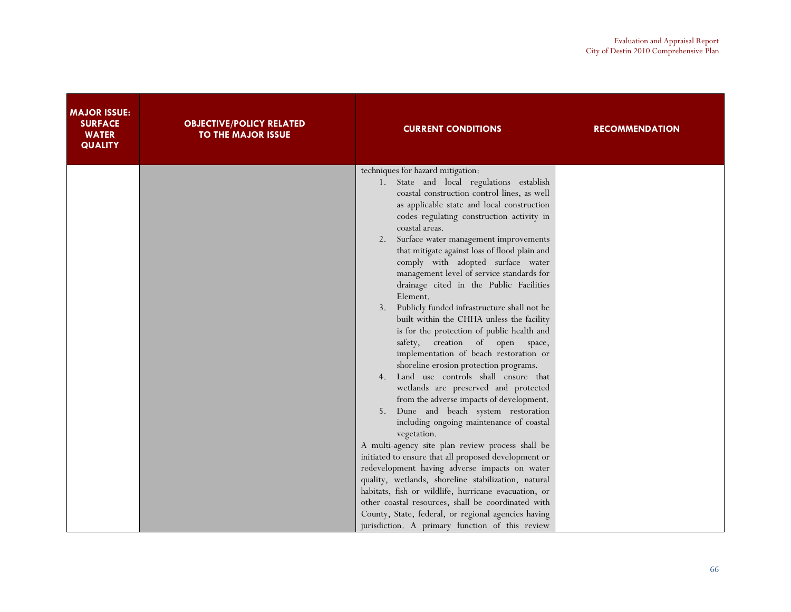| <b>MAJOR ISSUE:</b><br><b>SURFACE</b><br><b>WATER</b><br><b>QUALITY</b> | <b>OBJECTIVE/POLICY RELATED</b><br><b>TO THE MAJOR ISSUE</b> | <b>CURRENT CONDITIONS</b>                                                                                                    | <b>RECOMMENDATION</b> |
|-------------------------------------------------------------------------|--------------------------------------------------------------|------------------------------------------------------------------------------------------------------------------------------|-----------------------|
|                                                                         |                                                              | techniques for hazard mitigation:<br>1. State and local regulations establish<br>coastal construction control lines, as well |                       |
|                                                                         |                                                              | as applicable state and local construction                                                                                   |                       |
|                                                                         |                                                              | codes regulating construction activity in<br>coastal areas.                                                                  |                       |
|                                                                         |                                                              | Surface water management improvements                                                                                        |                       |
|                                                                         |                                                              | that mitigate against loss of flood plain and<br>comply with adopted surface water                                           |                       |
|                                                                         |                                                              | management level of service standards for<br>drainage cited in the Public Facilities                                         |                       |
|                                                                         |                                                              | Element.                                                                                                                     |                       |
|                                                                         |                                                              | 3. Publicly funded infrastructure shall not be<br>built within the CHHA unless the facility                                  |                       |
|                                                                         |                                                              | is for the protection of public health and<br>safety, creation of open space,                                                |                       |
|                                                                         |                                                              | implementation of beach restoration or                                                                                       |                       |
|                                                                         |                                                              | shoreline erosion protection programs.<br>Land use controls shall ensure that<br>4.                                          |                       |
|                                                                         |                                                              | wetlands are preserved and protected                                                                                         |                       |
|                                                                         |                                                              | from the adverse impacts of development.<br>Dune and beach system restoration<br>5.                                          |                       |
|                                                                         |                                                              | including ongoing maintenance of coastal<br>vegetation.                                                                      |                       |
|                                                                         |                                                              | A multi-agency site plan review process shall be                                                                             |                       |
|                                                                         |                                                              | initiated to ensure that all proposed development or<br>redevelopment having adverse impacts on water                        |                       |
|                                                                         |                                                              | quality, wetlands, shoreline stabilization, natural                                                                          |                       |
|                                                                         |                                                              | habitats, fish or wildlife, hurricane evacuation, or<br>other coastal resources, shall be coordinated with                   |                       |
|                                                                         |                                                              | County, State, federal, or regional agencies having                                                                          |                       |
|                                                                         |                                                              | jurisdiction. A primary function of this review                                                                              |                       |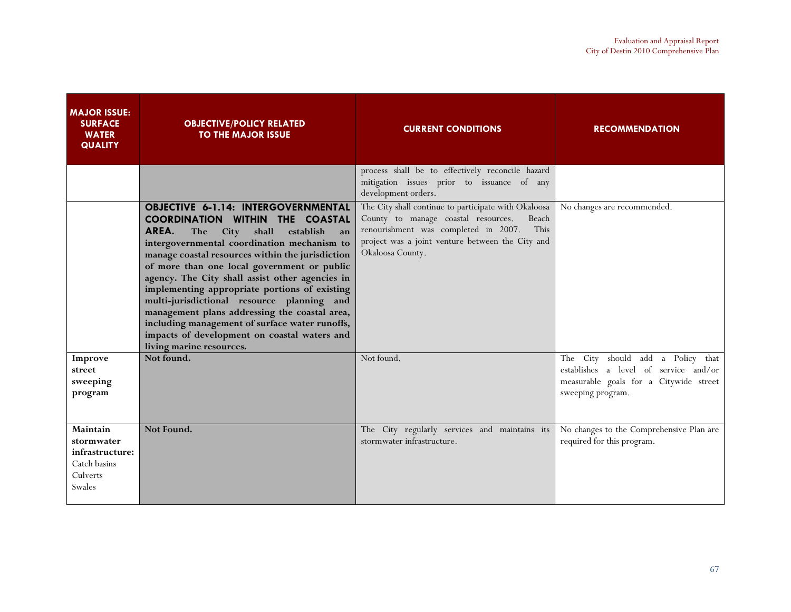| <b>MAJOR ISSUE:</b><br><b>SURFACE</b><br><b>WATER</b><br><b>QUALITY</b>         | <b>OBJECTIVE/POLICY RELATED</b><br><b>TO THE MAJOR ISSUE</b>                                                                                                                                                                                                                                                                                                                                                                                                                                                                                                                                                                | <b>CURRENT CONDITIONS</b>                                                                                                                                                                                                    | <b>RECOMMENDATION</b>                                                                                                                        |
|---------------------------------------------------------------------------------|-----------------------------------------------------------------------------------------------------------------------------------------------------------------------------------------------------------------------------------------------------------------------------------------------------------------------------------------------------------------------------------------------------------------------------------------------------------------------------------------------------------------------------------------------------------------------------------------------------------------------------|------------------------------------------------------------------------------------------------------------------------------------------------------------------------------------------------------------------------------|----------------------------------------------------------------------------------------------------------------------------------------------|
|                                                                                 |                                                                                                                                                                                                                                                                                                                                                                                                                                                                                                                                                                                                                             | process shall be to effectively reconcile hazard<br>mitigation issues prior to issuance of any<br>development orders.                                                                                                        |                                                                                                                                              |
|                                                                                 | <b>OBJECTIVE 6-1.14: INTERGOVERNMENTAL</b><br><b>COORDINATION WITHIN THE COASTAL</b><br>AREA.<br>City<br>shall<br>establish<br>The<br>an<br>intergovernmental coordination mechanism to<br>manage coastal resources within the jurisdiction<br>of more than one local government or public<br>agency. The City shall assist other agencies in<br>implementing appropriate portions of existing<br>multi-jurisdictional resource planning and<br>management plans addressing the coastal area,<br>including management of surface water runoffs,<br>impacts of development on coastal waters and<br>living marine resources. | The City shall continue to participate with Okaloosa<br>County to manage coastal resources.<br>Beach<br>renourishment was completed in 2007.<br>This<br>project was a joint venture between the City and<br>Okaloosa County. | No changes are recommended.                                                                                                                  |
| Improve<br>street<br>sweeping<br>program                                        | Not found.                                                                                                                                                                                                                                                                                                                                                                                                                                                                                                                                                                                                                  | Not found.                                                                                                                                                                                                                   | City should add a Policy that<br>The<br>establishes a level of service and/or<br>measurable goals for a Citywide street<br>sweeping program. |
| Maintain<br>stormwater<br>infrastructure:<br>Catch basins<br>Culverts<br>Swales | Not Found.                                                                                                                                                                                                                                                                                                                                                                                                                                                                                                                                                                                                                  | The City regularly services and maintains its<br>stormwater infrastructure.                                                                                                                                                  | No changes to the Comprehensive Plan are<br>required for this program.                                                                       |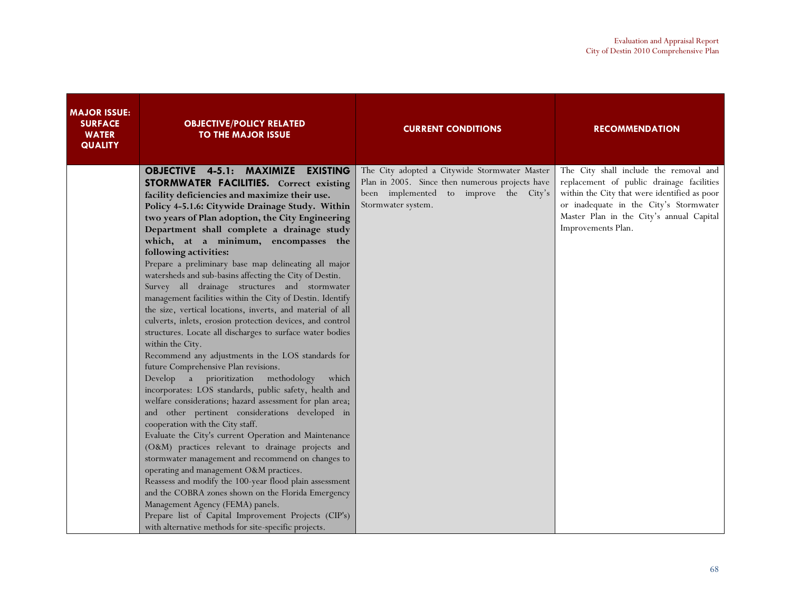| <b>MAJOR ISSUE:</b><br><b>SURFACE</b><br><b>WATER</b><br><b>QUALITY</b> | <b>OBJECTIVE/POLICY RELATED</b><br><b>TO THE MAJOR ISSUE</b>                                                                                                                                                                                                                                                                                                                                                                                                                                                                                                                                                                                                                                                                                                                                                                                                                                                                                                                                                                                                                                                                                                                                                                                                                                                                                                                                                                                                                                                                                                                                                                                            | <b>CURRENT CONDITIONS</b>                                                                                                                                        | <b>RECOMMENDATION</b>                                                                                                                                                                                                                           |
|-------------------------------------------------------------------------|---------------------------------------------------------------------------------------------------------------------------------------------------------------------------------------------------------------------------------------------------------------------------------------------------------------------------------------------------------------------------------------------------------------------------------------------------------------------------------------------------------------------------------------------------------------------------------------------------------------------------------------------------------------------------------------------------------------------------------------------------------------------------------------------------------------------------------------------------------------------------------------------------------------------------------------------------------------------------------------------------------------------------------------------------------------------------------------------------------------------------------------------------------------------------------------------------------------------------------------------------------------------------------------------------------------------------------------------------------------------------------------------------------------------------------------------------------------------------------------------------------------------------------------------------------------------------------------------------------------------------------------------------------|------------------------------------------------------------------------------------------------------------------------------------------------------------------|-------------------------------------------------------------------------------------------------------------------------------------------------------------------------------------------------------------------------------------------------|
|                                                                         | <b>OBJECTIVE 4-5.1: MAXIMIZE EXISTING</b><br>STORMWATER FACILITIES. Correct existing<br>facility deficiencies and maximize their use.<br>Policy 4-5.1.6: Citywide Drainage Study. Within<br>two years of Plan adoption, the City Engineering<br>Department shall complete a drainage study<br>which, at a minimum, encompasses the<br>following activities:<br>Prepare a preliminary base map delineating all major<br>watersheds and sub-basins affecting the City of Destin.<br>Survey all drainage structures and stormwater<br>management facilities within the City of Destin. Identify<br>the size, vertical locations, inverts, and material of all<br>culverts, inlets, erosion protection devices, and control<br>structures. Locate all discharges to surface water bodies<br>within the City.<br>Recommend any adjustments in the LOS standards for<br>future Comprehensive Plan revisions.<br>Develop a prioritization methodology<br>which<br>incorporates: LOS standards, public safety, health and<br>welfare considerations; hazard assessment for plan area;<br>and other pertinent considerations developed in<br>cooperation with the City staff.<br>Evaluate the City's current Operation and Maintenance<br>(O&M) practices relevant to drainage projects and<br>stormwater management and recommend on changes to<br>operating and management O&M practices.<br>Reassess and modify the 100-year flood plain assessment<br>and the COBRA zones shown on the Florida Emergency<br>Management Agency (FEMA) panels.<br>Prepare list of Capital Improvement Projects (CIP's)<br>with alternative methods for site-specific projects. | The City adopted a Citywide Stormwater Master<br>Plan in 2005. Since then numerous projects have<br>been implemented to improve the City's<br>Stormwater system. | The City shall include the removal and<br>replacement of public drainage facilities<br>within the City that were identified as poor<br>or inadequate in the City's Stormwater<br>Master Plan in the City's annual Capital<br>Improvements Plan. |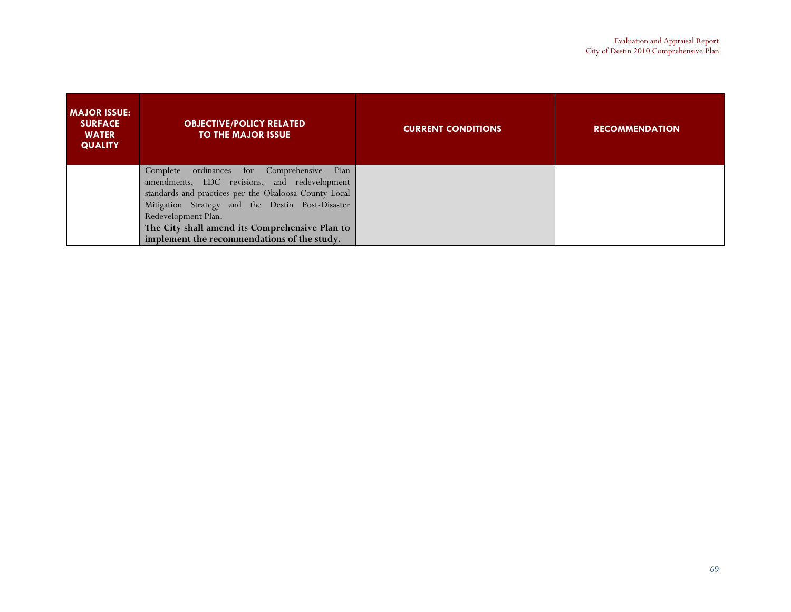| <b>MAJOR ISSUE:</b><br><b>SURFACE</b><br><b>WATER</b><br><b>QUALITY</b> | <b>OBJECTIVE/POLICY RELATED</b><br><b>TO THE MAJOR ISSUE</b> | <b>CURRENT CONDITIONS</b> | <b>RECOMMENDATION</b> |
|-------------------------------------------------------------------------|--------------------------------------------------------------|---------------------------|-----------------------|
|                                                                         | Complete ordinances for Comprehensive Plan                   |                           |                       |
|                                                                         | amendments, LDC revisions, and redevelopment                 |                           |                       |
|                                                                         | standards and practices per the Okaloosa County Local        |                           |                       |
|                                                                         | Mitigation Strategy and the Destin Post-Disaster             |                           |                       |
|                                                                         | Redevelopment Plan.                                          |                           |                       |
|                                                                         | The City shall amend its Comprehensive Plan to               |                           |                       |
|                                                                         | implement the recommendations of the study.                  |                           |                       |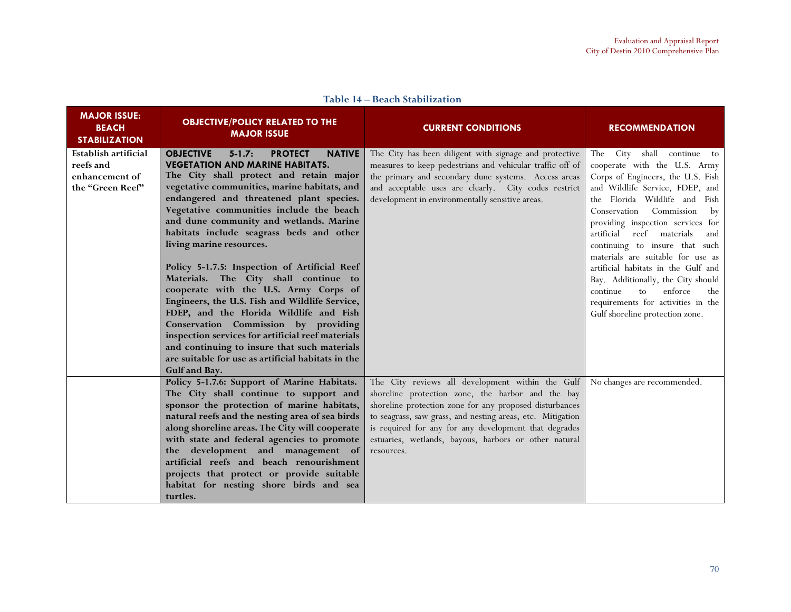| <b>MAJOR ISSUE:</b><br><b>BEACH</b><br><b>STABILIZATION</b>             | <b>OBJECTIVE/POLICY RELATED TO THE</b><br><b>MAJOR ISSUE</b>                                                                                                                                                                                                                                                                                                                                                                                                                                                                                                                                                                                                                                                                                                                                                                                         | <b>CURRENT CONDITIONS</b>                                                                                                                                                                                                                                                                                                                                      | <b>RECOMMENDATION</b>                                                                                                                                                                                                                                                                                                                                                                                                                                                                                                                                         |
|-------------------------------------------------------------------------|------------------------------------------------------------------------------------------------------------------------------------------------------------------------------------------------------------------------------------------------------------------------------------------------------------------------------------------------------------------------------------------------------------------------------------------------------------------------------------------------------------------------------------------------------------------------------------------------------------------------------------------------------------------------------------------------------------------------------------------------------------------------------------------------------------------------------------------------------|----------------------------------------------------------------------------------------------------------------------------------------------------------------------------------------------------------------------------------------------------------------------------------------------------------------------------------------------------------------|---------------------------------------------------------------------------------------------------------------------------------------------------------------------------------------------------------------------------------------------------------------------------------------------------------------------------------------------------------------------------------------------------------------------------------------------------------------------------------------------------------------------------------------------------------------|
| Establish artificial<br>reefs and<br>enhancement of<br>the "Green Reef" | <b>OBJECTIVE</b><br>$5 - 1.7:$<br><b>PROTECT</b><br><b>NATIVE</b><br><b>VEGETATION AND MARINE HABITATS.</b><br>The City shall protect and retain major<br>vegetative communities, marine habitats, and<br>endangered and threatened plant species.<br>Vegetative communities include the beach<br>and dune community and wetlands. Marine<br>habitats include seagrass beds and other<br>living marine resources.<br>Policy 5-1.7.5: Inspection of Artificial Reef<br>Materials. The City shall continue to<br>cooperate with the U.S. Army Corps of<br>Engineers, the U.S. Fish and Wildlife Service,<br>FDEP, and the Florida Wildlife and Fish<br>Conservation Commission by providing<br>inspection services for artificial reef materials<br>and continuing to insure that such materials<br>are suitable for use as artificial habitats in the | The City has been diligent with signage and protective<br>measures to keep pedestrians and vehicular traffic off of<br>the primary and secondary dune systems. Access areas<br>and acceptable uses are clearly. City codes restrict<br>development in environmentally sensitive areas.                                                                         | City shall continue to<br>The<br>cooperate with the U.S. Army<br>Corps of Engineers, the U.S. Fish<br>and Wildlife Service, FDEP, and<br>the Florida Wildlife and<br>Fish<br>Commission<br>Conservation<br>by<br>providing inspection services for<br>reef<br>artificial<br>materials<br>and<br>continuing to insure that such<br>materials are suitable for use as<br>artificial habitats in the Gulf and<br>Bay. Additionally, the City should<br>enforce<br>continue<br>to<br>the<br>requirements for activities in the<br>Gulf shoreline protection zone. |
|                                                                         | <b>Gulf</b> and Bay.<br>Policy 5-1.7.6: Support of Marine Habitats.<br>The City shall continue to support and<br>sponsor the protection of marine habitats,<br>natural reefs and the nesting area of sea birds<br>along shoreline areas. The City will cooperate<br>with state and federal agencies to promote<br>the development and management of<br>artificial reefs and beach renourishment<br>projects that protect or provide suitable<br>habitat for nesting shore birds and sea<br>turtles.                                                                                                                                                                                                                                                                                                                                                  | The City reviews all development within the Gulf<br>shoreline protection zone, the harbor and the bay<br>shoreline protection zone for any proposed disturbances<br>to seagrass, saw grass, and nesting areas, etc. Mitigation<br>is required for any for any development that degrades<br>estuaries, wetlands, bayous, harbors or other natural<br>resources. | No changes are recommended.                                                                                                                                                                                                                                                                                                                                                                                                                                                                                                                                   |

Table 14 – Beach Stabilization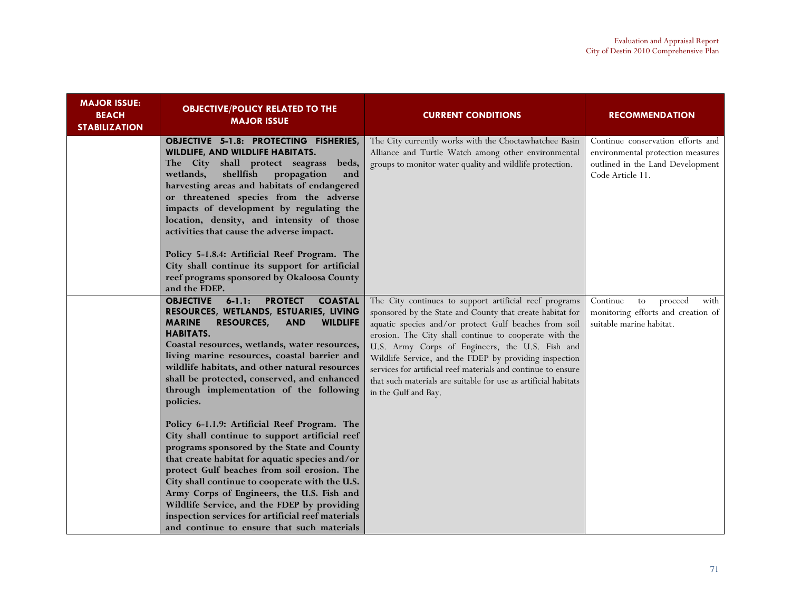| <b>MAJOR ISSUE:</b><br><b>BEACH</b><br><b>STABILIZATION</b> | <b>OBJECTIVE/POLICY RELATED TO THE</b><br><b>MAJOR ISSUE</b>                                                                                                                                                                                                                                                                                                                                                                                                                                    | <b>CURRENT CONDITIONS</b>                                                                                                                                                                                                                                                                                                                                                                                                                                                                                       | <b>RECOMMENDATION</b>                                                                                                          |
|-------------------------------------------------------------|-------------------------------------------------------------------------------------------------------------------------------------------------------------------------------------------------------------------------------------------------------------------------------------------------------------------------------------------------------------------------------------------------------------------------------------------------------------------------------------------------|-----------------------------------------------------------------------------------------------------------------------------------------------------------------------------------------------------------------------------------------------------------------------------------------------------------------------------------------------------------------------------------------------------------------------------------------------------------------------------------------------------------------|--------------------------------------------------------------------------------------------------------------------------------|
|                                                             | OBJECTIVE 5-1.8: PROTECTING FISHERIES,<br>WILDLIFE, AND WILDLIFE HABITATS.<br>The City shall protect seagrass<br>beds,<br>shellfish<br>wetlands,<br>propagation<br>and<br>harvesting areas and habitats of endangered<br>or threatened species from the adverse<br>impacts of development by regulating the<br>location, density, and intensity of those<br>activities that cause the adverse impact.                                                                                           | The City currently works with the Choctawhatchee Basin<br>Alliance and Turtle Watch among other environmental<br>groups to monitor water quality and wildlife protection.                                                                                                                                                                                                                                                                                                                                       | Continue conservation efforts and<br>environmental protection measures<br>outlined in the Land Development<br>Code Article 11. |
|                                                             | Policy 5-1.8.4: Artificial Reef Program. The<br>City shall continue its support for artificial<br>reef programs sponsored by Okaloosa County<br>and the FDEP.                                                                                                                                                                                                                                                                                                                                   |                                                                                                                                                                                                                                                                                                                                                                                                                                                                                                                 |                                                                                                                                |
|                                                             | <b>OBJECTIVE</b><br>$6-1.1:$<br><b>PROTECT</b><br><b>COASTAL</b><br>RESOURCES, WETLANDS, ESTUARIES, LIVING<br><b>RESOURCES,</b><br><b>AND</b><br><b>WILDLIFE</b><br><b>MARINE</b><br><b>HABITATS.</b><br>Coastal resources, wetlands, water resources,<br>living marine resources, coastal barrier and<br>wildlife habitats, and other natural resources<br>shall be protected, conserved, and enhanced<br>through implementation of the following<br>policies.                                 | The City continues to support artificial reef programs<br>sponsored by the State and County that create habitat for<br>aquatic species and/or protect Gulf beaches from soil<br>erosion. The City shall continue to cooperate with the<br>U.S. Army Corps of Engineers, the U.S. Fish and<br>Wildlife Service, and the FDEP by providing inspection<br>services for artificial reef materials and continue to ensure<br>that such materials are suitable for use as artificial habitats<br>in the Gulf and Bay. | Continue<br>proceed<br>to<br>with<br>monitoring efforts and creation of<br>suitable marine habitat.                            |
|                                                             | Policy 6-1.1.9: Artificial Reef Program. The<br>City shall continue to support artificial reef<br>programs sponsored by the State and County<br>that create habitat for aquatic species and/or<br>protect Gulf beaches from soil erosion. The<br>City shall continue to cooperate with the U.S.<br>Army Corps of Engineers, the U.S. Fish and<br>Wildlife Service, and the FDEP by providing<br>inspection services for artificial reef materials<br>and continue to ensure that such materials |                                                                                                                                                                                                                                                                                                                                                                                                                                                                                                                 |                                                                                                                                |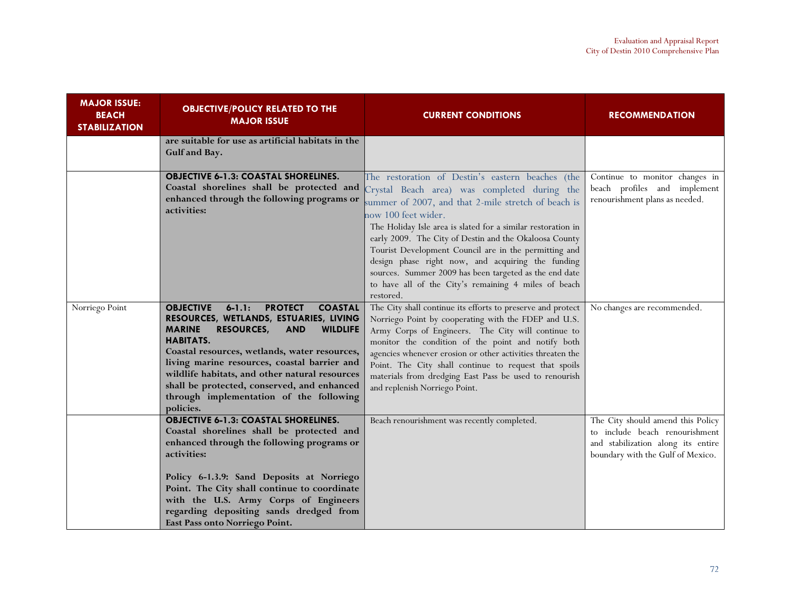| <b>MAJOR ISSUE:</b><br><b>BEACH</b><br><b>STABILIZATION</b> | <b>OBJECTIVE/POLICY RELATED TO THE</b><br><b>MAJOR ISSUE</b>                                                                                                                                                                                                                                                                                                                                                                                                      | <b>CURRENT CONDITIONS</b>                                                                                                                                                                                                                                                                                                                                                                                                                                                                                                                             | <b>RECOMMENDATION</b>                                                                                                                          |
|-------------------------------------------------------------|-------------------------------------------------------------------------------------------------------------------------------------------------------------------------------------------------------------------------------------------------------------------------------------------------------------------------------------------------------------------------------------------------------------------------------------------------------------------|-------------------------------------------------------------------------------------------------------------------------------------------------------------------------------------------------------------------------------------------------------------------------------------------------------------------------------------------------------------------------------------------------------------------------------------------------------------------------------------------------------------------------------------------------------|------------------------------------------------------------------------------------------------------------------------------------------------|
|                                                             | are suitable for use as artificial habitats in the<br>Gulf and Bay.                                                                                                                                                                                                                                                                                                                                                                                               |                                                                                                                                                                                                                                                                                                                                                                                                                                                                                                                                                       |                                                                                                                                                |
|                                                             | <b>OBJECTIVE 6-1.3: COASTAL SHORELINES.</b><br>Coastal shorelines shall be protected and<br>enhanced through the following programs or<br>activities:                                                                                                                                                                                                                                                                                                             | The restoration of Destin's eastern beaches (the<br>Crystal Beach area) was completed during the<br>summer of 2007, and that 2-mile stretch of beach is<br>now 100 feet wider.<br>The Holiday Isle area is slated for a similar restoration in<br>early 2009. The City of Destin and the Okaloosa County<br>Tourist Development Council are in the permitting and<br>design phase right now, and acquiring the funding<br>sources. Summer 2009 has been targeted as the end date<br>to have all of the City's remaining 4 miles of beach<br>restored. | Continue to monitor changes in<br>beach profiles and implement<br>renourishment plans as needed.                                               |
| Norriego Point                                              | <b>OBJECTIVE</b><br>$6 - 1.1:$<br><b>PROTECT</b><br><b>COASTAL</b><br>RESOURCES, WETLANDS, ESTUARIES, LIVING<br><b>WILDLIFE</b><br><b>MARINE</b><br><b>RESOURCES,</b><br><b>AND</b><br><b>HABITATS.</b><br>Coastal resources, wetlands, water resources,<br>living marine resources, coastal barrier and<br>wildlife habitats, and other natural resources<br>shall be protected, conserved, and enhanced<br>through implementation of the following<br>policies. | The City shall continue its efforts to preserve and protect<br>Norriego Point by cooperating with the FDEP and U.S.<br>Army Corps of Engineers. The City will continue to<br>monitor the condition of the point and notify both<br>agencies whenever erosion or other activities threaten the<br>Point. The City shall continue to request that spoils<br>materials from dredging East Pass be used to renourish<br>and replenish Norriego Point.                                                                                                     | No changes are recommended.                                                                                                                    |
|                                                             | <b>OBJECTIVE 6-1.3: COASTAL SHORELINES.</b><br>Coastal shorelines shall be protected and<br>enhanced through the following programs or<br>activities:<br>Policy 6-1.3.9: Sand Deposits at Norriego<br>Point. The City shall continue to coordinate<br>with the U.S. Army Corps of Engineers<br>regarding depositing sands dredged from<br>East Pass onto Norriego Point.                                                                                          | Beach renourishment was recently completed.                                                                                                                                                                                                                                                                                                                                                                                                                                                                                                           | The City should amend this Policy<br>to include beach renourishment<br>and stabilization along its entire<br>boundary with the Gulf of Mexico. |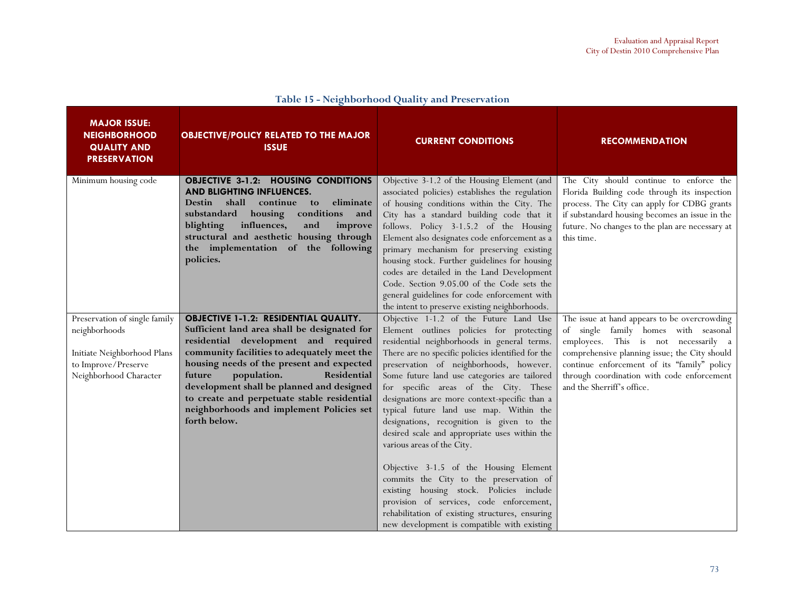| <b>MAJOR ISSUE:</b><br><b>NEIGHBORHOOD</b><br><b>QUALITY AND</b><br><b>PRESERVATION</b>                                        | <b>OBJECTIVE/POLICY RELATED TO THE MAJOR</b><br><b>ISSUE</b>                                                                                                                                                                                                                                                                                                                                                                     | <b>CURRENT CONDITIONS</b>                                                                                                                                                                                                                                                                                                                                                                                                                                                                                                                                                                                                                                                                                                                                                                                                         | <b>RECOMMENDATION</b>                                                                                                                                                                                                                                                                                    |
|--------------------------------------------------------------------------------------------------------------------------------|----------------------------------------------------------------------------------------------------------------------------------------------------------------------------------------------------------------------------------------------------------------------------------------------------------------------------------------------------------------------------------------------------------------------------------|-----------------------------------------------------------------------------------------------------------------------------------------------------------------------------------------------------------------------------------------------------------------------------------------------------------------------------------------------------------------------------------------------------------------------------------------------------------------------------------------------------------------------------------------------------------------------------------------------------------------------------------------------------------------------------------------------------------------------------------------------------------------------------------------------------------------------------------|----------------------------------------------------------------------------------------------------------------------------------------------------------------------------------------------------------------------------------------------------------------------------------------------------------|
| Minimum housing code                                                                                                           | <b>OBJECTIVE 3-1.2: HOUSING CONDITIONS</b><br>AND BLIGHTING INFLUENCES.<br>shall<br>continue to<br>eliminate<br><b>Destin</b><br>housing<br>conditions<br>substandard<br>and<br>influences,<br>blighting<br>improve<br>and<br>structural and aesthetic housing through<br>the implementation of the following<br>policies.                                                                                                       | Objective 3-1.2 of the Housing Element (and<br>associated policies) establishes the regulation<br>of housing conditions within the City. The<br>City has a standard building code that it<br>follows. Policy 3-1.5.2 of the Housing<br>Element also designates code enforcement as a<br>primary mechanism for preserving existing<br>housing stock. Further guidelines for housing<br>codes are detailed in the Land Development<br>Code. Section 9.05.00 of the Code sets the<br>general guidelines for code enforcement with<br>the intent to preserve existing neighborhoods.                                                                                                                                                                                                                                                  | The City should continue to enforce the<br>Florida Building code through its inspection<br>process. The City can apply for CDBG grants<br>if substandard housing becomes an issue in the<br>future. No changes to the plan are necessary at<br>this time.                                                |
| Preservation of single family<br>neighborhoods<br>Initiate Neighborhood Plans<br>to Improve/Preserve<br>Neighborhood Character | <b>OBJECTIVE 1-1.2: RESIDENTIAL QUALITY.</b><br>Sufficient land area shall be designated for<br>residential development and required<br>community facilities to adequately meet the<br>housing needs of the present and expected<br>population.<br>Residential<br>future<br>development shall be planned and designed<br>to create and perpetuate stable residential<br>neighborhoods and implement Policies set<br>forth below. | Objective 1-1.2 of the Future Land Use<br>Element outlines policies for protecting<br>residential neighborhoods in general terms.<br>There are no specific policies identified for the<br>preservation of neighborhoods, however.<br>Some future land use categories are tailored<br>for specific areas of the City. These<br>designations are more context-specific than a<br>typical future land use map. Within the<br>designations, recognition is given to the<br>desired scale and appropriate uses within the<br>various areas of the City.<br>Objective 3-1.5 of the Housing Element<br>commits the City to the preservation of<br>existing housing stock. Policies include<br>provision of services, code enforcement,<br>rehabilitation of existing structures, ensuring<br>new development is compatible with existing | The issue at hand appears to be overcrowding<br>of single family homes with seasonal<br>employees. This is not necessarily a<br>comprehensive planning issue; the City should<br>continue enforcement of its "family" policy<br>through coordination with code enforcement<br>and the Sherriff's office. |

#### Table 15 - Neighborhood Quality and Preservation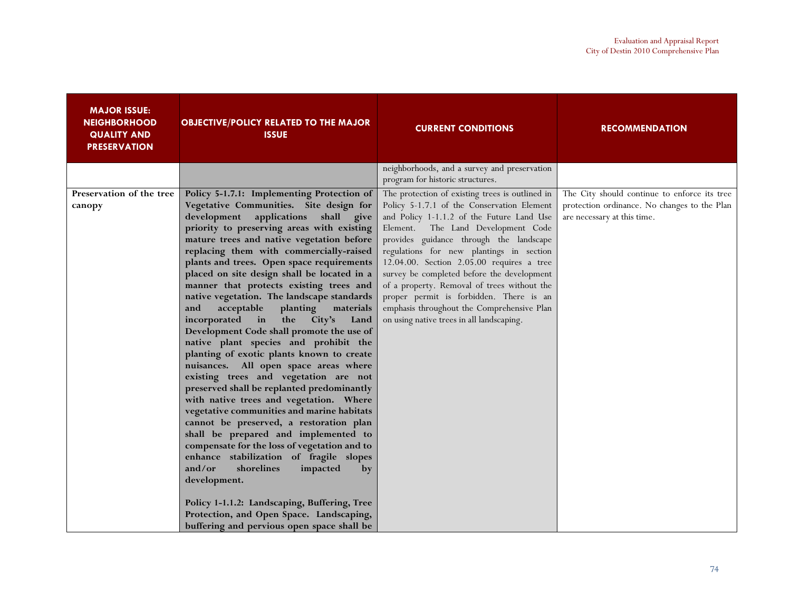| <b>MAJOR ISSUE:</b><br><b>NEIGHBORHOOD</b><br><b>QUALITY AND</b><br><b>PRESERVATION</b> | <b>OBJECTIVE/POLICY RELATED TO THE MAJOR</b><br><b>ISSUE</b>                                                                                                                                                                                                                                                                                                                                                                                                                                                                                                                                                                                                                                                                                                                                                                                                                                                                                                                                                                                                                                                                                                                                                                                                                                             | <b>CURRENT CONDITIONS</b>                                                                                                                                                                                                                                                                                                                                                                                                                                                                                                                                  | <b>RECOMMENDATION</b>                                                                                                       |
|-----------------------------------------------------------------------------------------|----------------------------------------------------------------------------------------------------------------------------------------------------------------------------------------------------------------------------------------------------------------------------------------------------------------------------------------------------------------------------------------------------------------------------------------------------------------------------------------------------------------------------------------------------------------------------------------------------------------------------------------------------------------------------------------------------------------------------------------------------------------------------------------------------------------------------------------------------------------------------------------------------------------------------------------------------------------------------------------------------------------------------------------------------------------------------------------------------------------------------------------------------------------------------------------------------------------------------------------------------------------------------------------------------------|------------------------------------------------------------------------------------------------------------------------------------------------------------------------------------------------------------------------------------------------------------------------------------------------------------------------------------------------------------------------------------------------------------------------------------------------------------------------------------------------------------------------------------------------------------|-----------------------------------------------------------------------------------------------------------------------------|
|                                                                                         |                                                                                                                                                                                                                                                                                                                                                                                                                                                                                                                                                                                                                                                                                                                                                                                                                                                                                                                                                                                                                                                                                                                                                                                                                                                                                                          | neighborhoods, and a survey and preservation<br>program for historic structures.                                                                                                                                                                                                                                                                                                                                                                                                                                                                           |                                                                                                                             |
| Preservation of the tree<br>canopy                                                      | Policy 5-1.7.1: Implementing Protection of<br>Vegetative Communities. Site design for<br>development<br>applications<br>shall give<br>priority to preserving areas with existing<br>mature trees and native vegetation before<br>replacing them with commercially-raised<br>plants and trees. Open space requirements<br>placed on site design shall be located in a<br>manner that protects existing trees and<br>native vegetation. The landscape standards<br>acceptable<br>planting<br>materials<br>and<br>incorporated<br>in<br>the<br>City's<br>Land<br>Development Code shall promote the use of<br>native plant species and prohibit the<br>planting of exotic plants known to create<br>nuisances. All open space areas where<br>existing trees and vegetation are not<br>preserved shall be replanted predominantly<br>with native trees and vegetation. Where<br>vegetative communities and marine habitats<br>cannot be preserved, a restoration plan<br>shall be prepared and implemented to<br>compensate for the loss of vegetation and to<br>enhance stabilization of fragile slopes<br>and/or<br>shorelines<br>impacted<br>by<br>development.<br>Policy 1-1.1.2: Landscaping, Buffering, Tree<br>Protection, and Open Space. Landscaping,<br>buffering and pervious open space shall be | The protection of existing trees is outlined in<br>Policy 5-1.7.1 of the Conservation Element<br>and Policy 1-1.1.2 of the Future Land Use<br>The Land Development Code<br>Element.<br>provides guidance through the landscape<br>regulations for new plantings in section<br>12.04.00. Section 2.05.00 requires a tree<br>survey be completed before the development<br>of a property. Removal of trees without the<br>proper permit is forbidden. There is an<br>emphasis throughout the Comprehensive Plan<br>on using native trees in all landscaping. | The City should continue to enforce its tree<br>protection ordinance. No changes to the Plan<br>are necessary at this time. |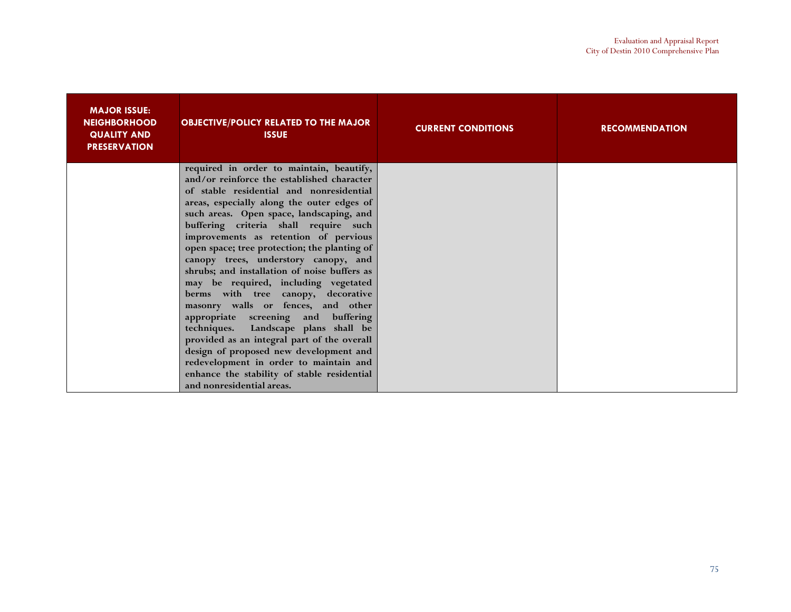| <b>MAJOR ISSUE:</b><br><b>NEIGHBORHOOD</b><br><b>QUALITY AND</b><br><b>PRESERVATION</b> | <b>OBJECTIVE/POLICY RELATED TO THE MAJOR</b><br><b>ISSUE</b>                           | <b>CURRENT CONDITIONS</b> | <b>RECOMMENDATION</b> |
|-----------------------------------------------------------------------------------------|----------------------------------------------------------------------------------------|---------------------------|-----------------------|
|                                                                                         | required in order to maintain, beautify,                                               |                           |                       |
|                                                                                         | and/or reinforce the established character<br>of stable residential and nonresidential |                           |                       |
|                                                                                         | areas, especially along the outer edges of                                             |                           |                       |
|                                                                                         | such areas. Open space, landscaping, and                                               |                           |                       |
|                                                                                         | buffering criteria shall require such                                                  |                           |                       |
|                                                                                         | improvements as retention of pervious                                                  |                           |                       |
|                                                                                         | open space; tree protection; the planting of                                           |                           |                       |
|                                                                                         | canopy trees, understory canopy, and                                                   |                           |                       |
|                                                                                         | shrubs; and installation of noise buffers as                                           |                           |                       |
|                                                                                         | may be required, including vegetated<br>berms with tree canopy, decorative             |                           |                       |
|                                                                                         | masonry walls or fences, and other                                                     |                           |                       |
|                                                                                         | appropriate screening and buffering                                                    |                           |                       |
|                                                                                         | techniques. Landscape plans shall be                                                   |                           |                       |
|                                                                                         | provided as an integral part of the overall                                            |                           |                       |
|                                                                                         | design of proposed new development and                                                 |                           |                       |
|                                                                                         | redevelopment in order to maintain and                                                 |                           |                       |
|                                                                                         | enhance the stability of stable residential                                            |                           |                       |
|                                                                                         | and nonresidential areas.                                                              |                           |                       |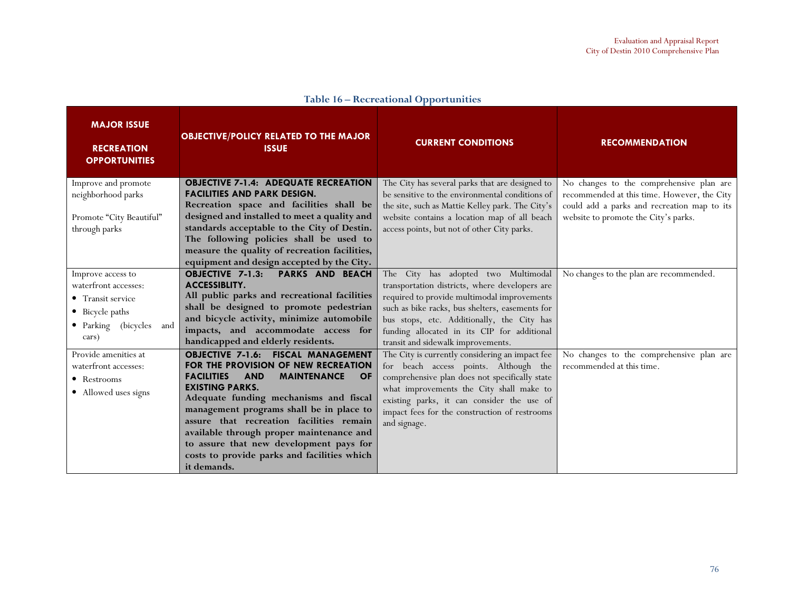| <b>MAJOR ISSUE</b><br><b>RECREATION</b><br><b>OPPORTUNITIES</b>                                                       | <b>OBJECTIVE/POLICY RELATED TO THE MAJOR</b><br><b>ISSUE</b>                                                                                                                                                                                                                                                                                                                                                                                                            | <b>CURRENT CONDITIONS</b>                                                                                                                                                                                                                                                                                                  | <b>RECOMMENDATION</b>                                                                                                                                                          |
|-----------------------------------------------------------------------------------------------------------------------|-------------------------------------------------------------------------------------------------------------------------------------------------------------------------------------------------------------------------------------------------------------------------------------------------------------------------------------------------------------------------------------------------------------------------------------------------------------------------|----------------------------------------------------------------------------------------------------------------------------------------------------------------------------------------------------------------------------------------------------------------------------------------------------------------------------|--------------------------------------------------------------------------------------------------------------------------------------------------------------------------------|
| Improve and promote<br>neighborhood parks<br>Promote "City Beautiful"<br>through parks                                | <b>OBJECTIVE 7-1.4: ADEQUATE RECREATION</b><br><b>FACILITIES AND PARK DESIGN.</b><br>Recreation space and facilities shall be<br>designed and installed to meet a quality and<br>standards acceptable to the City of Destin.<br>The following policies shall be used to<br>measure the quality of recreation facilities,<br>equipment and design accepted by the City.                                                                                                  | The City has several parks that are designed to<br>be sensitive to the environmental conditions of<br>the site, such as Mattie Kelley park. The City's<br>website contains a location map of all beach<br>access points, but not of other City parks.                                                                      | No changes to the comprehensive plan are<br>recommended at this time. However, the City<br>could add a parks and recreation map to its<br>website to promote the City's parks. |
| Improve access to<br>waterfront accesses:<br>• Transit service<br>• Bicycle paths<br>· Parking (bicycles and<br>cars) | <b>OBJECTIVE 7-1.3:</b><br><b>PARKS AND BEACH</b><br><b>ACCESSIBLITY.</b><br>All public parks and recreational facilities<br>shall be designed to promote pedestrian<br>and bicycle activity, minimize automobile<br>impacts, and accommodate access for<br>handicapped and elderly residents.                                                                                                                                                                          | The City has adopted two Multimodal<br>transportation districts, where developers are<br>required to provide multimodal improvements<br>such as bike racks, bus shelters, easements for<br>bus stops, etc. Additionally, the City has<br>funding allocated in its CIP for additional<br>transit and sidewalk improvements. | No changes to the plan are recommended.                                                                                                                                        |
| Provide amenities at<br>waterfront accesses:<br>• Restrooms<br>• Allowed uses signs                                   | <b>OBJECTIVE 7-1.6: FISCAL MANAGEMENT</b><br>FOR THE PROVISION OF NEW RECREATION<br><b>MAINTENANCE</b><br><b>FACILITIES</b><br><b>AND</b><br><b>OF</b><br><b>EXISTING PARKS.</b><br>Adequate funding mechanisms and fiscal<br>management programs shall be in place to<br>assure that recreation facilities remain<br>available through proper maintenance and<br>to assure that new development pays for<br>costs to provide parks and facilities which<br>it demands. | The City is currently considering an impact fee<br>for beach access points. Although the<br>comprehensive plan does not specifically state<br>what improvements the City shall make to<br>existing parks, it can consider the use of<br>impact fees for the construction of restrooms<br>and signage.                      | No changes to the comprehensive plan are<br>recommended at this time.                                                                                                          |

#### Table 16 – Recreational Opportunities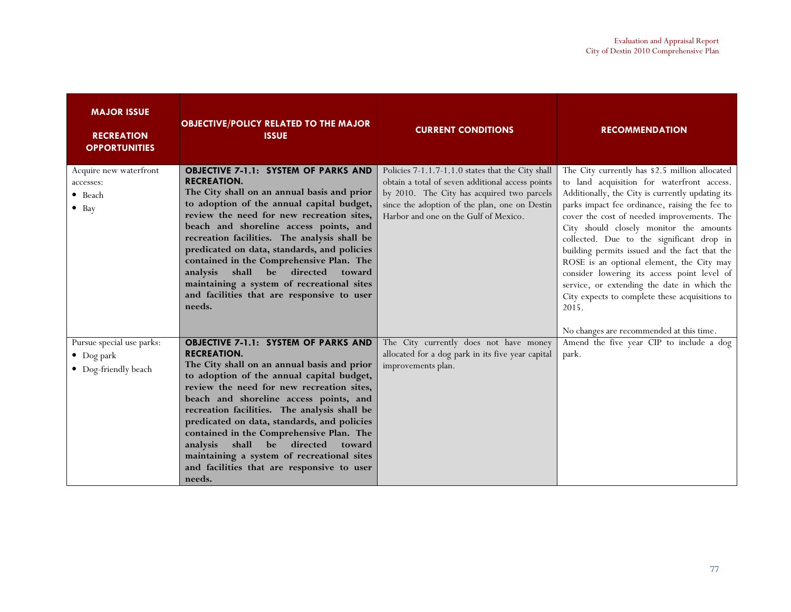| <b>MAJOR ISSUE</b><br><b>RECREATION</b><br><b>OPPORTUNITIES</b>         | <b>OBJECTIVE/POLICY RELATED TO THE MAJOR</b><br><b>ISSUE</b>                                                                                                                                                                                                                                                                                                                                                                                                                                                                                        | <b>CURRENT CONDITIONS</b>                                                                                                                                                                                                                     | <b>RECOMMENDATION</b>                                                                                                                                                                                                                                                                                                                                                                                                                                                                                                                                                                                                                       |
|-------------------------------------------------------------------------|-----------------------------------------------------------------------------------------------------------------------------------------------------------------------------------------------------------------------------------------------------------------------------------------------------------------------------------------------------------------------------------------------------------------------------------------------------------------------------------------------------------------------------------------------------|-----------------------------------------------------------------------------------------------------------------------------------------------------------------------------------------------------------------------------------------------|---------------------------------------------------------------------------------------------------------------------------------------------------------------------------------------------------------------------------------------------------------------------------------------------------------------------------------------------------------------------------------------------------------------------------------------------------------------------------------------------------------------------------------------------------------------------------------------------------------------------------------------------|
| Acquire new waterfront<br>accesses:<br>$\bullet$ Beach<br>$\bullet$ Bay | OBJECTIVE 7-1.1: SYSTEM OF PARKS AND<br><b>RECREATION.</b><br>The City shall on an annual basis and prior<br>to adoption of the annual capital budget,<br>review the need for new recreation sites,<br>beach and shoreline access points, and<br>recreation facilities. The analysis shall be<br>predicated on data, standards, and policies<br>contained in the Comprehensive Plan. The<br>shall<br>directed<br>analysis<br>be<br>toward<br>maintaining a system of recreational sites<br>and facilities that are responsive to user<br>needs.     | Policies 7-1.1.7-1.1.0 states that the City shall<br>obtain a total of seven additional access points<br>by 2010. The City has acquired two parcels<br>since the adoption of the plan, one on Destin<br>Harbor and one on the Gulf of Mexico. | The City currently has \$2.5 million allocated<br>to land acquisition for waterfront access.<br>Additionally, the City is currently updating its<br>parks impact fee ordinance, raising the fee to<br>cover the cost of needed improvements. The<br>City should closely monitor the amounts<br>collected. Due to the significant drop in<br>building permits issued and the fact that the<br>ROSE is an optional element, the City may<br>consider lowering its access point level of<br>service, or extending the date in which the<br>City expects to complete these acquisitions to<br>2015.<br>No changes are recommended at this time. |
| Pursue special use parks:<br>$\bullet$ Dog park<br>• Dog-friendly beach | <b>OBJECTIVE 7-1.1: SYSTEM OF PARKS AND</b><br><b>RECREATION.</b><br>The City shall on an annual basis and prior<br>to adoption of the annual capital budget,<br>review the need for new recreation sites,<br>beach and shoreline access points, and<br>recreation facilities. The analysis shall be<br>predicated on data, standards, and policies<br>contained in the Comprehensive Plan. The<br>shall<br>be directed<br>analysis<br>toward<br>maintaining a system of recreational sites<br>and facilities that are responsive to user<br>needs. | The City currently does not have money<br>allocated for a dog park in its five year capital<br>improvements plan.                                                                                                                             | Amend the five year CIP to include a dog<br>park.                                                                                                                                                                                                                                                                                                                                                                                                                                                                                                                                                                                           |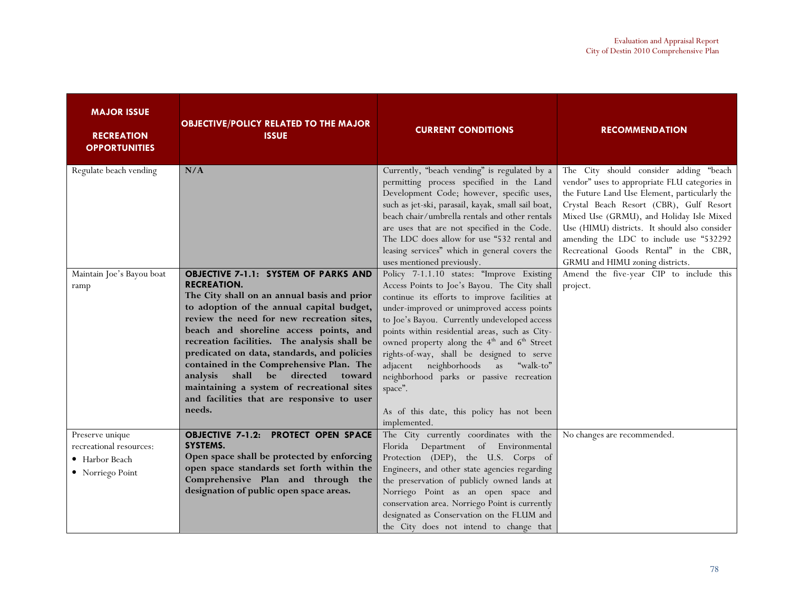| <b>MAJOR ISSUE</b><br><b>RECREATION</b><br><b>OPPORTUNITIES</b>                  | <b>OBJECTIVE/POLICY RELATED TO THE MAJOR</b><br><b>ISSUE</b>                                                                                                                                                                                                                                                                                                                                                                                                                                                                                           | <b>CURRENT CONDITIONS</b>                                                                                                                                                                                                                                                                                                                                                                                                                                                                                                                                                       | <b>RECOMMENDATION</b>                                                                                                                                                                                                                                                                                                                                                                                    |
|----------------------------------------------------------------------------------|--------------------------------------------------------------------------------------------------------------------------------------------------------------------------------------------------------------------------------------------------------------------------------------------------------------------------------------------------------------------------------------------------------------------------------------------------------------------------------------------------------------------------------------------------------|---------------------------------------------------------------------------------------------------------------------------------------------------------------------------------------------------------------------------------------------------------------------------------------------------------------------------------------------------------------------------------------------------------------------------------------------------------------------------------------------------------------------------------------------------------------------------------|----------------------------------------------------------------------------------------------------------------------------------------------------------------------------------------------------------------------------------------------------------------------------------------------------------------------------------------------------------------------------------------------------------|
| Regulate beach vending                                                           | N/A                                                                                                                                                                                                                                                                                                                                                                                                                                                                                                                                                    | Currently, "beach vending" is regulated by a<br>permitting process specified in the Land<br>Development Code; however, specific uses,<br>such as jet-ski, parasail, kayak, small sail boat,<br>beach chair/umbrella rentals and other rentals<br>are uses that are not specified in the Code.<br>The LDC does allow for use "532 rental and<br>leasing services" which in general covers the<br>uses mentioned previously.                                                                                                                                                      | The City should consider adding "beach<br>vendor" uses to appropriate FLU categories in<br>the Future Land Use Element, particularly the<br>Crystal Beach Resort (CBR), Gulf Resort<br>Mixed Use (GRMU), and Holiday Isle Mixed<br>Use (HIMU) districts. It should also consider<br>amending the LDC to include use "532292<br>Recreational Goods Rental" in the CBR,<br>GRMU and HIMU zoning districts. |
| Maintain Joe's Bayou boat<br>ramp                                                | <b>OBJECTIVE 7-1.1: SYSTEM OF PARKS AND</b><br><b>RECREATION.</b><br>The City shall on an annual basis and prior<br>to adoption of the annual capital budget,<br>review the need for new recreation sites,<br>beach and shoreline access points, and<br>recreation facilities. The analysis shall be<br>predicated on data, standards, and policies<br>contained in the Comprehensive Plan. The<br>shall<br>be<br>directed<br>analysis<br>toward<br>maintaining a system of recreational sites<br>and facilities that are responsive to user<br>needs. | Policy 7-1.1.10 states: "Improve Existing<br>Access Points to Joe's Bayou. The City shall<br>continue its efforts to improve facilities at<br>under-improved or unimproved access points<br>to Joe's Bayou. Currently undeveloped access<br>points within residential areas, such as City-<br>owned property along the 4 <sup>th</sup> and 6 <sup>th</sup> Street<br>rights-of-way, shall be designed to serve<br>neighborhoods as<br>"walk-to"<br>adjacent<br>neighborhood parks or passive recreation<br>space".<br>As of this date, this policy has not been<br>implemented. | Amend the five-year CIP to include this<br>project.                                                                                                                                                                                                                                                                                                                                                      |
| Preserve unique<br>recreational resources:<br>• Harbor Beach<br>• Norriego Point | <b>OBJECTIVE 7-1.2: PROTECT OPEN SPACE</b><br>SYSTEMS.<br>Open space shall be protected by enforcing<br>open space standards set forth within the<br>Comprehensive Plan and through the<br>designation of public open space areas.                                                                                                                                                                                                                                                                                                                     | The City currently coordinates with the<br>Florida Department of Environmental<br>Protection (DEP), the U.S. Corps of<br>Engineers, and other state agencies regarding<br>the preservation of publicly owned lands at<br>Norriego Point as an open space and<br>conservation area. Norriego Point is currently<br>designated as Conservation on the FLUM and<br>the City does not intend to change that                                                                                                                                                                         | No changes are recommended.                                                                                                                                                                                                                                                                                                                                                                              |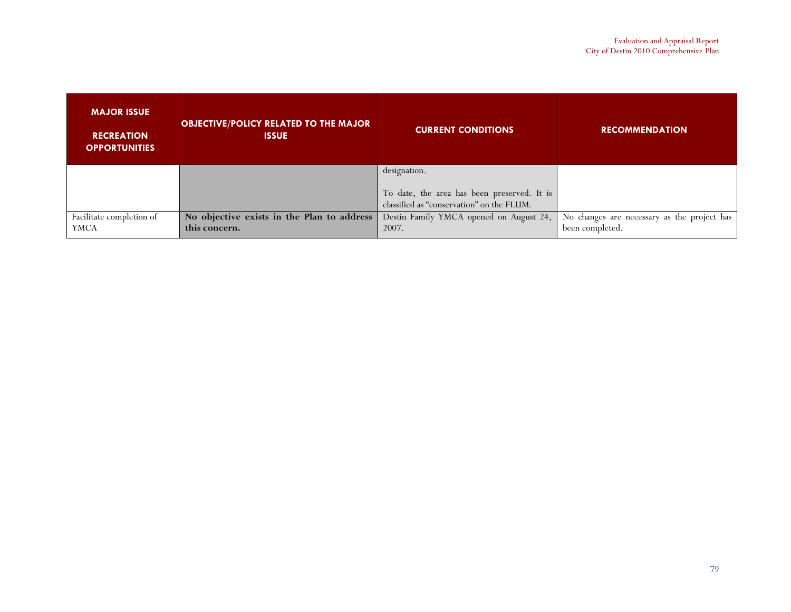| <b>MAJOR ISSUE</b><br><b>RECREATION</b><br><b>OPPORTUNITIES</b> | <b>OBJECTIVE/POLICY RELATED TO THE MAJOR</b><br><b>ISSUE</b> | <b>CURRENT CONDITIONS</b>                                                                | <b>RECOMMENDATION</b>                       |
|-----------------------------------------------------------------|--------------------------------------------------------------|------------------------------------------------------------------------------------------|---------------------------------------------|
|                                                                 |                                                              | designation.                                                                             |                                             |
|                                                                 |                                                              | To date, the area has been preserved. It is<br>classified as "conservation" on the FLUM. |                                             |
|                                                                 |                                                              |                                                                                          |                                             |
| Facilitate completion of                                        | No objective exists in the Plan to address                   | Destin Family YMCA opened on August 24,                                                  | No changes are necessary as the project has |
| <b>YMCA</b>                                                     | this concern.                                                | 2007.                                                                                    | been completed.                             |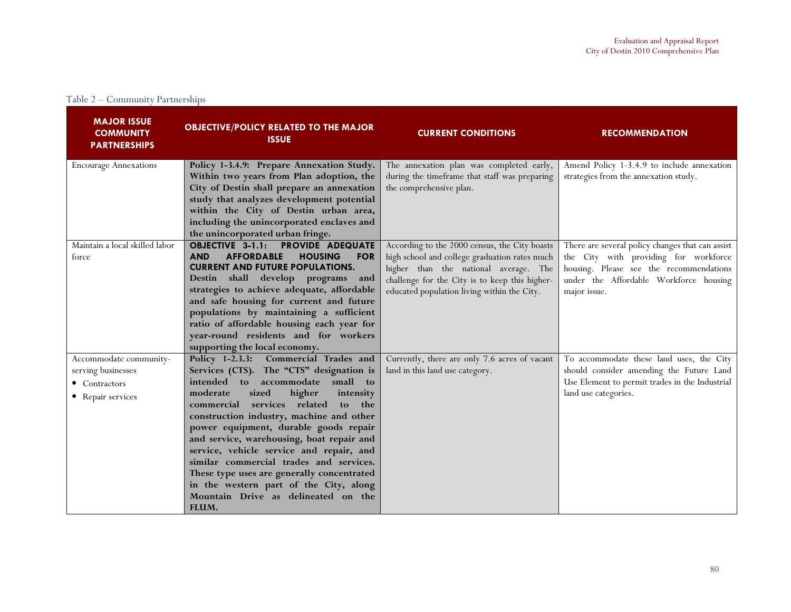|  | Table 2 – Community Partnerships |
|--|----------------------------------|
|  |                                  |

| <b>MAJOR ISSUE</b><br><b>COMMUNITY</b><br><b>PARTNERSHIPS</b>                      | <b>OBJECTIVE/POLICY RELATED TO THE MAJOR</b><br><b>ISSUE</b>                                                                                                                                                                                                                                                                                                                                                                                                                                                                                                                            | <b>CURRENT CONDITIONS</b>                                                                                                                                                                                                                | <b>RECOMMENDATION</b>                                                                                                                                                                          |
|------------------------------------------------------------------------------------|-----------------------------------------------------------------------------------------------------------------------------------------------------------------------------------------------------------------------------------------------------------------------------------------------------------------------------------------------------------------------------------------------------------------------------------------------------------------------------------------------------------------------------------------------------------------------------------------|------------------------------------------------------------------------------------------------------------------------------------------------------------------------------------------------------------------------------------------|------------------------------------------------------------------------------------------------------------------------------------------------------------------------------------------------|
| <b>Encourage Annexations</b>                                                       | Policy 1-3.4.9: Prepare Annexation Study.<br>Within two years from Plan adoption, the<br>City of Destin shall prepare an annexation<br>study that analyzes development potential<br>within the City of Destin urban area,<br>including the unincorporated enclaves and<br>the unincorporated urban fringe.                                                                                                                                                                                                                                                                              | The annexation plan was completed early,<br>during the timeframe that staff was preparing<br>the comprehensive plan.                                                                                                                     | Amend Policy 1-3.4.9 to include annexation<br>strategies from the annexation study.                                                                                                            |
| Maintain a local skilled labor<br>force                                            | <b>OBJECTIVE 3-1.1:</b><br><b>PROVIDE ADEQUATE</b><br><b>AFFORDABLE</b><br><b>HOUSING</b><br>AND<br><b>FOR</b><br><b>CURRENT AND FUTURE POPULATIONS.</b><br>Destin shall develop programs<br>and<br>strategies to achieve adequate, affordable<br>and safe housing for current and future<br>populations by maintaining a sufficient<br>ratio of affordable housing each year for<br>year-round residents and for workers<br>supporting the local economy.                                                                                                                              | According to the 2000 census, the City boasts<br>high school and college graduation rates much<br>higher than the national average. The<br>challenge for the City is to keep this higher-<br>educated population living within the City. | There are several policy changes that can assist<br>the City with providing for workforce<br>housing. Please see the recommendations<br>under the Affordable Workforce housing<br>major issue. |
| Accommodate community-<br>serving businesses<br>• Contractors<br>• Repair services | Policy 1-2.3.3: Commercial Trades and<br>Services (CTS). The "CTS" designation is<br>small<br>intended to accommodate<br>to<br>moderate<br>higher<br>sized<br>intensity<br>services related<br>commercial<br>to<br>the<br>construction industry, machine and other<br>power equipment, durable goods repair<br>and service, warehousing, boat repair and<br>service, vehicle service and repair, and<br>similar commercial trades and services.<br>These type uses are generally concentrated<br>in the western part of the City, along<br>Mountain Drive as delineated on the<br>FLUM. | Currently, there are only 7.6 acres of vacant<br>land in this land use category.                                                                                                                                                         | To accommodate these land uses, the City<br>should consider amending the Future Land<br>Use Element to permit trades in the Industrial<br>land use categories.                                 |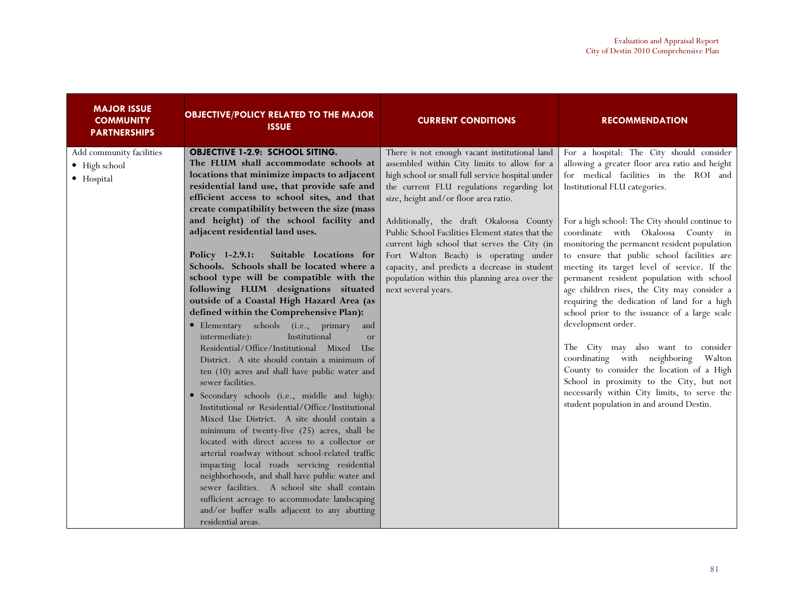| <b>MAJOR ISSUE</b><br><b>COMMUNITY</b><br><b>PARTNERSHIPS</b> | <b>OBJECTIVE/POLICY RELATED TO THE MAJOR</b><br><b>ISSUE</b>                                                                                                                                                                                                                                                                                                                                                                                                                                                                                                                                                                                                                                                                                                                                                                                                                                                                                                                                                                                                                                                                                                                                                                                                                                                                                                                                                                                                                      | <b>CURRENT CONDITIONS</b>                                                                                                                                                                                                                                                                                                                                                                                                                                                                                                                              | <b>RECOMMENDATION</b>                                                                                                                                                                                                                                                                                                                                                                                                                                                                                                                                                                                                                                                                                                                                                                                                                                                                              |
|---------------------------------------------------------------|-----------------------------------------------------------------------------------------------------------------------------------------------------------------------------------------------------------------------------------------------------------------------------------------------------------------------------------------------------------------------------------------------------------------------------------------------------------------------------------------------------------------------------------------------------------------------------------------------------------------------------------------------------------------------------------------------------------------------------------------------------------------------------------------------------------------------------------------------------------------------------------------------------------------------------------------------------------------------------------------------------------------------------------------------------------------------------------------------------------------------------------------------------------------------------------------------------------------------------------------------------------------------------------------------------------------------------------------------------------------------------------------------------------------------------------------------------------------------------------|--------------------------------------------------------------------------------------------------------------------------------------------------------------------------------------------------------------------------------------------------------------------------------------------------------------------------------------------------------------------------------------------------------------------------------------------------------------------------------------------------------------------------------------------------------|----------------------------------------------------------------------------------------------------------------------------------------------------------------------------------------------------------------------------------------------------------------------------------------------------------------------------------------------------------------------------------------------------------------------------------------------------------------------------------------------------------------------------------------------------------------------------------------------------------------------------------------------------------------------------------------------------------------------------------------------------------------------------------------------------------------------------------------------------------------------------------------------------|
| Add community facilities<br>• High school<br>· Hospital       | <b>OBJECTIVE 1-2.9: SCHOOL SITING.</b><br>The FLUM shall accommodate schools at<br>locations that minimize impacts to adjacent<br>residential land use, that provide safe and<br>efficient access to school sites, and that<br>create compatibility between the size (mass<br>and height) of the school facility and<br>adjacent residential land uses.<br>Policy 1-2.9.1:<br>Suitable Locations for<br>Schools. Schools shall be located where a<br>school type will be compatible with the<br>following FLUM designations situated<br>outside of a Coastal High Hazard Area (as<br>defined within the Comprehensive Plan):<br>· Elementary schools (i.e., primary<br>and<br>intermediate):<br>Institutional<br>or<br>Residential/Office/Institutional Mixed<br><b>Use</b><br>District. A site should contain a minimum of<br>ten (10) acres and shall have public water and<br>sewer facilities.<br>· Secondary schools (i.e., middle and high):<br>Institutional or Residential/Office/Institutional<br>Mixed Use District. A site should contain a<br>minimum of twenty-five (25) acres, shall be<br>located with direct access to a collector or<br>arterial roadway without school-related traffic<br>impacting local roads servicing residential<br>neighborhoods, and shall have public water and<br>sewer facilities. A school site shall contain<br>sufficient acreage to accommodate landscaping<br>and/or buffer walls adjacent to any abutting<br>residential areas. | There is not enough vacant institutional land<br>assembled within City limits to allow for a<br>high school or small full service hospital under<br>the current FLU regulations regarding lot<br>size, height and/or floor area ratio.<br>Additionally, the draft Okaloosa County<br>Public School Facilities Element states that the<br>current high school that serves the City (in<br>Fort Walton Beach) is operating under<br>capacity, and predicts a decrease in student<br>population within this planning area over the<br>next several years. | For a hospital: The City should consider<br>allowing a greater floor area ratio and height<br>for medical facilities in the ROI and<br>Institutional FLU categories.<br>For a high school: The City should continue to<br>coordinate with Okaloosa County in<br>monitoring the permanent resident population<br>to ensure that public school facilities are<br>meeting its target level of service. If the<br>permanent resident population with school<br>age children rises, the City may consider a<br>requiring the dedication of land for a high<br>school prior to the issuance of a large scale<br>development order.<br>The City may also want to consider<br>coordinating with neighboring<br>Walton<br>County to consider the location of a High<br>School in proximity to the City, but not<br>necessarily within City limits, to serve the<br>student population in and around Destin. |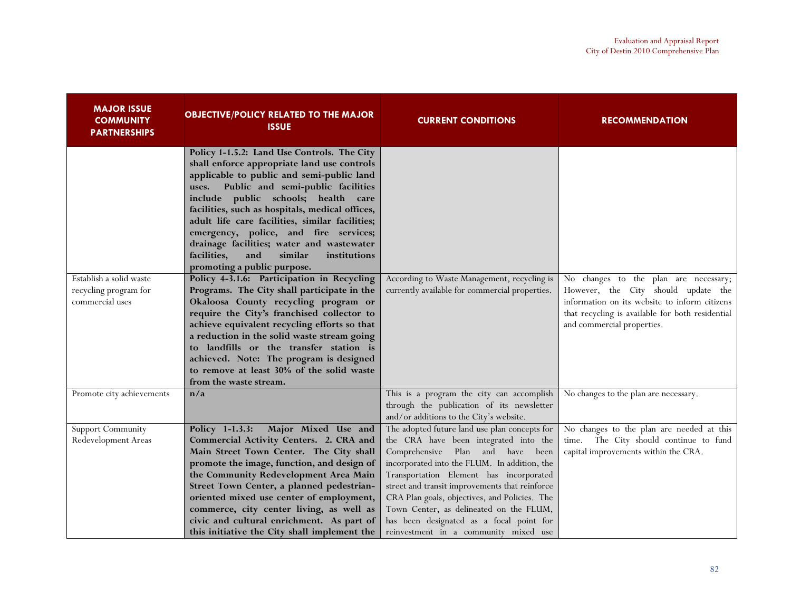| <b>MAJOR ISSUE</b><br><b>COMMUNITY</b><br><b>PARTNERSHIPS</b>       | <b>OBJECTIVE/POLICY RELATED TO THE MAJOR</b><br><b>ISSUE</b>                                                                                                                                                                                                                                                                                                                                                                                                                                             | <b>CURRENT CONDITIONS</b>                                                                                                                                                                                                                                                                                                                                                                                                                                | <b>RECOMMENDATION</b>                                                                                                                                                                                           |
|---------------------------------------------------------------------|----------------------------------------------------------------------------------------------------------------------------------------------------------------------------------------------------------------------------------------------------------------------------------------------------------------------------------------------------------------------------------------------------------------------------------------------------------------------------------------------------------|----------------------------------------------------------------------------------------------------------------------------------------------------------------------------------------------------------------------------------------------------------------------------------------------------------------------------------------------------------------------------------------------------------------------------------------------------------|-----------------------------------------------------------------------------------------------------------------------------------------------------------------------------------------------------------------|
|                                                                     | Policy 1-1.5.2: Land Use Controls. The City<br>shall enforce appropriate land use controls<br>applicable to public and semi-public land<br>Public and semi-public facilities<br>uses.<br>include public schools; health care<br>facilities, such as hospitals, medical offices,<br>adult life care facilities, similar facilities;<br>emergency, police, and fire services;<br>drainage facilities; water and wastewater<br>facilities,<br>and<br>similar<br>institutions<br>promoting a public purpose. |                                                                                                                                                                                                                                                                                                                                                                                                                                                          |                                                                                                                                                                                                                 |
| Establish a solid waste<br>recycling program for<br>commercial uses | Policy 4-3.1.6: Participation in Recycling<br>Programs. The City shall participate in the<br>Okaloosa County recycling program or<br>require the City's franchised collector to<br>achieve equivalent recycling efforts so that<br>a reduction in the solid waste stream going<br>to landfills or the transfer station is<br>achieved. Note: The program is designed<br>to remove at least 30% of the solid waste<br>from the waste stream.                                                              | According to Waste Management, recycling is<br>currently available for commercial properties.                                                                                                                                                                                                                                                                                                                                                            | No changes to the plan are necessary;<br>However, the City should update the<br>information on its website to inform citizens<br>that recycling is available for both residential<br>and commercial properties. |
| Promote city achievements                                           | n/a                                                                                                                                                                                                                                                                                                                                                                                                                                                                                                      | This is a program the city can accomplish<br>through the publication of its newsletter<br>and/or additions to the City's website.                                                                                                                                                                                                                                                                                                                        | No changes to the plan are necessary.                                                                                                                                                                           |
| <b>Support Community</b><br>Redevelopment Areas                     | Policy 1-1.3.3:<br>Major Mixed Use and<br>Commercial Activity Centers. 2. CRA and<br>Main Street Town Center. The City shall<br>promote the image, function, and design of<br>the Community Redevelopment Area Main<br>Street Town Center, a planned pedestrian-<br>oriented mixed use center of employment,<br>commerce, city center living, as well as<br>civic and cultural enrichment. As part of<br>this initiative the City shall implement the                                                    | The adopted future land use plan concepts for<br>the CRA have been integrated into the<br>Comprehensive Plan and have been<br>incorporated into the FLUM. In addition, the<br>Transportation Element has incorporated<br>street and transit improvements that reinforce<br>CRA Plan goals, objectives, and Policies. The<br>Town Center, as delineated on the FLUM,<br>has been designated as a focal point for<br>reinvestment in a community mixed use | No changes to the plan are needed at this<br>The City should continue to fund<br>time.<br>capital improvements within the CRA.                                                                                  |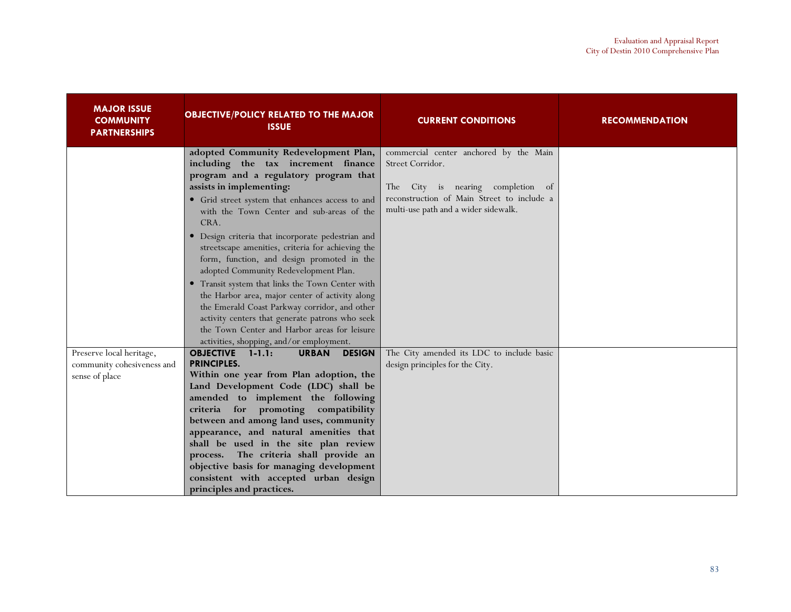| <b>MAJOR ISSUE</b><br><b>COMMUNITY</b><br><b>PARTNERSHIPS</b>            | <b>OBJECTIVE/POLICY RELATED TO THE MAJOR</b><br><b>ISSUE</b>                                                                                                                                                                                                                                                                                                                                                                                                                                                                                                                                                                                                                                                                                                       | <b>CURRENT CONDITIONS</b>                                                                                                                                                                | <b>RECOMMENDATION</b> |
|--------------------------------------------------------------------------|--------------------------------------------------------------------------------------------------------------------------------------------------------------------------------------------------------------------------------------------------------------------------------------------------------------------------------------------------------------------------------------------------------------------------------------------------------------------------------------------------------------------------------------------------------------------------------------------------------------------------------------------------------------------------------------------------------------------------------------------------------------------|------------------------------------------------------------------------------------------------------------------------------------------------------------------------------------------|-----------------------|
|                                                                          | adopted Community Redevelopment Plan,<br>including the tax increment finance<br>program and a regulatory program that<br>assists in implementing:<br>• Grid street system that enhances access to and<br>with the Town Center and sub-areas of the<br>CRA.<br>· Design criteria that incorporate pedestrian and<br>streetscape amenities, criteria for achieving the<br>form, function, and design promoted in the<br>adopted Community Redevelopment Plan.<br>• Transit system that links the Town Center with<br>the Harbor area, major center of activity along<br>the Emerald Coast Parkway corridor, and other<br>activity centers that generate patrons who seek<br>the Town Center and Harbor areas for leisure<br>activities, shopping, and/or employment. | commercial center anchored by the Main<br>Street Corridor.<br>City is nearing completion of<br>The<br>reconstruction of Main Street to include a<br>multi-use path and a wider sidewalk. |                       |
| Preserve local heritage,<br>community cohesiveness and<br>sense of place | <b>OBJECTIVE 1-1.1:</b><br><b>URBAN</b><br><b>DESIGN</b><br><b>PRINCIPLES.</b><br>Within one year from Plan adoption, the<br>Land Development Code (LDC) shall be<br>amended to implement the following<br>criteria for promoting compatibility<br>between and among land uses, community<br>appearance, and natural amenities that<br>shall be used in the site plan review<br>process. The criteria shall provide an<br>objective basis for managing development<br>consistent with accepted urban design<br>principles and practices.                                                                                                                                                                                                                           | The City amended its LDC to include basic<br>design principles for the City.                                                                                                             |                       |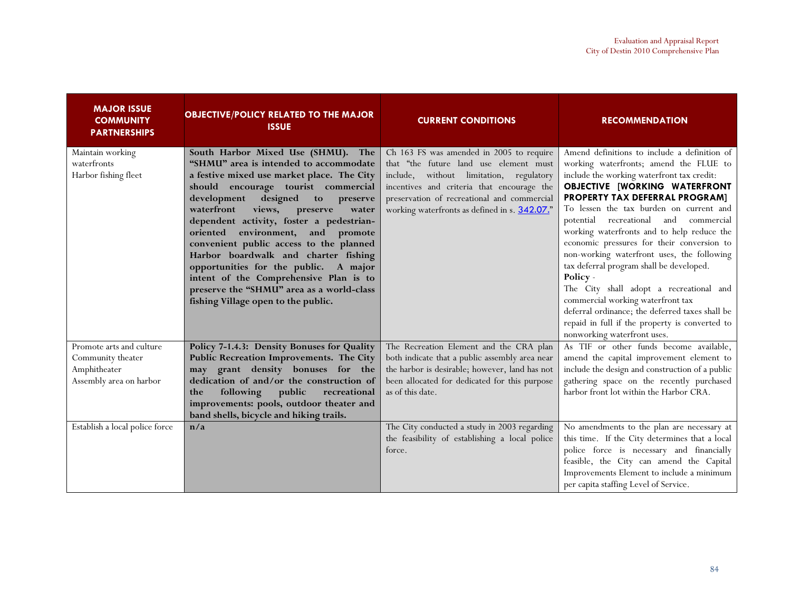| <b>MAJOR ISSUE</b><br><b>COMMUNITY</b><br><b>PARTNERSHIPS</b>                            | <b>OBJECTIVE/POLICY RELATED TO THE MAJOR</b><br><b>ISSUE</b>                                                                                                                                                                                                                                                                                                                                                                                                                                                                                                                                           | <b>CURRENT CONDITIONS</b>                                                                                                                                                                                                                                                   | <b>RECOMMENDATION</b>                                                                                                                                                                                                                                                                                                                                                                                                                                                                                                                                                                                                                                                                                                    |
|------------------------------------------------------------------------------------------|--------------------------------------------------------------------------------------------------------------------------------------------------------------------------------------------------------------------------------------------------------------------------------------------------------------------------------------------------------------------------------------------------------------------------------------------------------------------------------------------------------------------------------------------------------------------------------------------------------|-----------------------------------------------------------------------------------------------------------------------------------------------------------------------------------------------------------------------------------------------------------------------------|--------------------------------------------------------------------------------------------------------------------------------------------------------------------------------------------------------------------------------------------------------------------------------------------------------------------------------------------------------------------------------------------------------------------------------------------------------------------------------------------------------------------------------------------------------------------------------------------------------------------------------------------------------------------------------------------------------------------------|
| Maintain working<br>waterfronts<br>Harbor fishing fleet                                  | South Harbor Mixed Use (SHMU). The<br>"SHMU" area is intended to accommodate<br>a festive mixed use market place. The City<br>should encourage tourist commercial<br>designed<br>development<br>to<br>preserve<br>waterfront<br>views, preserve<br>water<br>dependent activity, foster a pedestrian-<br>oriented environment, and promote<br>convenient public access to the planned<br>Harbor boardwalk and charter fishing<br>opportunities for the public.<br>A major<br>intent of the Comprehensive Plan is to<br>preserve the "SHMU" area as a world-class<br>fishing Village open to the public. | Ch 163 FS was amended in 2005 to require<br>that "the future land use element must<br>include, without limitation, regulatory<br>incentives and criteria that encourage the<br>preservation of recreational and commercial<br>working waterfronts as defined in s. 342.07." | Amend definitions to include a definition of<br>working waterfronts; amend the FLUE to<br>include the working waterfront tax credit:<br><b>OBJECTIVE [WORKING WATERFRONT</b><br>PROPERTY TAX DEFERRAL PROGRAM]<br>To lessen the tax burden on current and<br>potential recreational and commercial<br>working waterfronts and to help reduce the<br>economic pressures for their conversion to<br>non-working waterfront uses, the following<br>tax deferral program shall be developed.<br>Policy -<br>The City shall adopt a recreational and<br>commercial working waterfront tax<br>deferral ordinance; the deferred taxes shall be<br>repaid in full if the property is converted to<br>nonworking waterfront uses. |
| Promote arts and culture<br>Community theater<br>Amphitheater<br>Assembly area on harbor | Policy 7-1.4.3: Density Bonuses for Quality<br>Public Recreation Improvements. The City<br>may grant density bonuses for the<br>dedication of and/or the construction of<br>following<br>public<br>recreational<br>the<br>improvements: pools, outdoor theater and<br>band shells, bicycle and hiking trails.                                                                                                                                                                                                                                                                                          | The Recreation Element and the CRA plan<br>both indicate that a public assembly area near<br>the harbor is desirable; however, land has not<br>been allocated for dedicated for this purpose<br>as of this date.                                                            | As TIF or other funds become available,<br>amend the capital improvement element to<br>include the design and construction of a public<br>gathering space on the recently purchased<br>harbor front lot within the Harbor CRA.                                                                                                                                                                                                                                                                                                                                                                                                                                                                                           |
| Establish a local police force                                                           | n/a                                                                                                                                                                                                                                                                                                                                                                                                                                                                                                                                                                                                    | The City conducted a study in 2003 regarding<br>the feasibility of establishing a local police<br>force.                                                                                                                                                                    | No amendments to the plan are necessary at<br>this time. If the City determines that a local<br>police force is necessary and financially<br>feasible, the City can amend the Capital<br>Improvements Element to include a minimum<br>per capita staffing Level of Service.                                                                                                                                                                                                                                                                                                                                                                                                                                              |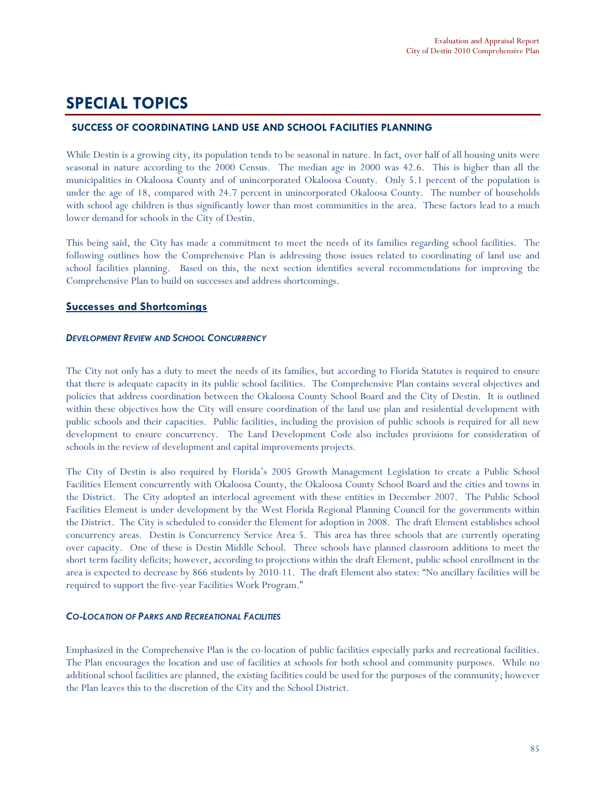# SPECIAL TOPICS

### SUCCESS OF COORDINATING LAND USE AND SCHOOL FACILITIES PLANNING

While Destin is a growing city, its population tends to be seasonal in nature. In fact, over half of all housing units were seasonal in nature according to the 2000 Census. The median age in 2000 was 42.6. This is higher than all the municipalities in Okaloosa County and of unincorporated Okaloosa County. Only 5.1 percent of the population is under the age of 18, compared with 24.7 percent in unincorporated Okaloosa County. The number of households with school age children is thus significantly lower than most communities in the area. These factors lead to a much lower demand for schools in the City of Destin.

This being said, the City has made a commitment to meet the needs of its families regarding school facilities. The following outlines how the Comprehensive Plan is addressing those issues related to coordinating of land use and school facilities planning. Based on this, the next section identifies several recommendations for improving the Comprehensive Plan to build on successes and address shortcomings.

#### Successes and Shortcomings

#### DEVELOPMENT REVIEW AND SCHOOL CONCURRENCY

The City not only has a duty to meet the needs of its families, but according to Florida Statutes is required to ensure that there is adequate capacity in its public school facilities. The Comprehensive Plan contains several objectives and policies that address coordination between the Okaloosa County School Board and the City of Destin. It is outlined within these objectives how the City will ensure coordination of the land use plan and residential development with public schools and their capacities. Public facilities, including the provision of public schools is required for all new development to ensure concurrency. The Land Development Code also includes provisions for consideration of schools in the review of development and capital improvements projects.

The City of Destin is also required by Florida's 2005 Growth Management Legislation to create a Public School Facilities Element concurrently with Okaloosa County, the Okaloosa County School Board and the cities and towns in the District. The City adopted an interlocal agreement with these entities in December 2007. The Public School Facilities Element is under development by the West Florida Regional Planning Council for the governments within the District. The City is scheduled to consider the Element for adoption in 2008. The draft Element establishes school concurrency areas. Destin is Concurrency Service Area 5. This area has three schools that are currently operating over capacity. One of these is Destin Middle School. Three schools have planned classroom additions to meet the short term facility deficits; however, according to projections within the draft Element, public school enrollment in the area is expected to decrease by 866 students by 2010-11. The draft Element also states: "No ancillary facilities will be required to support the five-year Facilities Work Program."

#### CO-LOCATION OF PARKS AND RECREATIONAL FACILITIES

Emphasized in the Comprehensive Plan is the co-location of public facilities especially parks and recreational facilities. The Plan encourages the location and use of facilities at schools for both school and community purposes. While no additional school facilities are planned, the existing facilities could be used for the purposes of the community; however the Plan leaves this to the discretion of the City and the School District.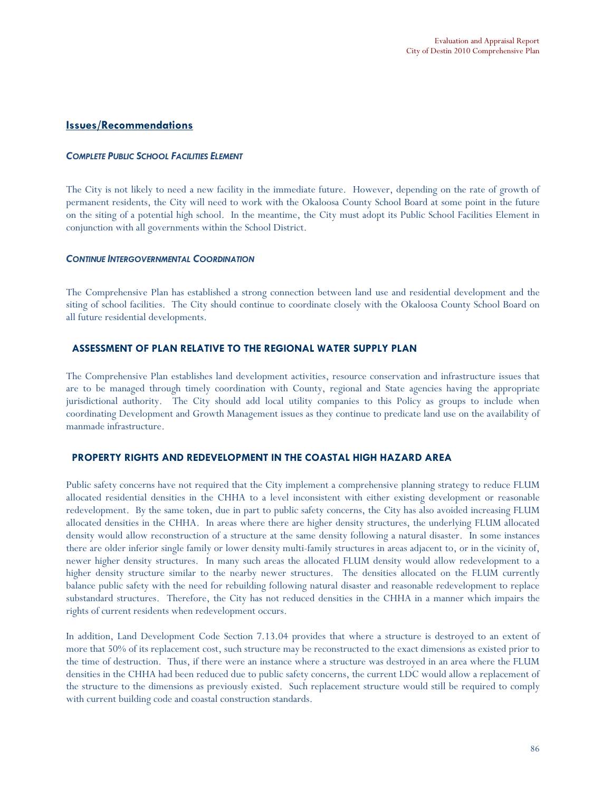#### Issues/Recommendations

#### COMPLETE PUBLIC SCHOOL FACILITIES ELEMENT

The City is not likely to need a new facility in the immediate future. However, depending on the rate of growth of permanent residents, the City will need to work with the Okaloosa County School Board at some point in the future on the siting of a potential high school. In the meantime, the City must adopt its Public School Facilities Element in conjunction with all governments within the School District.

#### CONTINUE INTERGOVERNMENTAL COORDINATION

The Comprehensive Plan has established a strong connection between land use and residential development and the siting of school facilities. The City should continue to coordinate closely with the Okaloosa County School Board on all future residential developments.

#### ASSESSMENT OF PLAN RELATIVE TO THE REGIONAL WATER SUPPLY PLAN

The Comprehensive Plan establishes land development activities, resource conservation and infrastructure issues that are to be managed through timely coordination with County, regional and State agencies having the appropriate jurisdictional authority. The City should add local utility companies to this Policy as groups to include when coordinating Development and Growth Management issues as they continue to predicate land use on the availability of manmade infrastructure.

#### PROPERTY RIGHTS AND REDEVELOPMENT IN THE COASTAL HIGH HAZARD AREA

Public safety concerns have not required that the City implement a comprehensive planning strategy to reduce FLUM allocated residential densities in the CHHA to a level inconsistent with either existing development or reasonable redevelopment. By the same token, due in part to public safety concerns, the City has also avoided increasing FLUM allocated densities in the CHHA. In areas where there are higher density structures, the underlying FLUM allocated density would allow reconstruction of a structure at the same density following a natural disaster. In some instances there are older inferior single family or lower density multi-family structures in areas adjacent to, or in the vicinity of, newer higher density structures. In many such areas the allocated FLUM density would allow redevelopment to a higher density structure similar to the nearby newer structures. The densities allocated on the FLUM currently balance public safety with the need for rebuilding following natural disaster and reasonable redevelopment to replace substandard structures. Therefore, the City has not reduced densities in the CHHA in a manner which impairs the rights of current residents when redevelopment occurs.

In addition, Land Development Code Section 7.13.04 provides that where a structure is destroyed to an extent of more that 50% of its replacement cost, such structure may be reconstructed to the exact dimensions as existed prior to the time of destruction. Thus, if there were an instance where a structure was destroyed in an area where the FLUM densities in the CHHA had been reduced due to public safety concerns, the current LDC would allow a replacement of the structure to the dimensions as previously existed. Such replacement structure would still be required to comply with current building code and coastal construction standards.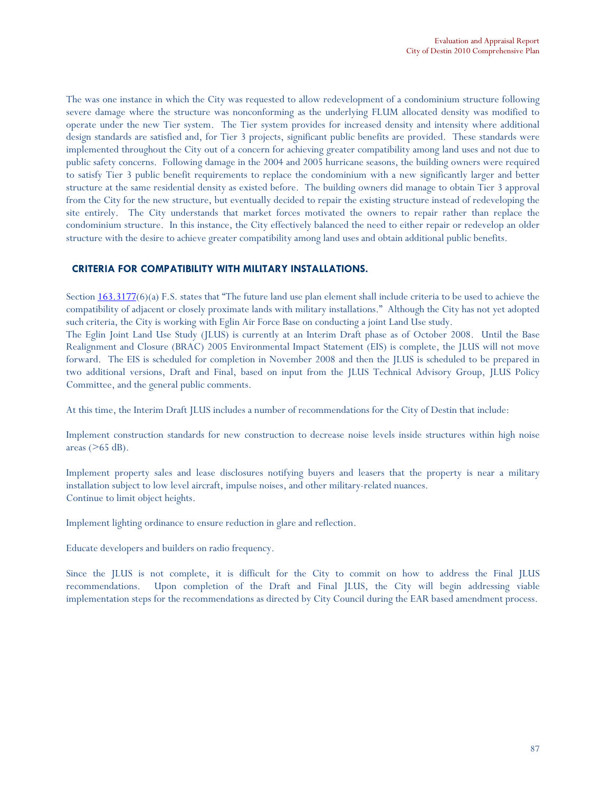The was one instance in which the City was requested to allow redevelopment of a condominium structure following severe damage where the structure was nonconforming as the underlying FLUM allocated density was modified to operate under the new Tier system. The Tier system provides for increased density and intensity where additional design standards are satisfied and, for Tier 3 projects, significant public benefits are provided. These standards were implemented throughout the City out of a concern for achieving greater compatibility among land uses and not due to public safety concerns. Following damage in the 2004 and 2005 hurricane seasons, the building owners were required to satisfy Tier 3 public benefit requirements to replace the condominium with a new significantly larger and better structure at the same residential density as existed before. The building owners did manage to obtain Tier 3 approval from the City for the new structure, but eventually decided to repair the existing structure instead of redeveloping the site entirely. The City understands that market forces motivated the owners to repair rather than replace the condominium structure. In this instance, the City effectively balanced the need to either repair or redevelop an older structure with the desire to achieve greater compatibility among land uses and obtain additional public benefits.

#### CRITERIA FOR COMPATIBILITY WITH MILITARY INSTALLATIONS.

Section  $163.3177(6)$ (a) F.S. states that "The future land use plan element shall include criteria to be used to achieve the compatibility of adjacent or closely proximate lands with military installations." Although the City has not yet adopted such criteria, the City is working with Eglin Air Force Base on conducting a joint Land Use study.

The Eglin Joint Land Use Study (JLUS) is currently at an Interim Draft phase as of October 2008. Until the Base Realignment and Closure (BRAC) 2005 Environmental Impact Statement (EIS) is complete, the JLUS will not move forward. The EIS is scheduled for completion in November 2008 and then the JLUS is scheduled to be prepared in two additional versions, Draft and Final, based on input from the JLUS Technical Advisory Group, JLUS Policy Committee, and the general public comments.

At this time, the Interim Draft JLUS includes a number of recommendations for the City of Destin that include:

Implement construction standards for new construction to decrease noise levels inside structures within high noise areas  $($ >65 dB).

Implement property sales and lease disclosures notifying buyers and leasers that the property is near a military installation subject to low level aircraft, impulse noises, and other military-related nuances. Continue to limit object heights.

Implement lighting ordinance to ensure reduction in glare and reflection.

Educate developers and builders on radio frequency.

Since the JLUS is not complete, it is difficult for the City to commit on how to address the Final JLUS recommendations. Upon completion of the Draft and Final JLUS, the City will begin addressing viable implementation steps for the recommendations as directed by City Council during the EAR based amendment process.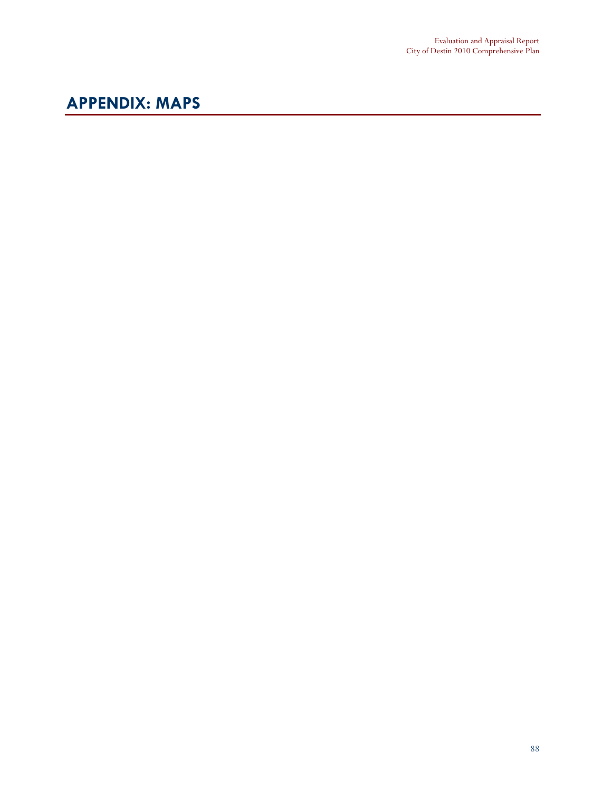# APPENDIX: MAPS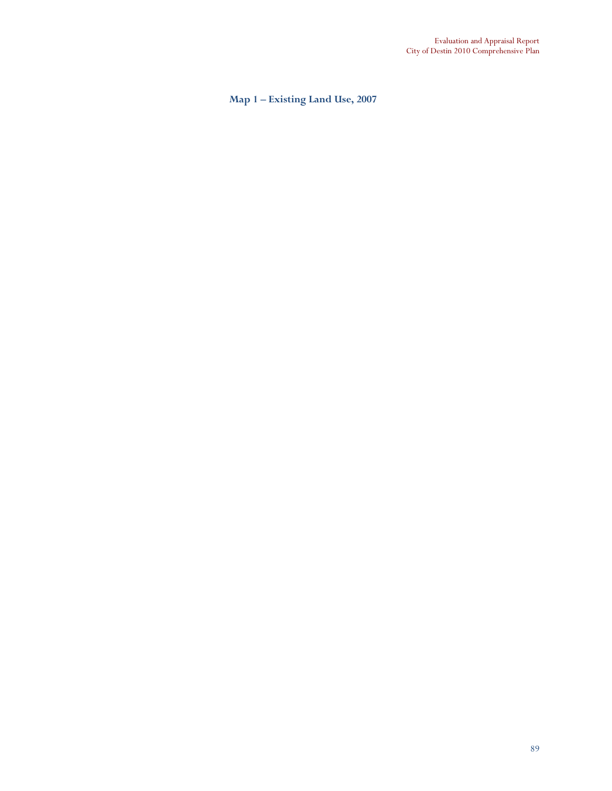Map 1 – Existing Land Use, 2007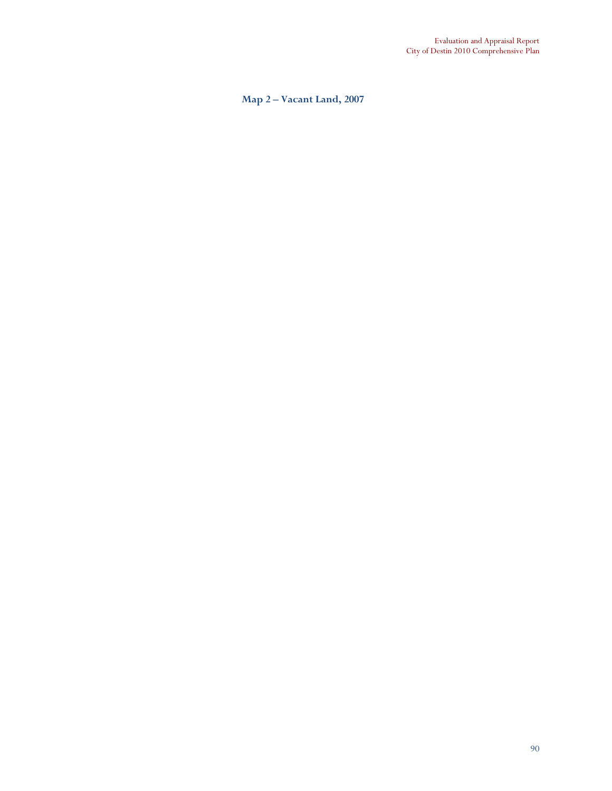Map 2 – Vacant Land, 2007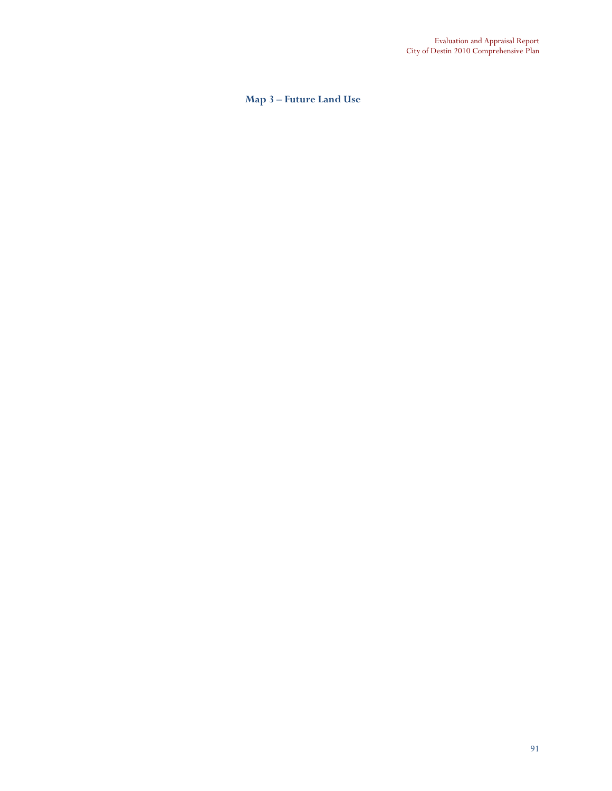### Map 3 – Future Land Use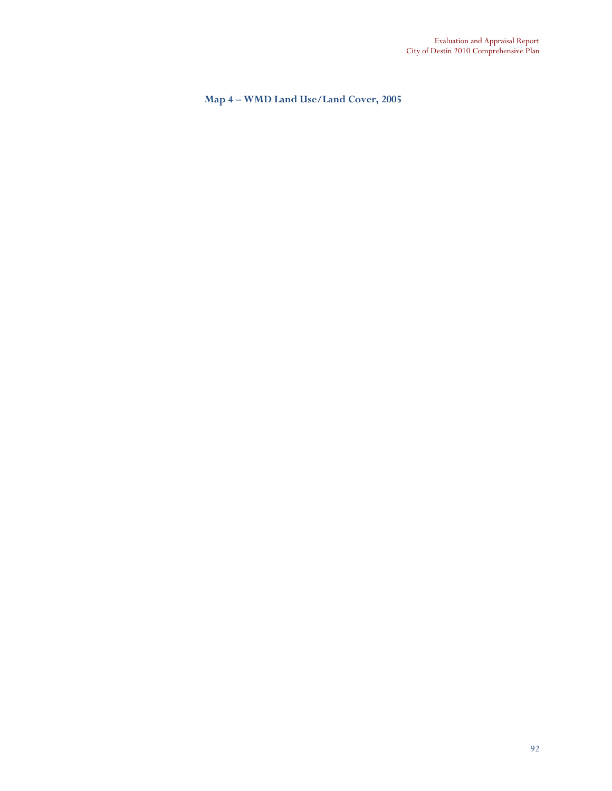Map 4 – WMD Land Use/Land Cover, 2005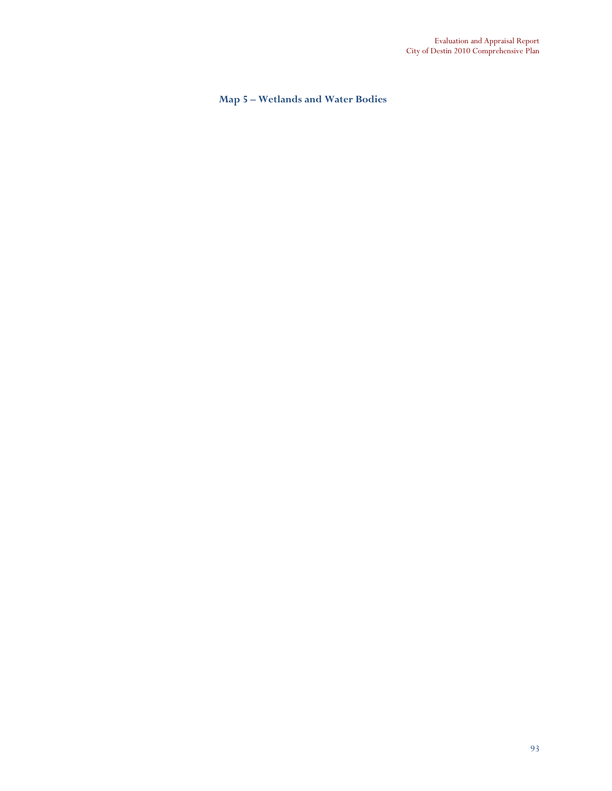### Map 5 – Wetlands and Water Bodies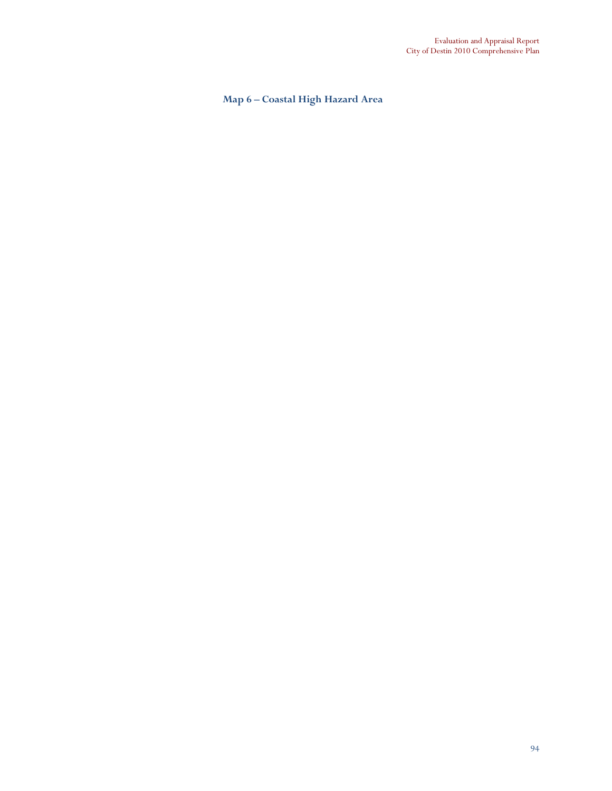## Map 6 – Coastal High Hazard Area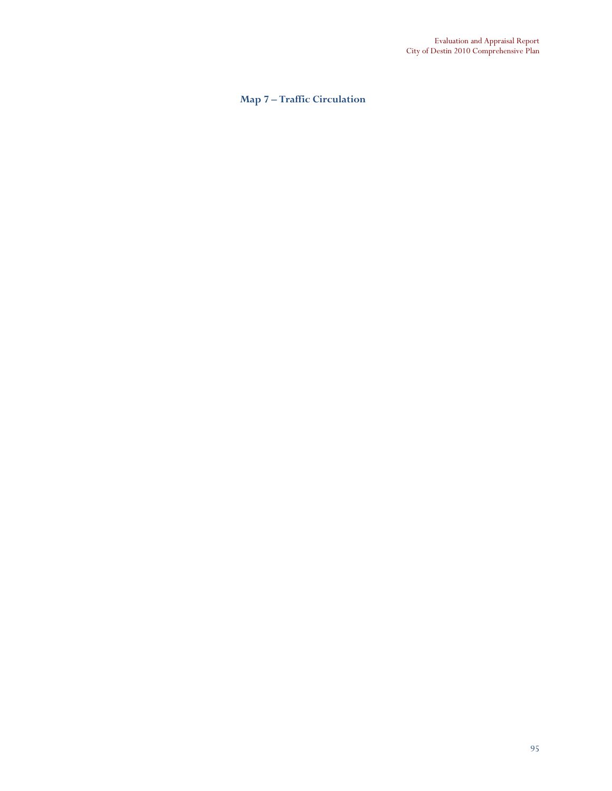## Map 7 – Traffic Circulation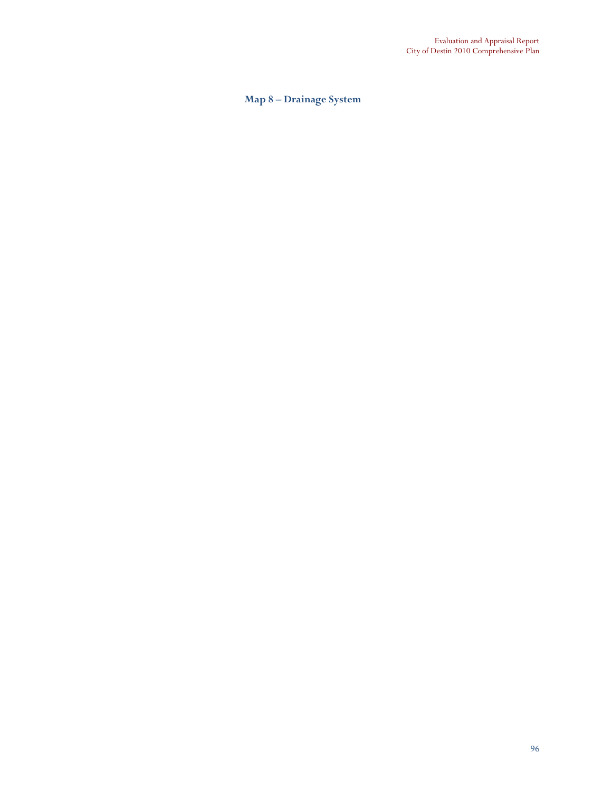## Map 8 – Drainage System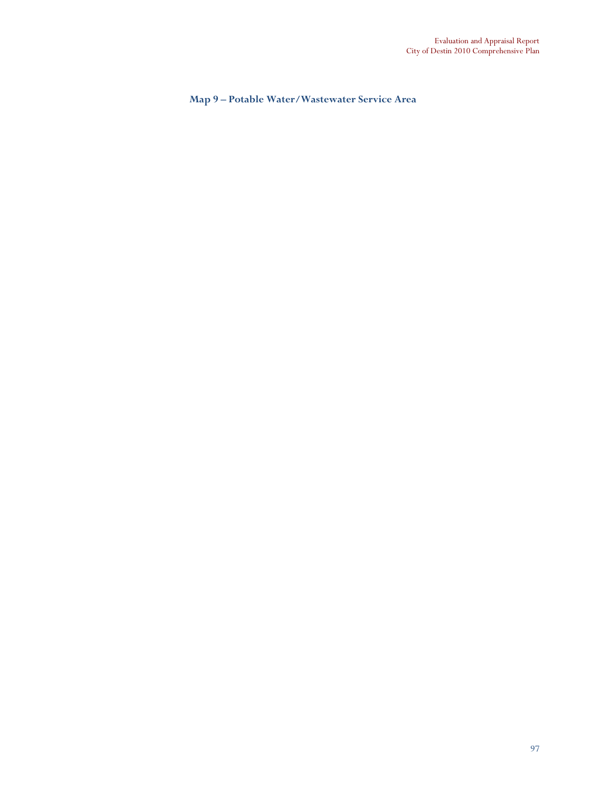Map 9 – Potable Water/Wastewater Service Area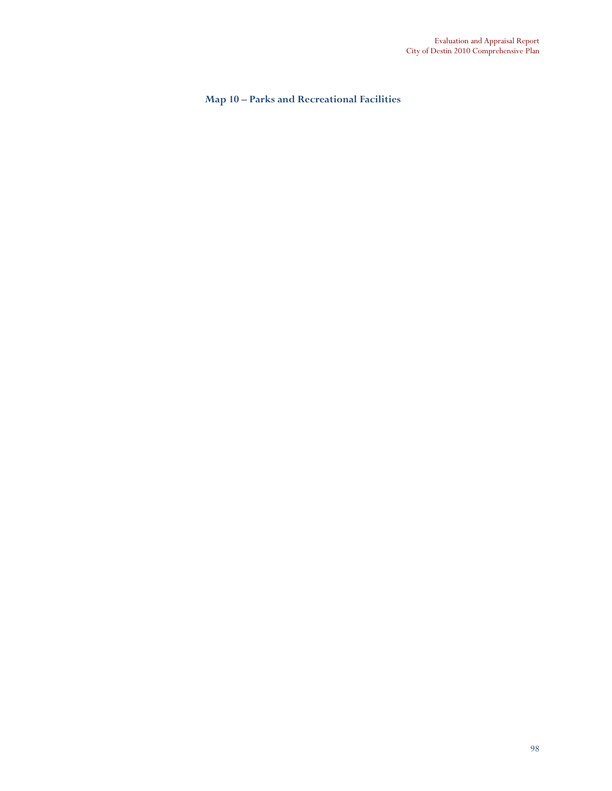Map 10 – Parks and Recreational Facilities